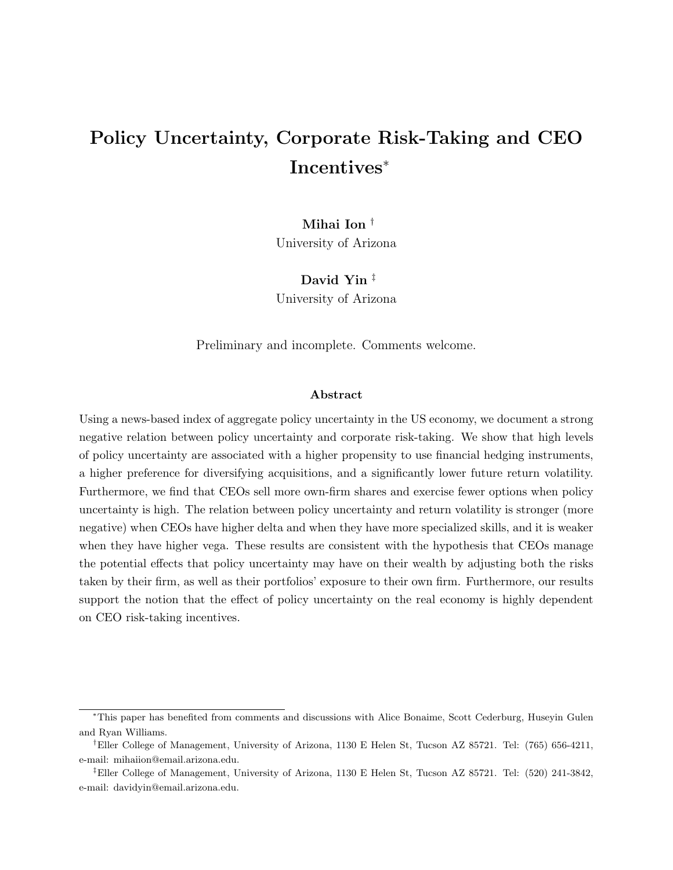# <span id="page-0-0"></span>Policy Uncertainty, Corporate Risk-Taking and CEO Incentives<sup>∗</sup>

### Mihai Ion †

University of Arizona

### David Yin ‡

University of Arizona

Preliminary and incomplete. Comments welcome.

#### Abstract

Using a news-based index of aggregate policy uncertainty in the US economy, we document a strong negative relation between policy uncertainty and corporate risk-taking. We show that high levels of policy uncertainty are associated with a higher propensity to use financial hedging instruments, a higher preference for diversifying acquisitions, and a significantly lower future return volatility. Furthermore, we find that CEOs sell more own-firm shares and exercise fewer options when policy uncertainty is high. The relation between policy uncertainty and return volatility is stronger (more negative) when CEOs have higher delta and when they have more specialized skills, and it is weaker when they have higher vega. These results are consistent with the hypothesis that CEOs manage the potential effects that policy uncertainty may have on their wealth by adjusting both the risks taken by their firm, as well as their portfolios' exposure to their own firm. Furthermore, our results support the notion that the effect of policy uncertainty on the real economy is highly dependent on CEO risk-taking incentives.

<sup>∗</sup>This paper has benefited from comments and discussions with Alice Bonaime, Scott Cederburg, Huseyin Gulen and Ryan Williams.

<sup>†</sup>Eller College of Management, University of Arizona, 1130 E Helen St, Tucson AZ 85721. Tel: (765) 656-4211, e-mail: mihaiion@email.arizona.edu.

<sup>‡</sup>Eller College of Management, University of Arizona, 1130 E Helen St, Tucson AZ 85721. Tel: (520) 241-3842, e-mail: davidyin@email.arizona.edu.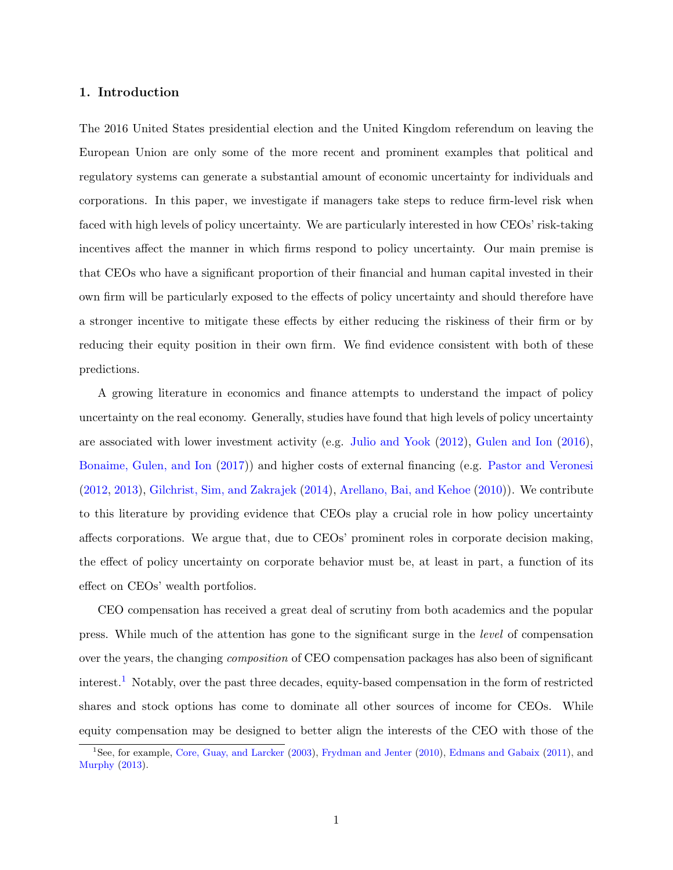#### 1. Introduction

The 2016 United States presidential election and the United Kingdom referendum on leaving the European Union are only some of the more recent and prominent examples that political and regulatory systems can generate a substantial amount of economic uncertainty for individuals and corporations. In this paper, we investigate if managers take steps to reduce firm-level risk when faced with high levels of policy uncertainty. We are particularly interested in how CEOs' risk-taking incentives affect the manner in which firms respond to policy uncertainty. Our main premise is that CEOs who have a significant proportion of their financial and human capital invested in their own firm will be particularly exposed to the effects of policy uncertainty and should therefore have a stronger incentive to mitigate these effects by either reducing the riskiness of their firm or by reducing their equity position in their own firm. We find evidence consistent with both of these predictions.

A growing literature in economics and finance attempts to understand the impact of policy uncertainty on the real economy. Generally, studies have found that high levels of policy uncertainty are associated with lower investment activity (e.g. [Julio and Yook](#page-31-0) [\(2012\)](#page-31-0), [Gulen and Ion](#page-30-0) [\(2016\)](#page-30-0), [Bonaime, Gulen, and Ion](#page-29-0) [\(2017\)](#page-29-0)) and higher costs of external financing (e.g. [Pastor and Veronesi](#page-31-1) [\(2012,](#page-31-1) [2013\)](#page-31-2), [Gilchrist, Sim, and Zakrajek](#page-30-1) [\(2014\)](#page-30-1), [Arellano, Bai, and Kehoe](#page-29-1) [\(2010\)](#page-29-1)). We contribute to this literature by providing evidence that CEOs play a crucial role in how policy uncertainty affects corporations. We argue that, due to CEOs' prominent roles in corporate decision making, the effect of policy uncertainty on corporate behavior must be, at least in part, a function of its effect on CEOs' wealth portfolios.

CEO compensation has received a great deal of scrutiny from both academics and the popular press. While much of the attention has gone to the significant surge in the level of compensation over the years, the changing composition of CEO compensation packages has also been of significant interest.<sup>[1](#page-0-0)</sup> Notably, over the past three decades, equity-based compensation in the form of restricted shares and stock options has come to dominate all other sources of income for CEOs. While equity compensation may be designed to better align the interests of the CEO with those of the

<sup>1</sup>See, for example, [Core, Guay, and Larcker](#page-30-2) [\(2003\)](#page-30-2), [Frydman and Jenter](#page-30-3) [\(2010\)](#page-30-3), [Edmans and Gabaix](#page-30-4) [\(2011\)](#page-30-4), and [Murphy](#page-31-3) [\(2013\)](#page-31-3).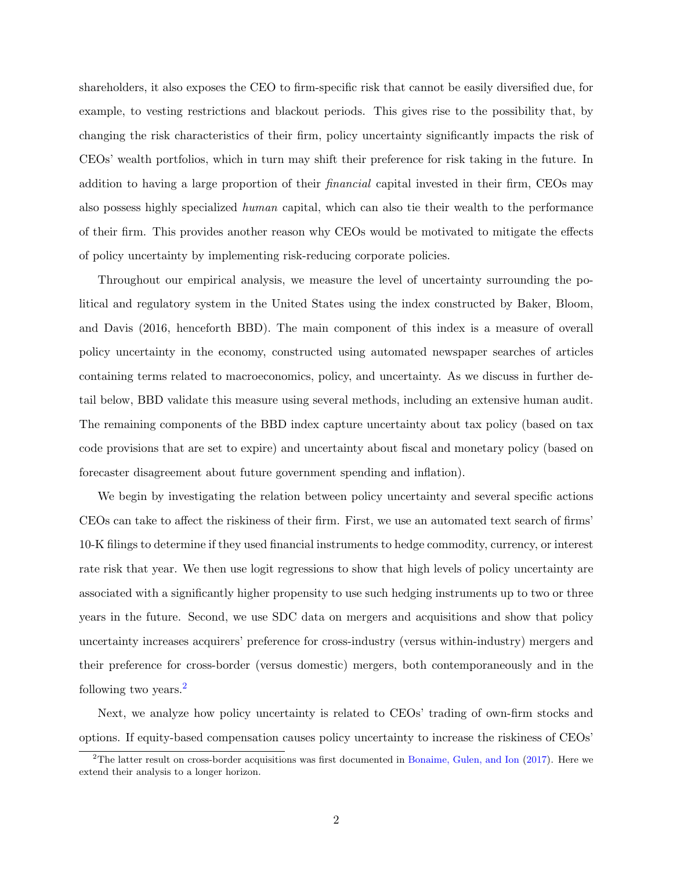shareholders, it also exposes the CEO to firm-specific risk that cannot be easily diversified due, for example, to vesting restrictions and blackout periods. This gives rise to the possibility that, by changing the risk characteristics of their firm, policy uncertainty significantly impacts the risk of CEOs' wealth portfolios, which in turn may shift their preference for risk taking in the future. In addition to having a large proportion of their *financial* capital invested in their firm, CEOs may also possess highly specialized human capital, which can also tie their wealth to the performance of their firm. This provides another reason why CEOs would be motivated to mitigate the effects of policy uncertainty by implementing risk-reducing corporate policies.

Throughout our empirical analysis, we measure the level of uncertainty surrounding the political and regulatory system in the United States using the index constructed by Baker, Bloom, and Davis (2016, henceforth BBD). The main component of this index is a measure of overall policy uncertainty in the economy, constructed using automated newspaper searches of articles containing terms related to macroeconomics, policy, and uncertainty. As we discuss in further detail below, BBD validate this measure using several methods, including an extensive human audit. The remaining components of the BBD index capture uncertainty about tax policy (based on tax code provisions that are set to expire) and uncertainty about fiscal and monetary policy (based on forecaster disagreement about future government spending and inflation).

We begin by investigating the relation between policy uncertainty and several specific actions CEOs can take to affect the riskiness of their firm. First, we use an automated text search of firms' 10-K filings to determine if they used financial instruments to hedge commodity, currency, or interest rate risk that year. We then use logit regressions to show that high levels of policy uncertainty are associated with a significantly higher propensity to use such hedging instruments up to two or three years in the future. Second, we use SDC data on mergers and acquisitions and show that policy uncertainty increases acquirers' preference for cross-industry (versus within-industry) mergers and their preference for cross-border (versus domestic) mergers, both contemporaneously and in the following two years.[2](#page-0-0)

Next, we analyze how policy uncertainty is related to CEOs' trading of own-firm stocks and options. If equity-based compensation causes policy uncertainty to increase the riskiness of CEOs'

<sup>&</sup>lt;sup>2</sup>The latter result on cross-border acquisitions was first documented in [Bonaime, Gulen, and Ion](#page-29-0) [\(2017\)](#page-29-0). Here we extend their analysis to a longer horizon.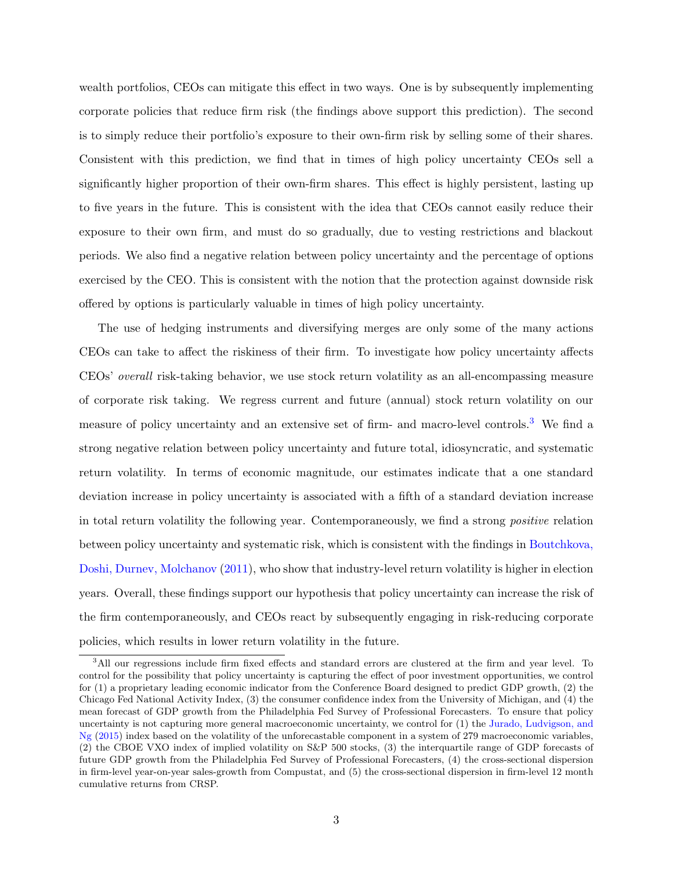wealth portfolios, CEOs can mitigate this effect in two ways. One is by subsequently implementing corporate policies that reduce firm risk (the findings above support this prediction). The second is to simply reduce their portfolio's exposure to their own-firm risk by selling some of their shares. Consistent with this prediction, we find that in times of high policy uncertainty CEOs sell a significantly higher proportion of their own-firm shares. This effect is highly persistent, lasting up to five years in the future. This is consistent with the idea that CEOs cannot easily reduce their exposure to their own firm, and must do so gradually, due to vesting restrictions and blackout periods. We also find a negative relation between policy uncertainty and the percentage of options exercised by the CEO. This is consistent with the notion that the protection against downside risk offered by options is particularly valuable in times of high policy uncertainty.

The use of hedging instruments and diversifying merges are only some of the many actions CEOs can take to affect the riskiness of their firm. To investigate how policy uncertainty affects CEOs' overall risk-taking behavior, we use stock return volatility as an all-encompassing measure of corporate risk taking. We regress current and future (annual) stock return volatility on our measure of policy uncertainty and an extensive set of firm- and macro-level controls.[3](#page-0-0) We find a strong negative relation between policy uncertainty and future total, idiosyncratic, and systematic return volatility. In terms of economic magnitude, our estimates indicate that a one standard deviation increase in policy uncertainty is associated with a fifth of a standard deviation increase in total return volatility the following year. Contemporaneously, we find a strong positive relation between policy uncertainty and systematic risk, which is consistent with the findings in [Boutchkova,](#page-29-2) [Doshi, Durnev, Molchanov](#page-29-2) [\(2011\)](#page-29-2), who show that industry-level return volatility is higher in election years. Overall, these findings support our hypothesis that policy uncertainty can increase the risk of the firm contemporaneously, and CEOs react by subsequently engaging in risk-reducing corporate policies, which results in lower return volatility in the future.

<sup>3</sup>All our regressions include firm fixed effects and standard errors are clustered at the firm and year level. To control for the possibility that policy uncertainty is capturing the effect of poor investment opportunities, we control for (1) a proprietary leading economic indicator from the Conference Board designed to predict GDP growth, (2) the Chicago Fed National Activity Index, (3) the consumer confidence index from the University of Michigan, and (4) the mean forecast of GDP growth from the Philadelphia Fed Survey of Professional Forecasters. To ensure that policy uncertainty is not capturing more general macroeconomic uncertainty, we control for (1) the [Jurado, Ludvigson, and](#page-31-4) [Ng](#page-31-4) [\(2015\)](#page-31-4) index based on the volatility of the unforecastable component in a system of 279 macroeconomic variables, (2) the CBOE VXO index of implied volatility on S&P 500 stocks, (3) the interquartile range of GDP forecasts of future GDP growth from the Philadelphia Fed Survey of Professional Forecasters, (4) the cross-sectional dispersion in firm-level year-on-year sales-growth from Compustat, and (5) the cross-sectional dispersion in firm-level 12 month cumulative returns from CRSP.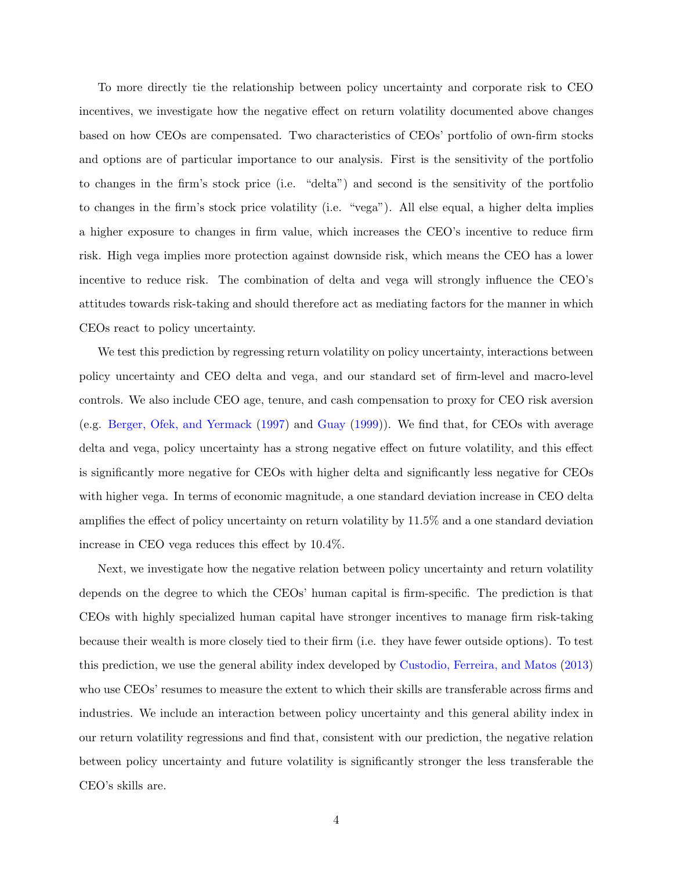To more directly tie the relationship between policy uncertainty and corporate risk to CEO incentives, we investigate how the negative effect on return volatility documented above changes based on how CEOs are compensated. Two characteristics of CEOs' portfolio of own-firm stocks and options are of particular importance to our analysis. First is the sensitivity of the portfolio to changes in the firm's stock price (i.e. "delta") and second is the sensitivity of the portfolio to changes in the firm's stock price volatility (i.e. "vega"). All else equal, a higher delta implies a higher exposure to changes in firm value, which increases the CEO's incentive to reduce firm risk. High vega implies more protection against downside risk, which means the CEO has a lower incentive to reduce risk. The combination of delta and vega will strongly influence the CEO's attitudes towards risk-taking and should therefore act as mediating factors for the manner in which CEOs react to policy uncertainty.

We test this prediction by regressing return volatility on policy uncertainty, interactions between policy uncertainty and CEO delta and vega, and our standard set of firm-level and macro-level controls. We also include CEO age, tenure, and cash compensation to proxy for CEO risk aversion (e.g. [Berger, Ofek, and Yermack](#page-29-3) [\(1997\)](#page-29-3) and [Guay](#page-30-5) [\(1999\)](#page-30-5)). We find that, for CEOs with average delta and vega, policy uncertainty has a strong negative effect on future volatility, and this effect is significantly more negative for CEOs with higher delta and significantly less negative for CEOs with higher vega. In terms of economic magnitude, a one standard deviation increase in CEO delta amplifies the effect of policy uncertainty on return volatility by 11.5% and a one standard deviation increase in CEO vega reduces this effect by 10.4%.

Next, we investigate how the negative relation between policy uncertainty and return volatility depends on the degree to which the CEOs' human capital is firm-specific. The prediction is that CEOs with highly specialized human capital have stronger incentives to manage firm risk-taking because their wealth is more closely tied to their firm (i.e. they have fewer outside options). To test this prediction, we use the general ability index developed by [Custodio, Ferreira, and Matos](#page-30-6) [\(2013\)](#page-30-6) who use CEOs' resumes to measure the extent to which their skills are transferable across firms and industries. We include an interaction between policy uncertainty and this general ability index in our return volatility regressions and find that, consistent with our prediction, the negative relation between policy uncertainty and future volatility is significantly stronger the less transferable the CEO's skills are.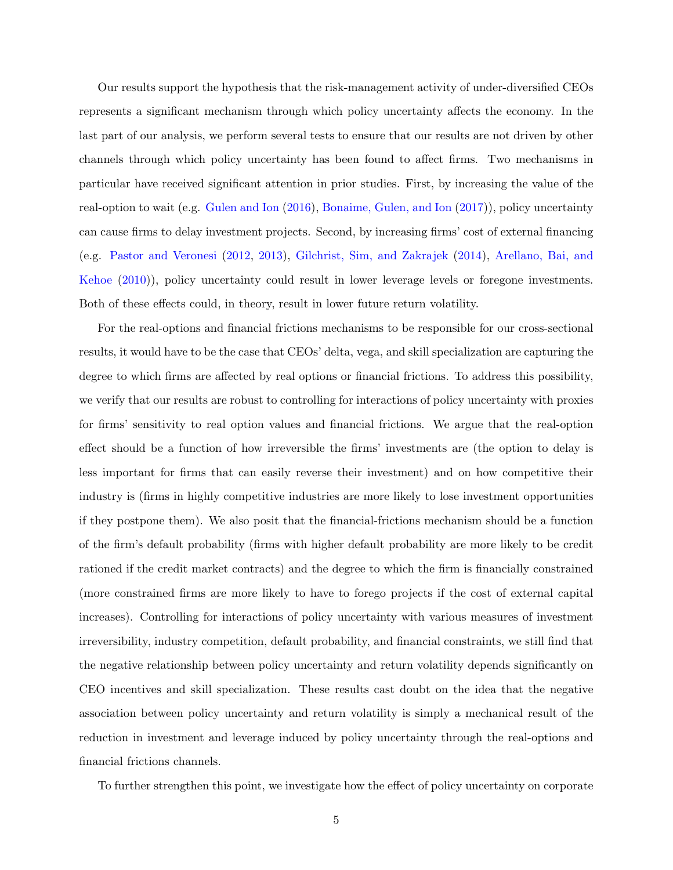Our results support the hypothesis that the risk-management activity of under-diversified CEOs represents a significant mechanism through which policy uncertainty affects the economy. In the last part of our analysis, we perform several tests to ensure that our results are not driven by other channels through which policy uncertainty has been found to affect firms. Two mechanisms in particular have received significant attention in prior studies. First, by increasing the value of the real-option to wait (e.g. [Gulen and Ion](#page-30-0) [\(2016\)](#page-30-0), [Bonaime, Gulen, and Ion](#page-29-0) [\(2017\)](#page-29-0)), policy uncertainty can cause firms to delay investment projects. Second, by increasing firms' cost of external financing (e.g. [Pastor and Veronesi](#page-31-1) [\(2012,](#page-31-1) [2013\)](#page-31-2), [Gilchrist, Sim, and Zakrajek](#page-30-1) [\(2014\)](#page-30-1), [Arellano, Bai, and](#page-29-1) [Kehoe](#page-29-1) [\(2010\)](#page-29-1)), policy uncertainty could result in lower leverage levels or foregone investments. Both of these effects could, in theory, result in lower future return volatility.

For the real-options and financial frictions mechanisms to be responsible for our cross-sectional results, it would have to be the case that CEOs' delta, vega, and skill specialization are capturing the degree to which firms are affected by real options or financial frictions. To address this possibility, we verify that our results are robust to controlling for interactions of policy uncertainty with proxies for firms' sensitivity to real option values and financial frictions. We argue that the real-option effect should be a function of how irreversible the firms' investments are (the option to delay is less important for firms that can easily reverse their investment) and on how competitive their industry is (firms in highly competitive industries are more likely to lose investment opportunities if they postpone them). We also posit that the financial-frictions mechanism should be a function of the firm's default probability (firms with higher default probability are more likely to be credit rationed if the credit market contracts) and the degree to which the firm is financially constrained (more constrained firms are more likely to have to forego projects if the cost of external capital increases). Controlling for interactions of policy uncertainty with various measures of investment irreversibility, industry competition, default probability, and financial constraints, we still find that the negative relationship between policy uncertainty and return volatility depends significantly on CEO incentives and skill specialization. These results cast doubt on the idea that the negative association between policy uncertainty and return volatility is simply a mechanical result of the reduction in investment and leverage induced by policy uncertainty through the real-options and financial frictions channels.

To further strengthen this point, we investigate how the effect of policy uncertainty on corporate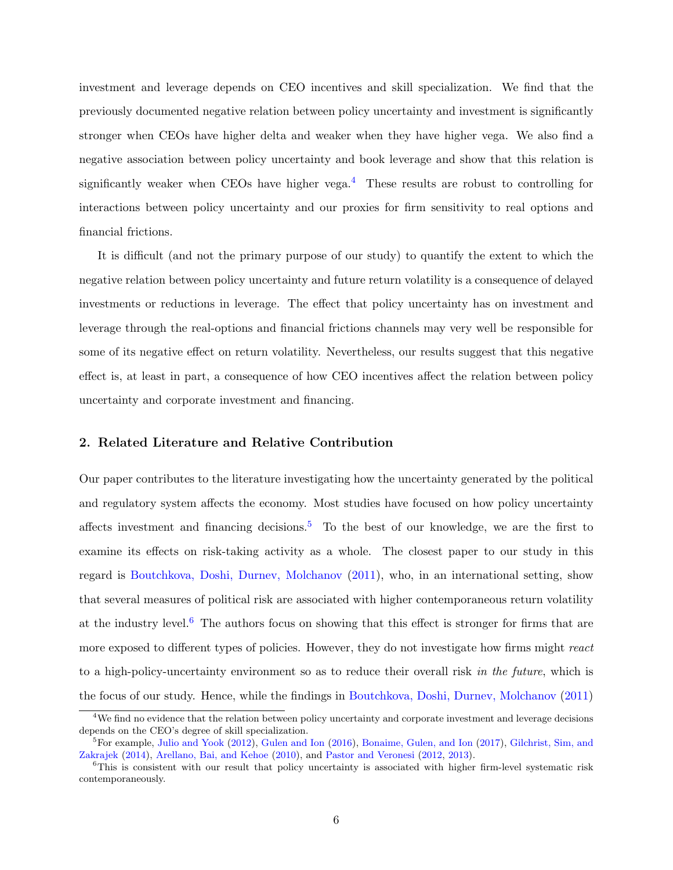investment and leverage depends on CEO incentives and skill specialization. We find that the previously documented negative relation between policy uncertainty and investment is significantly stronger when CEOs have higher delta and weaker when they have higher vega. We also find a negative association between policy uncertainty and book leverage and show that this relation is significantly weaker when CEOs have higher vega. $4$  These results are robust to controlling for interactions between policy uncertainty and our proxies for firm sensitivity to real options and financial frictions.

It is difficult (and not the primary purpose of our study) to quantify the extent to which the negative relation between policy uncertainty and future return volatility is a consequence of delayed investments or reductions in leverage. The effect that policy uncertainty has on investment and leverage through the real-options and financial frictions channels may very well be responsible for some of its negative effect on return volatility. Nevertheless, our results suggest that this negative effect is, at least in part, a consequence of how CEO incentives affect the relation between policy uncertainty and corporate investment and financing.

#### 2. Related Literature and Relative Contribution

Our paper contributes to the literature investigating how the uncertainty generated by the political and regulatory system affects the economy. Most studies have focused on how policy uncertainty affects investment and financing decisions.<sup>[5](#page-0-0)</sup> To the best of our knowledge, we are the first to examine its effects on risk-taking activity as a whole. The closest paper to our study in this regard is [Boutchkova, Doshi, Durnev, Molchanov](#page-29-2) [\(2011\)](#page-29-2), who, in an international setting, show that several measures of political risk are associated with higher contemporaneous return volatility at the industry level.<sup>[6](#page-0-0)</sup> The authors focus on showing that this effect is stronger for firms that are more exposed to different types of policies. However, they do not investigate how firms might react to a high-policy-uncertainty environment so as to reduce their overall risk in the future, which is the focus of our study. Hence, while the findings in [Boutchkova, Doshi, Durnev, Molchanov](#page-29-2) [\(2011\)](#page-29-2)

<sup>&</sup>lt;sup>4</sup>We find no evidence that the relation between policy uncertainty and corporate investment and leverage decisions depends on the CEO's degree of skill specialization.

<sup>&</sup>lt;sup>5</sup>For example, [Julio and Yook](#page-31-0) [\(2012\)](#page-31-0), [Gulen and Ion](#page-30-0) [\(2016\)](#page-30-0), [Bonaime, Gulen, and Ion](#page-29-0) [\(2017\)](#page-29-0), [Gilchrist, Sim, and](#page-30-1) [Zakrajek](#page-30-1) [\(2014\)](#page-30-1), [Arellano, Bai, and Kehoe](#page-29-1) [\(2010\)](#page-29-1), and [Pastor and Veronesi](#page-31-1) [\(2012,](#page-31-1) [2013\)](#page-31-2).

<sup>&</sup>lt;sup>6</sup>This is consistent with our result that policy uncertainty is associated with higher firm-level systematic risk contemporaneously.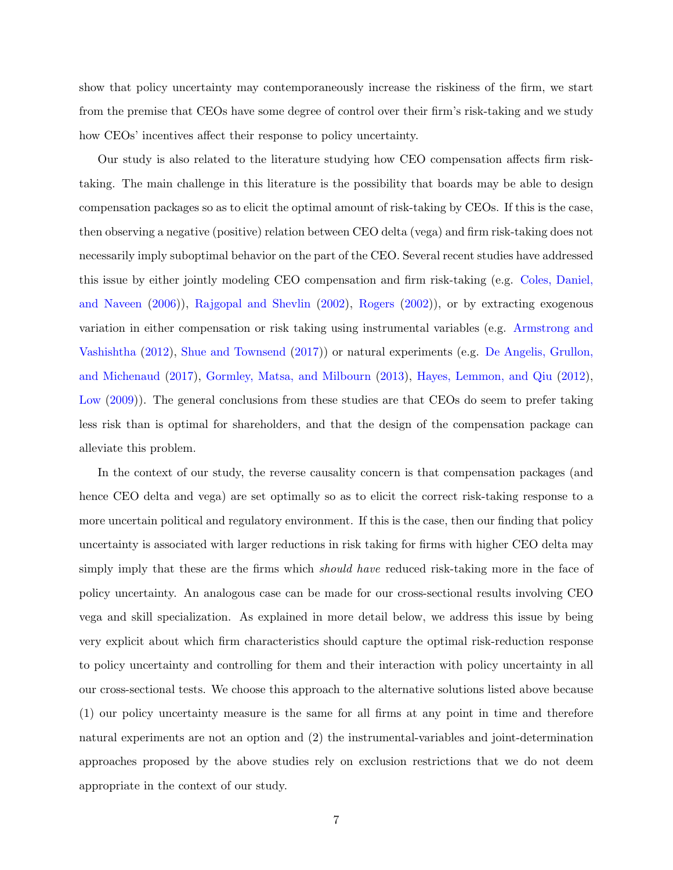show that policy uncertainty may contemporaneously increase the riskiness of the firm, we start from the premise that CEOs have some degree of control over their firm's risk-taking and we study how CEOs' incentives affect their response to policy uncertainty.

Our study is also related to the literature studying how CEO compensation affects firm risktaking. The main challenge in this literature is the possibility that boards may be able to design compensation packages so as to elicit the optimal amount of risk-taking by CEOs. If this is the case, then observing a negative (positive) relation between CEO delta (vega) and firm risk-taking does not necessarily imply suboptimal behavior on the part of the CEO. Several recent studies have addressed this issue by either jointly modeling CEO compensation and firm risk-taking (e.g. [Coles, Daniel,](#page-29-4) [and Naveen](#page-29-4) [\(2006\)](#page-29-4)), [Rajgopal and Shevlin](#page-31-5) [\(2002\)](#page-31-5), [Rogers](#page-31-6) [\(2002\)](#page-31-6)), or by extracting exogenous variation in either compensation or risk taking using instrumental variables (e.g. [Armstrong and](#page-29-5) [Vashishtha](#page-29-5) [\(2012\)](#page-29-5), [Shue and Townsend](#page-31-7) [\(2017\)](#page-31-7)) or natural experiments (e.g. [De Angelis, Grullon,](#page-30-7) [and Michenaud](#page-30-7) [\(2017\)](#page-30-7), [Gormley, Matsa, and Milbourn](#page-30-8) [\(2013\)](#page-30-8), [Hayes, Lemmon, and Qiu](#page-30-9) [\(2012\)](#page-30-9), [Low](#page-31-8)  $(2009)$ ). The general conclusions from these studies are that CEOs do seem to prefer taking less risk than is optimal for shareholders, and that the design of the compensation package can alleviate this problem.

<span id="page-7-0"></span>In the context of our study, the reverse causality concern is that compensation packages (and hence CEO delta and vega) are set optimally so as to elicit the correct risk-taking response to a more uncertain political and regulatory environment. If this is the case, then our finding that policy uncertainty is associated with larger reductions in risk taking for firms with higher CEO delta may simply imply that these are the firms which *should have* reduced risk-taking more in the face of policy uncertainty. An analogous case can be made for our cross-sectional results involving CEO vega and skill specialization. As explained in more detail below, we address this issue by being very explicit about which firm characteristics should capture the optimal risk-reduction response to policy uncertainty and controlling for them and their interaction with policy uncertainty in all our cross-sectional tests. We choose this approach to the alternative solutions listed above because (1) our policy uncertainty measure is the same for all firms at any point in time and therefore natural experiments are not an option and (2) the instrumental-variables and joint-determination approaches proposed by the above studies rely on exclusion restrictions that we do not deem appropriate in the context of our study.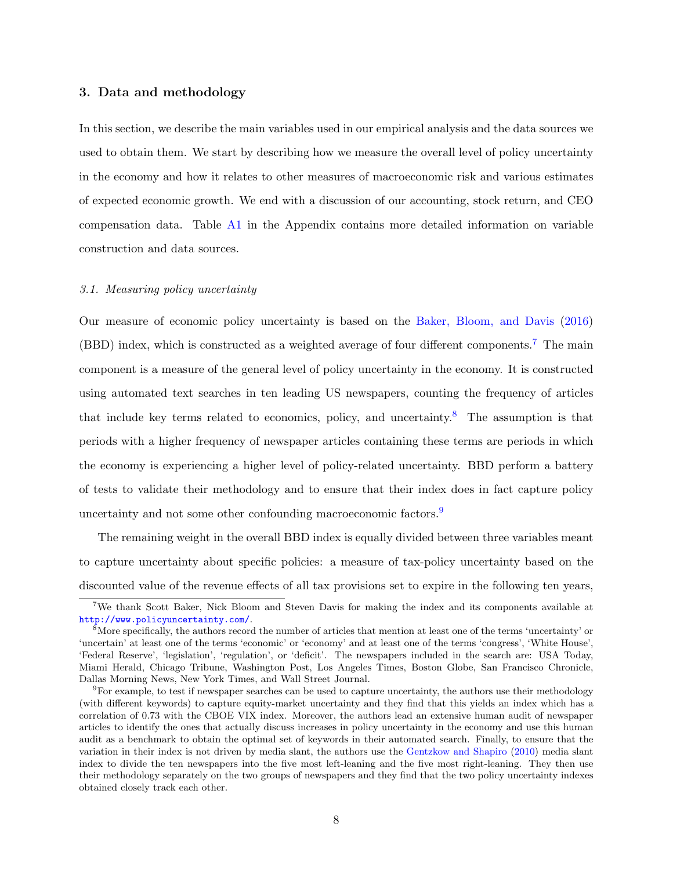#### 3. Data and methodology

In this section, we describe the main variables used in our empirical analysis and the data sources we used to obtain them. We start by describing how we measure the overall level of policy uncertainty in the economy and how it relates to other measures of macroeconomic risk and various estimates of expected economic growth. We end with a discussion of our accounting, stock return, and CEO compensation data. Table [A1](#page-49-0) in the Appendix contains more detailed information on variable construction and data sources.

#### 3.1. Measuring policy uncertainty

Our measure of economic policy uncertainty is based on the [Baker, Bloom, and Davis](#page-29-6) [\(2016\)](#page-29-6) (BBD) index, which is constructed as a weighted average of four different components.<sup>[7](#page-0-0)</sup> The main component is a measure of the general level of policy uncertainty in the economy. It is constructed using automated text searches in ten leading US newspapers, counting the frequency of articles that include key terms related to economics, policy, and uncertainty.<sup>[8](#page-0-0)</sup> The assumption is that periods with a higher frequency of newspaper articles containing these terms are periods in which the economy is experiencing a higher level of policy-related uncertainty. BBD perform a battery of tests to validate their methodology and to ensure that their index does in fact capture policy uncertainty and not some other confounding macroeconomic factors.<sup>[9](#page-0-0)</sup>

The remaining weight in the overall BBD index is equally divided between three variables meant to capture uncertainty about specific policies: a measure of tax-policy uncertainty based on the discounted value of the revenue effects of all tax provisions set to expire in the following ten years,

<sup>7</sup>We thank Scott Baker, Nick Bloom and Steven Davis for making the index and its components available at <http://www.policyuncertainty.com/>.

<sup>&</sup>lt;sup>8</sup>More specifically, the authors record the number of articles that mention at least one of the terms 'uncertainty' or 'uncertain' at least one of the terms 'economic' or 'economy' and at least one of the terms 'congress', 'White House', 'Federal Reserve', 'legislation', 'regulation', or 'deficit'. The newspapers included in the search are: USA Today, Miami Herald, Chicago Tribune, Washington Post, Los Angeles Times, Boston Globe, San Francisco Chronicle, Dallas Morning News, New York Times, and Wall Street Journal.

<sup>&</sup>lt;sup>9</sup>For example, to test if newspaper searches can be used to capture uncertainty, the authors use their methodology (with different keywords) to capture equity-market uncertainty and they find that this yields an index which has a correlation of 0.73 with the CBOE VIX index. Moreover, the authors lead an extensive human audit of newspaper articles to identify the ones that actually discuss increases in policy uncertainty in the economy and use this human audit as a benchmark to obtain the optimal set of keywords in their automated search. Finally, to ensure that the variation in their index is not driven by media slant, the authors use the [Gentzkow and Shapiro](#page-30-10) [\(2010\)](#page-30-10) media slant index to divide the ten newspapers into the five most left-leaning and the five most right-leaning. They then use their methodology separately on the two groups of newspapers and they find that the two policy uncertainty indexes obtained closely track each other.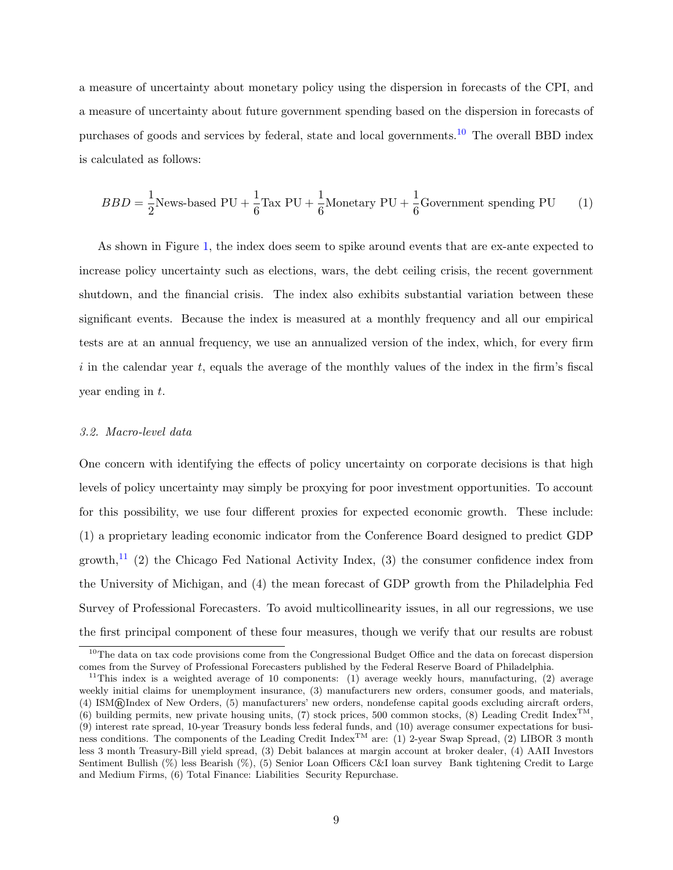a measure of uncertainty about monetary policy using the dispersion in forecasts of the CPI, and a measure of uncertainty about future government spending based on the dispersion in forecasts of purchases of goods and services by federal, state and local governments.<sup>[10](#page-0-0)</sup> The overall BBD index is calculated as follows:

$$
BBD = \frac{1}{2} \text{News-based PU} + \frac{1}{6} \text{Tax PU} + \frac{1}{6} \text{Monetary PU} + \frac{1}{6} \text{Government spending PU} \tag{1}
$$

As shown in Figure [1,](#page-32-0) the index does seem to spike around events that are ex-ante expected to increase policy uncertainty such as elections, wars, the debt ceiling crisis, the recent government shutdown, and the financial crisis. The index also exhibits substantial variation between these significant events. Because the index is measured at a monthly frequency and all our empirical tests are at an annual frequency, we use an annualized version of the index, which, for every firm i in the calendar year  $t$ , equals the average of the monthly values of the index in the firm's fiscal year ending in t.

#### <span id="page-9-0"></span>3.2. Macro-level data

One concern with identifying the effects of policy uncertainty on corporate decisions is that high levels of policy uncertainty may simply be proxying for poor investment opportunities. To account for this possibility, we use four different proxies for expected economic growth. These include: (1) a proprietary leading economic indicator from the Conference Board designed to predict GDP growth,<sup>[11](#page-0-0)</sup> (2) the Chicago Fed National Activity Index, (3) the consumer confidence index from the University of Michigan, and (4) the mean forecast of GDP growth from the Philadelphia Fed Survey of Professional Forecasters. To avoid multicollinearity issues, in all our regressions, we use the first principal component of these four measures, though we verify that our results are robust

<sup>&</sup>lt;sup>10</sup>The data on tax code provisions come from the Congressional Budget Office and the data on forecast dispersion comes from the Survey of Professional Forecasters published by the Federal Reserve Board of Philadelphia.

<sup>&</sup>lt;sup>11</sup>This index is a weighted average of 10 components: (1) average weekly hours, manufacturing, (2) average weekly initial claims for unemployment insurance, (3) manufacturers new orders, consumer goods, and materials, (4) ISM®Index of New Orders, (5) manufacturers' new orders, nondefense capital goods excluding aircraft orders, (6) building permits, new private housing units, (7) stock prices, 500 common stocks, (8) Leading Credit Index<sup>TM</sup>, (9) interest rate spread, 10-year Treasury bonds less federal funds, and (10) average consumer expectations for business conditions. The components of the Leading Credit Index<sup>TM</sup> are: (1) 2-year Swap Spread, (2) LIBOR 3 month less 3 month Treasury-Bill yield spread, (3) Debit balances at margin account at broker dealer, (4) AAII Investors Sentiment Bullish (%) less Bearish (%), (5) Senior Loan Officers C&I loan survey Bank tightening Credit to Large and Medium Firms, (6) Total Finance: Liabilities Security Repurchase.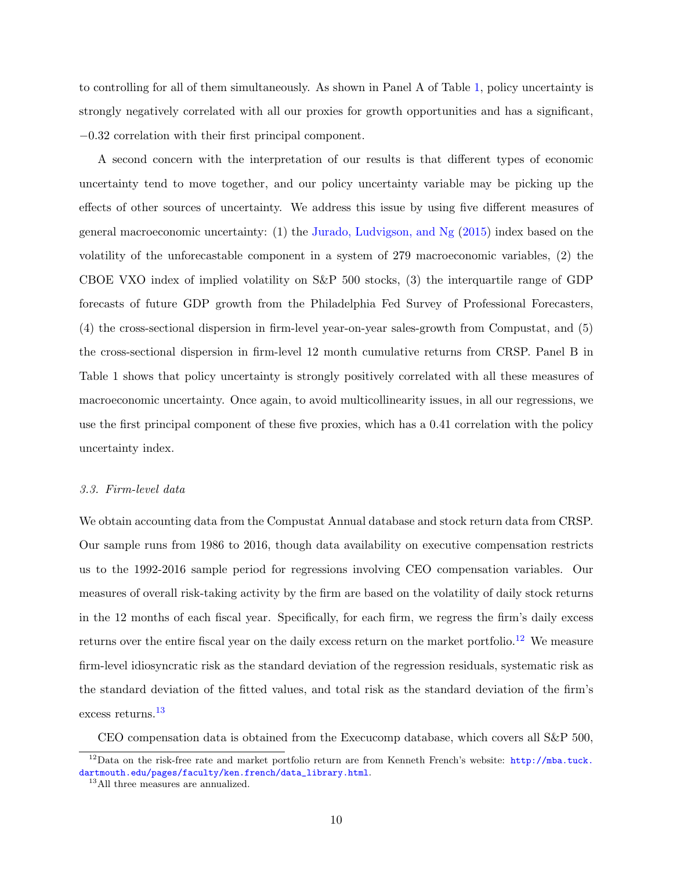to controlling for all of them simultaneously. As shown in Panel A of Table [1,](#page-33-0) policy uncertainty is strongly negatively correlated with all our proxies for growth opportunities and has a significant, −0.32 correlation with their first principal component.

A second concern with the interpretation of our results is that different types of economic uncertainty tend to move together, and our policy uncertainty variable may be picking up the effects of other sources of uncertainty. We address this issue by using five different measures of general macroeconomic uncertainty: (1) the [Jurado, Ludvigson, and Ng](#page-31-4) [\(2015\)](#page-31-4) index based on the volatility of the unforecastable component in a system of 279 macroeconomic variables, (2) the CBOE VXO index of implied volatility on S&P 500 stocks, (3) the interquartile range of GDP forecasts of future GDP growth from the Philadelphia Fed Survey of Professional Forecasters, (4) the cross-sectional dispersion in firm-level year-on-year sales-growth from Compustat, and (5) the cross-sectional dispersion in firm-level 12 month cumulative returns from CRSP. Panel B in Table 1 shows that policy uncertainty is strongly positively correlated with all these measures of macroeconomic uncertainty. Once again, to avoid multicollinearity issues, in all our regressions, we use the first principal component of these five proxies, which has a 0.41 correlation with the policy uncertainty index.

#### <span id="page-10-0"></span>3.3. Firm-level data

We obtain accounting data from the Compustat Annual database and stock return data from CRSP. Our sample runs from 1986 to 2016, though data availability on executive compensation restricts us to the 1992-2016 sample period for regressions involving CEO compensation variables. Our measures of overall risk-taking activity by the firm are based on the volatility of daily stock returns in the 12 months of each fiscal year. Specifically, for each firm, we regress the firm's daily excess returns over the entire fiscal year on the daily excess return on the market portfolio.<sup>[12](#page-0-0)</sup> We measure firm-level idiosyncratic risk as the standard deviation of the regression residuals, systematic risk as the standard deviation of the fitted values, and total risk as the standard deviation of the firm's excess returns.[13](#page-0-0)

CEO compensation data is obtained from the Execucomp database, which covers all S&P 500,

<sup>&</sup>lt;sup>12</sup>Data on the risk-free rate and market portfolio return are from Kenneth French's website: [http://mba.tuck.](http://mba.tuck.dartmouth.edu/pages/faculty/ken.french/data_library.html) [dartmouth.edu/pages/faculty/ken.french/data\\_library.html](http://mba.tuck.dartmouth.edu/pages/faculty/ken.french/data_library.html).

<sup>&</sup>lt;sup>13</sup>All three measures are annualized.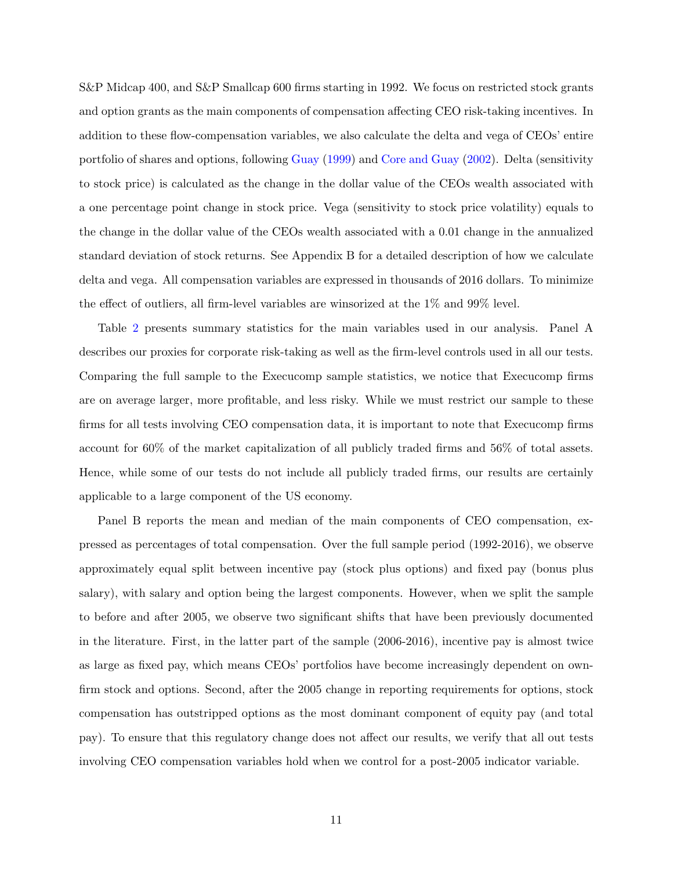S&P Midcap 400, and S&P Smallcap 600 firms starting in 1992. We focus on restricted stock grants and option grants as the main components of compensation affecting CEO risk-taking incentives. In addition to these flow-compensation variables, we also calculate the delta and vega of CEOs' entire portfolio of shares and options, following [Guay](#page-30-5) [\(1999\)](#page-30-5) and [Core and Guay](#page-30-11) [\(2002\)](#page-30-11). Delta (sensitivity to stock price) is calculated as the change in the dollar value of the CEOs wealth associated with a one percentage point change in stock price. Vega (sensitivity to stock price volatility) equals to the change in the dollar value of the CEOs wealth associated with a 0.01 change in the annualized standard deviation of stock returns. See Appendix B for a detailed description of how we calculate delta and vega. All compensation variables are expressed in thousands of 2016 dollars. To minimize the effect of outliers, all firm-level variables are winsorized at the 1% and 99% level.

Table [2](#page-34-0) presents summary statistics for the main variables used in our analysis. Panel A describes our proxies for corporate risk-taking as well as the firm-level controls used in all our tests. Comparing the full sample to the Execucomp sample statistics, we notice that Execucomp firms are on average larger, more profitable, and less risky. While we must restrict our sample to these firms for all tests involving CEO compensation data, it is important to note that Execucomp firms account for 60% of the market capitalization of all publicly traded firms and 56% of total assets. Hence, while some of our tests do not include all publicly traded firms, our results are certainly applicable to a large component of the US economy.

<span id="page-11-0"></span>Panel B reports the mean and median of the main components of CEO compensation, expressed as percentages of total compensation. Over the full sample period (1992-2016), we observe approximately equal split between incentive pay (stock plus options) and fixed pay (bonus plus salary), with salary and option being the largest components. However, when we split the sample to before and after 2005, we observe two significant shifts that have been previously documented in the literature. First, in the latter part of the sample (2006-2016), incentive pay is almost twice as large as fixed pay, which means CEOs' portfolios have become increasingly dependent on ownfirm stock and options. Second, after the 2005 change in reporting requirements for options, stock compensation has outstripped options as the most dominant component of equity pay (and total pay). To ensure that this regulatory change does not affect our results, we verify that all out tests involving CEO compensation variables hold when we control for a post-2005 indicator variable.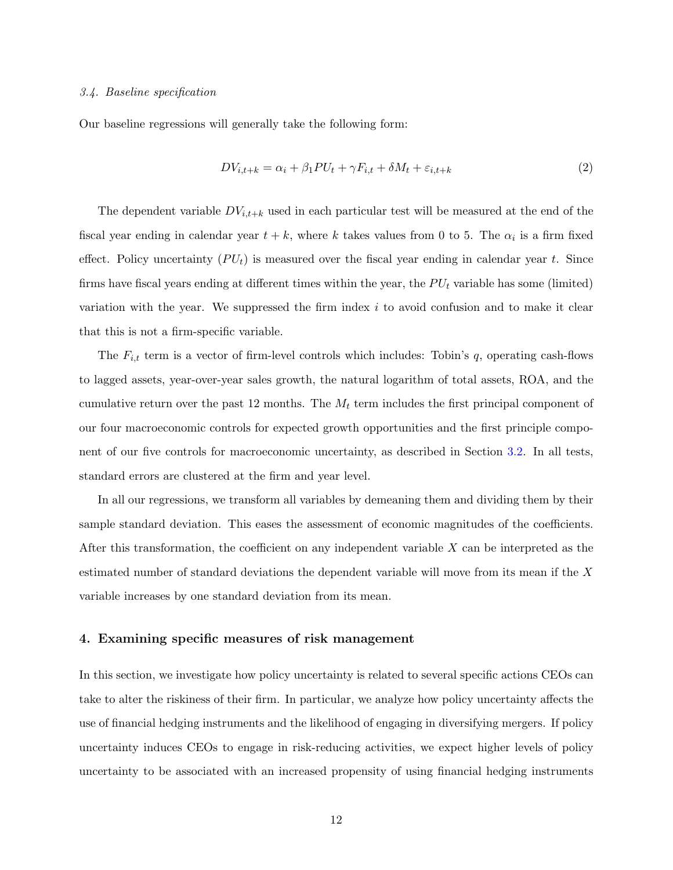#### 3.4. Baseline specification

Our baseline regressions will generally take the following form:

<span id="page-12-0"></span>
$$
DV_{i,t+k} = \alpha_i + \beta_1 PU_t + \gamma F_{i,t} + \delta M_t + \varepsilon_{i,t+k}
$$
\n<sup>(2)</sup>

The dependent variable  $DV_{i,t+k}$  used in each particular test will be measured at the end of the fiscal year ending in calendar year  $t + k$ , where k takes values from 0 to 5. The  $\alpha_i$  is a firm fixed effect. Policy uncertainty  $(PU_t)$  is measured over the fiscal year ending in calendar year t. Since firms have fiscal years ending at different times within the year, the  $PU_t$  variable has some (limited) variation with the year. We suppressed the firm index  $i$  to avoid confusion and to make it clear that this is not a firm-specific variable.

The  $F_{i,t}$  term is a vector of firm-level controls which includes: Tobin's q, operating cash-flows to lagged assets, year-over-year sales growth, the natural logarithm of total assets, ROA, and the cumulative return over the past 12 months. The  $M_t$  term includes the first principal component of our four macroeconomic controls for expected growth opportunities and the first principle component of our five controls for macroeconomic uncertainty, as described in Section [3.2.](#page-9-0) In all tests, standard errors are clustered at the firm and year level.

In all our regressions, we transform all variables by demeaning them and dividing them by their sample standard deviation. This eases the assessment of economic magnitudes of the coefficients. After this transformation, the coefficient on any independent variable  $X$  can be interpreted as the estimated number of standard deviations the dependent variable will move from its mean if the X variable increases by one standard deviation from its mean.

#### 4. Examining specific measures of risk management

In this section, we investigate how policy uncertainty is related to several specific actions CEOs can take to alter the riskiness of their firm. In particular, we analyze how policy uncertainty affects the use of financial hedging instruments and the likelihood of engaging in diversifying mergers. If policy uncertainty induces CEOs to engage in risk-reducing activities, we expect higher levels of policy uncertainty to be associated with an increased propensity of using financial hedging instruments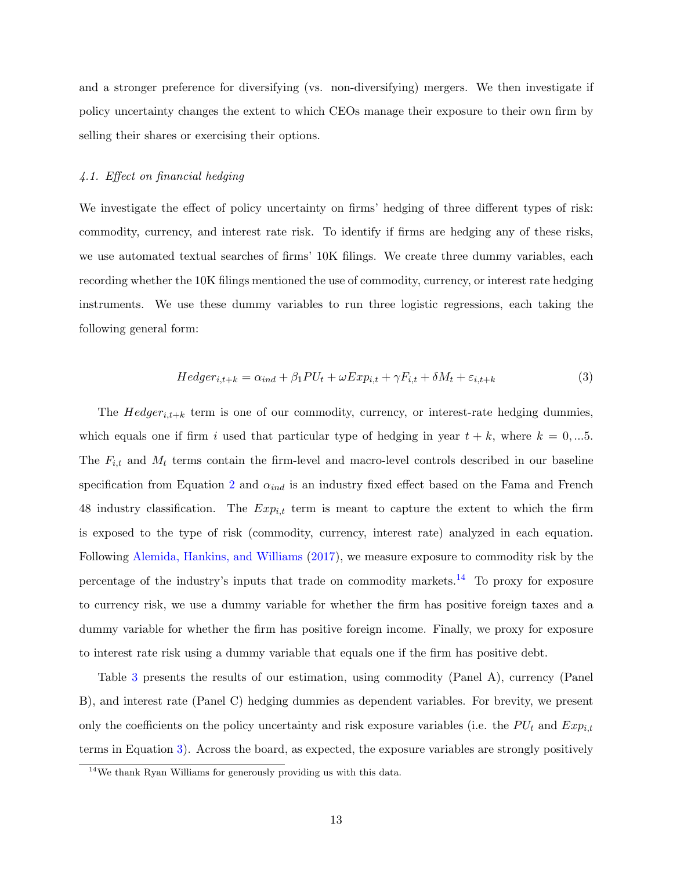and a stronger preference for diversifying (vs. non-diversifying) mergers. We then investigate if policy uncertainty changes the extent to which CEOs manage their exposure to their own firm by selling their shares or exercising their options.

#### <span id="page-13-1"></span>4.1. Effect on financial hedging

We investigate the effect of policy uncertainty on firms' hedging of three different types of risk: commodity, currency, and interest rate risk. To identify if firms are hedging any of these risks, we use automated textual searches of firms' 10K filings. We create three dummy variables, each recording whether the 10K filings mentioned the use of commodity, currency, or interest rate hedging instruments. We use these dummy variables to run three logistic regressions, each taking the following general form:

$$
Hedge_{i,t+k} = \alpha_{ind} + \beta_1 PU_t + \omega Exp_{i,t} + \gamma F_{i,t} + \delta M_t + \varepsilon_{i,t+k}
$$
\n
$$
\tag{3}
$$

<span id="page-13-0"></span>The  $Hedger_{i,t+k}$  term is one of our commodity, currency, or interest-rate hedging dummies, which equals one if firm i used that particular type of hedging in year  $t + k$ , where  $k = 0, ...5$ . The  $F_{i,t}$  and  $M_t$  terms contain the firm-level and macro-level controls described in our baseline specification from Equation [2](#page-12-0) and  $\alpha_{ind}$  is an industry fixed effect based on the Fama and French 48 industry classification. The  $Exp_{i,t}$  term is meant to capture the extent to which the firm is exposed to the type of risk (commodity, currency, interest rate) analyzed in each equation. Following [Alemida, Hankins, and Williams](#page-29-7) [\(2017\)](#page-29-7), we measure exposure to commodity risk by the percentage of the industry's inputs that trade on commodity markets.<sup>[14](#page-0-0)</sup> To proxy for exposure to currency risk, we use a dummy variable for whether the firm has positive foreign taxes and a dummy variable for whether the firm has positive foreign income. Finally, we proxy for exposure to interest rate risk using a dummy variable that equals one if the firm has positive debt.

Table [3](#page-35-0) presents the results of our estimation, using commodity (Panel A), currency (Panel B), and interest rate (Panel C) hedging dummies as dependent variables. For brevity, we present only the coefficients on the policy uncertainty and risk exposure variables (i.e. the  $PU_t$  and  $Exp_{i,t}$ terms in Equation [3\)](#page-13-0). Across the board, as expected, the exposure variables are strongly positively

 $14$ We thank Ryan Williams for generously providing us with this data.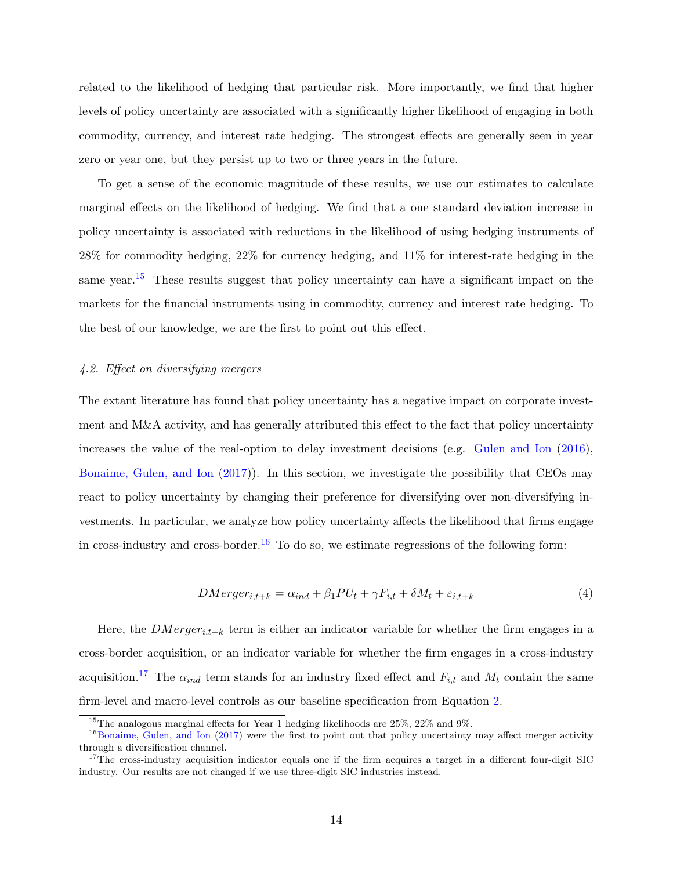related to the likelihood of hedging that particular risk. More importantly, we find that higher levels of policy uncertainty are associated with a significantly higher likelihood of engaging in both commodity, currency, and interest rate hedging. The strongest effects are generally seen in year zero or year one, but they persist up to two or three years in the future.

To get a sense of the economic magnitude of these results, we use our estimates to calculate marginal effects on the likelihood of hedging. We find that a one standard deviation increase in policy uncertainty is associated with reductions in the likelihood of using hedging instruments of 28% for commodity hedging, 22% for currency hedging, and 11% for interest-rate hedging in the same year.<sup>[15](#page-0-0)</sup> These results suggest that policy uncertainty can have a significant impact on the markets for the financial instruments using in commodity, currency and interest rate hedging. To the best of our knowledge, we are the first to point out this effect.

#### <span id="page-14-1"></span>4.2. Effect on diversifying mergers

The extant literature has found that policy uncertainty has a negative impact on corporate investment and M&A activity, and has generally attributed this effect to the fact that policy uncertainty increases the value of the real-option to delay investment decisions (e.g. [Gulen and Ion](#page-30-0) [\(2016\)](#page-30-0), [Bonaime, Gulen, and Ion](#page-29-0) [\(2017\)](#page-29-0)). In this section, we investigate the possibility that CEOs may react to policy uncertainty by changing their preference for diversifying over non-diversifying investments. In particular, we analyze how policy uncertainty affects the likelihood that firms engage in cross-industry and cross-border.<sup>[16](#page-0-0)</sup> To do so, we estimate regressions of the following form:

$$
DMerger_{i,t+k} = \alpha_{ind} + \beta_1 PU_t + \gamma F_{i,t} + \delta M_t + \varepsilon_{i,t+k}
$$
\n
$$
\tag{4}
$$

<span id="page-14-0"></span>Here, the  $DMerger_{i,t+k}$  term is either an indicator variable for whether the firm engages in a cross-border acquisition, or an indicator variable for whether the firm engages in a cross-industry acquisition.<sup>[17](#page-0-0)</sup> The  $\alpha_{ind}$  term stands for an industry fixed effect and  $F_{i,t}$  and  $M_t$  contain the same firm-level and macro-level controls as our baseline specification from Equation [2.](#page-12-0)

<sup>&</sup>lt;sup>15</sup>The analogous marginal effects for Year 1 hedging likelihoods are  $25\%$ ,  $22\%$  and  $9\%$ .

 $16$ [Bonaime, Gulen, and Ion](#page-29-0) [\(2017\)](#page-29-0) were the first to point out that policy uncertainty may affect merger activity through a diversification channel.

<sup>&</sup>lt;sup>17</sup>The cross-industry acquisition indicator equals one if the firm acquires a target in a different four-digit SIC industry. Our results are not changed if we use three-digit SIC industries instead.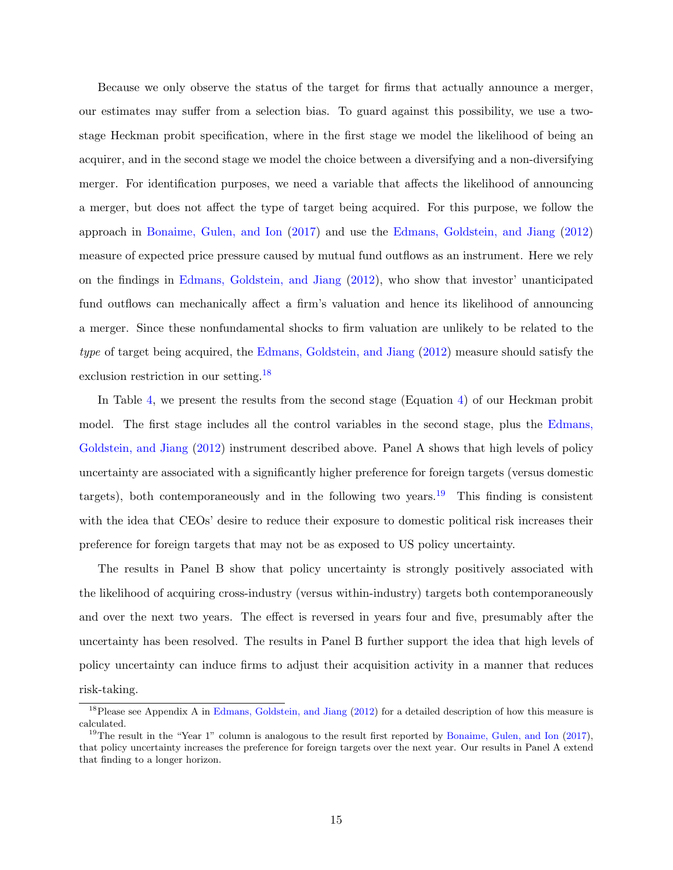Because we only observe the status of the target for firms that actually announce a merger, our estimates may suffer from a selection bias. To guard against this possibility, we use a twostage Heckman probit specification, where in the first stage we model the likelihood of being an acquirer, and in the second stage we model the choice between a diversifying and a non-diversifying merger. For identification purposes, we need a variable that affects the likelihood of announcing a merger, but does not affect the type of target being acquired. For this purpose, we follow the approach in [Bonaime, Gulen, and Ion](#page-29-0) [\(2017\)](#page-29-0) and use the [Edmans, Goldstein, and Jiang](#page-30-12) [\(2012\)](#page-30-12) measure of expected price pressure caused by mutual fund outflows as an instrument. Here we rely on the findings in [Edmans, Goldstein, and Jiang](#page-30-12) [\(2012\)](#page-30-12), who show that investor' unanticipated fund outflows can mechanically affect a firm's valuation and hence its likelihood of announcing a merger. Since these nonfundamental shocks to firm valuation are unlikely to be related to the type of target being acquired, the [Edmans, Goldstein, and Jiang](#page-30-12) [\(2012\)](#page-30-12) measure should satisfy the exclusion restriction in our setting <sup>[18](#page-0-0)</sup>

In Table [4,](#page-36-0) we present the results from the second stage (Equation [4\)](#page-14-0) of our Heckman probit model. The first stage includes all the control variables in the second stage, plus the [Edmans,](#page-30-12) [Goldstein, and Jiang](#page-30-12) [\(2012\)](#page-30-12) instrument described above. Panel A shows that high levels of policy uncertainty are associated with a significantly higher preference for foreign targets (versus domestic targets), both contemporaneously and in the following two years.<sup>[19](#page-0-0)</sup> This finding is consistent with the idea that CEOs' desire to reduce their exposure to domestic political risk increases their preference for foreign targets that may not be as exposed to US policy uncertainty.

The results in Panel B show that policy uncertainty is strongly positively associated with the likelihood of acquiring cross-industry (versus within-industry) targets both contemporaneously and over the next two years. The effect is reversed in years four and five, presumably after the uncertainty has been resolved. The results in Panel B further support the idea that high levels of policy uncertainty can induce firms to adjust their acquisition activity in a manner that reduces risk-taking.

<span id="page-15-0"></span> $18$ Please see Appendix A in [Edmans, Goldstein, and Jiang](#page-30-12) [\(2012\)](#page-30-12) for a detailed description of how this measure is calculated.

<sup>&</sup>lt;sup>19</sup>The result in the "Year 1" column is analogous to the result first reported by [Bonaime, Gulen, and Ion](#page-29-0)  $(2017)$ , that policy uncertainty increases the preference for foreign targets over the next year. Our results in Panel A extend that finding to a longer horizon.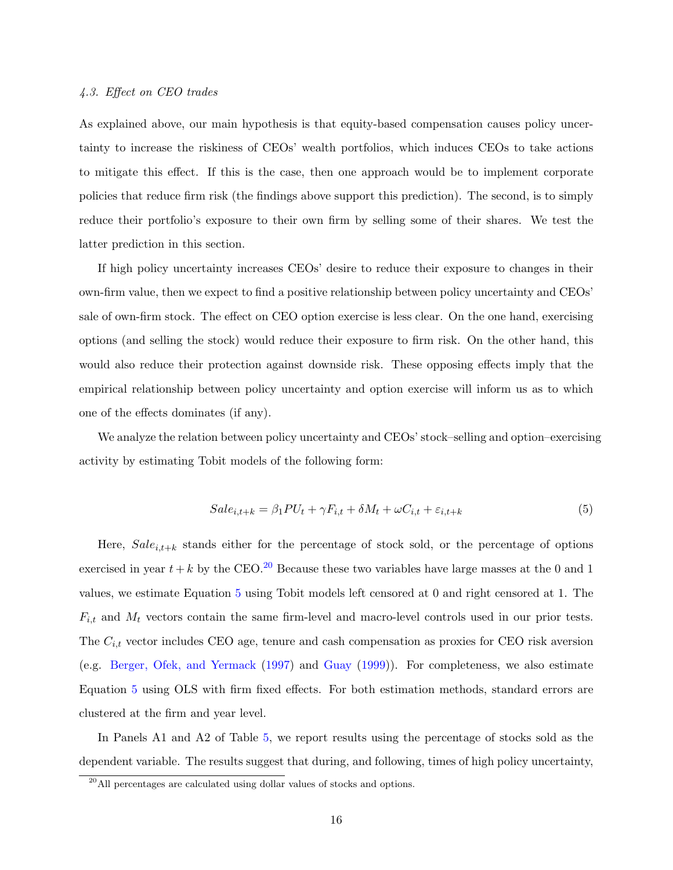#### 4.3. Effect on CEO trades

As explained above, our main hypothesis is that equity-based compensation causes policy uncertainty to increase the riskiness of CEOs' wealth portfolios, which induces CEOs to take actions to mitigate this effect. If this is the case, then one approach would be to implement corporate policies that reduce firm risk (the findings above support this prediction). The second, is to simply reduce their portfolio's exposure to their own firm by selling some of their shares. We test the latter prediction in this section.

If high policy uncertainty increases CEOs' desire to reduce their exposure to changes in their own-firm value, then we expect to find a positive relationship between policy uncertainty and CEOs' sale of own-firm stock. The effect on CEO option exercise is less clear. On the one hand, exercising options (and selling the stock) would reduce their exposure to firm risk. On the other hand, this would also reduce their protection against downside risk. These opposing effects imply that the empirical relationship between policy uncertainty and option exercise will inform us as to which one of the effects dominates (if any).

<span id="page-16-0"></span>We analyze the relation between policy uncertainty and CEOs' stock–selling and option–exercising activity by estimating Tobit models of the following form:

$$
Sale_{i,t+k} = \beta_1 PU_t + \gamma F_{i,t} + \delta M_t + \omega C_{i,t} + \varepsilon_{i,t+k}
$$
\n
$$
\tag{5}
$$

Here,  $Sale_{i,t+k}$  stands either for the percentage of stock sold, or the percentage of options exercised in year  $t + k$  by the CEO.<sup>[20](#page-0-0)</sup> Because these two variables have large masses at the 0 and 1 values, we estimate Equation [5](#page-16-0) using Tobit models left censored at 0 and right censored at 1. The  $F_{i,t}$  and  $M_t$  vectors contain the same firm-level and macro-level controls used in our prior tests. The  $C_{i,t}$  vector includes CEO age, tenure and cash compensation as proxies for CEO risk aversion (e.g. [Berger, Ofek, and Yermack](#page-29-3) [\(1997\)](#page-29-3) and [Guay](#page-30-5) [\(1999\)](#page-30-5)). For completeness, we also estimate Equation [5](#page-16-0) using OLS with firm fixed effects. For both estimation methods, standard errors are clustered at the firm and year level.

In Panels A1 and A2 of Table [5,](#page-37-0) we report results using the percentage of stocks sold as the dependent variable. The results suggest that during, and following, times of high policy uncertainty,

 $^{20}$ All percentages are calculated using dollar values of stocks and options.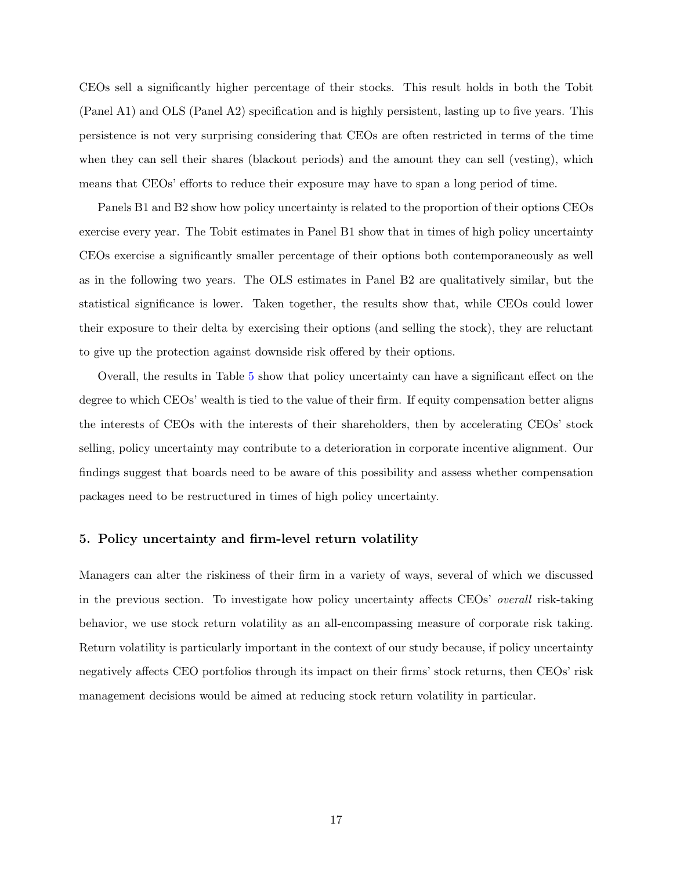CEOs sell a significantly higher percentage of their stocks. This result holds in both the Tobit (Panel A1) and OLS (Panel A2) specification and is highly persistent, lasting up to five years. This persistence is not very surprising considering that CEOs are often restricted in terms of the time when they can sell their shares (blackout periods) and the amount they can sell (vesting), which means that CEOs' efforts to reduce their exposure may have to span a long period of time.

Panels B1 and B2 show how policy uncertainty is related to the proportion of their options CEOs exercise every year. The Tobit estimates in Panel B1 show that in times of high policy uncertainty CEOs exercise a significantly smaller percentage of their options both contemporaneously as well as in the following two years. The OLS estimates in Panel B2 are qualitatively similar, but the statistical significance is lower. Taken together, the results show that, while CEOs could lower their exposure to their delta by exercising their options (and selling the stock), they are reluctant to give up the protection against downside risk offered by their options.

Overall, the results in Table [5](#page-37-0) show that policy uncertainty can have a significant effect on the degree to which CEOs' wealth is tied to the value of their firm. If equity compensation better aligns the interests of CEOs with the interests of their shareholders, then by accelerating CEOs' stock selling, policy uncertainty may contribute to a deterioration in corporate incentive alignment. Our findings suggest that boards need to be aware of this possibility and assess whether compensation packages need to be restructured in times of high policy uncertainty.

#### 5. Policy uncertainty and firm-level return volatility

<span id="page-17-0"></span>Managers can alter the riskiness of their firm in a variety of ways, several of which we discussed in the previous section. To investigate how policy uncertainty affects CEOs' overall risk-taking behavior, we use stock return volatility as an all-encompassing measure of corporate risk taking. Return volatility is particularly important in the context of our study because, if policy uncertainty negatively affects CEO portfolios through its impact on their firms' stock returns, then CEOs' risk management decisions would be aimed at reducing stock return volatility in particular.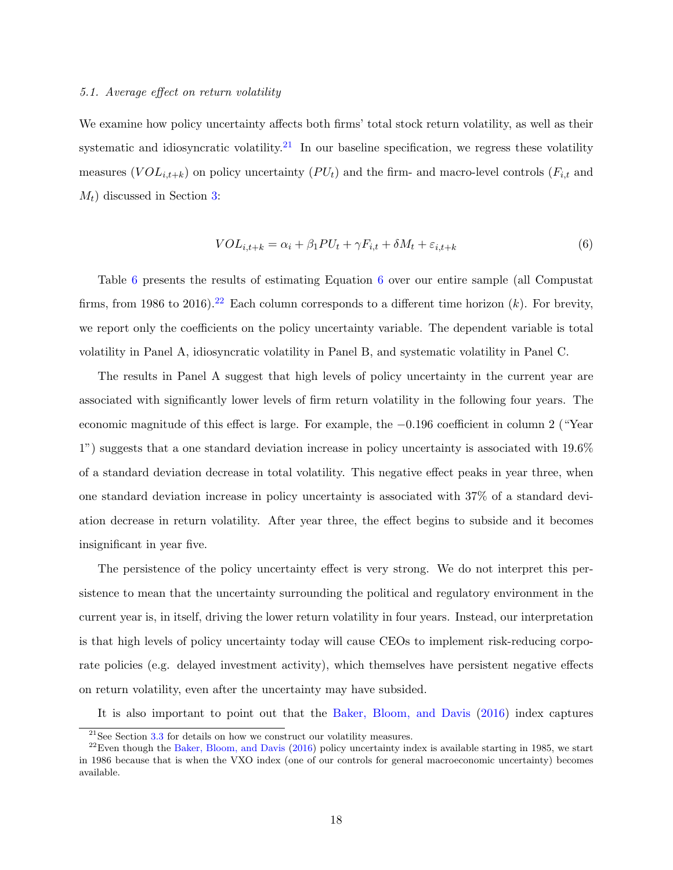#### 5.1. Average effect on return volatility

We examine how policy uncertainty affects both firms' total stock return volatility, as well as their systematic and idiosyncratic volatility.<sup>[21](#page-0-0)</sup> In our baseline specification, we regress these volatility measures ( $VOL_{i,t+k}$ ) on policy uncertainty ( $PU_t$ ) and the firm- and macro-level controls ( $F_{i,t}$  and  $M_t$ ) discussed in Section [3:](#page-7-0)

$$
VOL_{i,t+k} = \alpha_i + \beta_1 PU_t + \gamma F_{i,t} + \delta M_t + \varepsilon_{i,t+k}
$$
\n
$$
\tag{6}
$$

<span id="page-18-0"></span>Table [6](#page-38-0) presents the results of estimating Equation [6](#page-18-0) over our entire sample (all Compustat firms, from 1986 to 2016).<sup>[22](#page-0-0)</sup> Each column corresponds to a different time horizon (k). For brevity, we report only the coefficients on the policy uncertainty variable. The dependent variable is total volatility in Panel A, idiosyncratic volatility in Panel B, and systematic volatility in Panel C.

The results in Panel A suggest that high levels of policy uncertainty in the current year are associated with significantly lower levels of firm return volatility in the following four years. The economic magnitude of this effect is large. For example, the −0.196 coefficient in column 2 ("Year 1") suggests that a one standard deviation increase in policy uncertainty is associated with 19.6% of a standard deviation decrease in total volatility. This negative effect peaks in year three, when one standard deviation increase in policy uncertainty is associated with 37% of a standard deviation decrease in return volatility. After year three, the effect begins to subside and it becomes insignificant in year five.

The persistence of the policy uncertainty effect is very strong. We do not interpret this persistence to mean that the uncertainty surrounding the political and regulatory environment in the current year is, in itself, driving the lower return volatility in four years. Instead, our interpretation is that high levels of policy uncertainty today will cause CEOs to implement risk-reducing corporate policies (e.g. delayed investment activity), which themselves have persistent negative effects on return volatility, even after the uncertainty may have subsided.

It is also important to point out that the [Baker, Bloom, and Davis](#page-29-6) [\(2016\)](#page-29-6) index captures

 $21$ See Section [3.3](#page-10-0) for details on how we construct our volatility measures.

<sup>&</sup>lt;sup>22</sup>Even though the [Baker, Bloom, and Davis](#page-29-6) [\(2016\)](#page-29-6) policy uncertainty index is available starting in 1985, we start in 1986 because that is when the VXO index (one of our controls for general macroeconomic uncertainty) becomes available.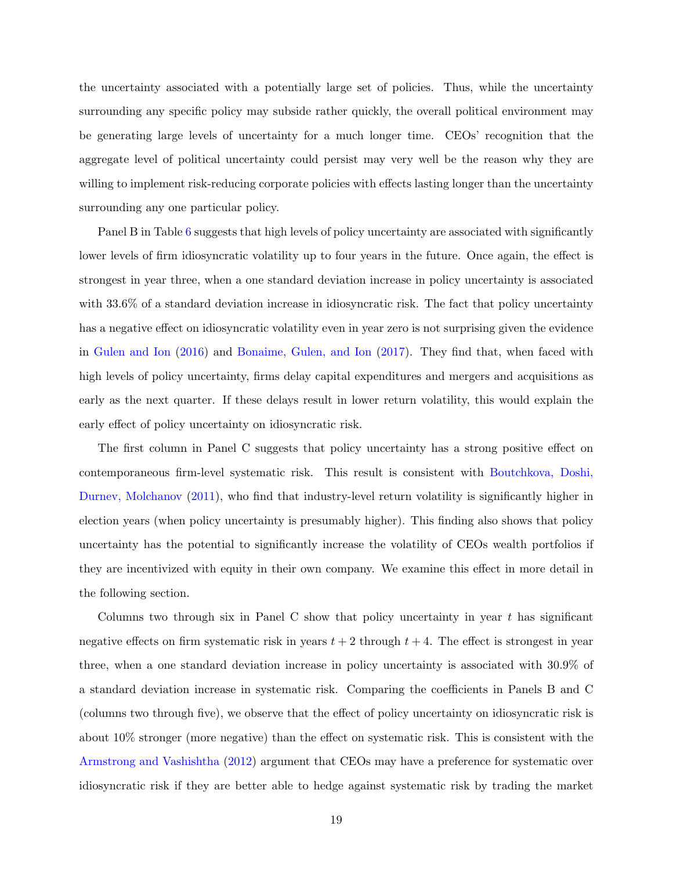the uncertainty associated with a potentially large set of policies. Thus, while the uncertainty surrounding any specific policy may subside rather quickly, the overall political environment may be generating large levels of uncertainty for a much longer time. CEOs' recognition that the aggregate level of political uncertainty could persist may very well be the reason why they are willing to implement risk-reducing corporate policies with effects lasting longer than the uncertainty surrounding any one particular policy.

Panel B in Table [6](#page-38-0) suggests that high levels of policy uncertainty are associated with significantly lower levels of firm idiosyncratic volatility up to four years in the future. Once again, the effect is strongest in year three, when a one standard deviation increase in policy uncertainty is associated with 33.6% of a standard deviation increase in idiosyncratic risk. The fact that policy uncertainty has a negative effect on idiosyncratic volatility even in year zero is not surprising given the evidence in [Gulen and Ion](#page-30-0) [\(2016\)](#page-30-0) and [Bonaime, Gulen, and Ion](#page-29-0) [\(2017\)](#page-29-0). They find that, when faced with high levels of policy uncertainty, firms delay capital expenditures and mergers and acquisitions as early as the next quarter. If these delays result in lower return volatility, this would explain the early effect of policy uncertainty on idiosyncratic risk.

The first column in Panel C suggests that policy uncertainty has a strong positive effect on contemporaneous firm-level systematic risk. This result is consistent with [Boutchkova, Doshi,](#page-29-2) [Durnev, Molchanov](#page-29-2) [\(2011\)](#page-29-2), who find that industry-level return volatility is significantly higher in election years (when policy uncertainty is presumably higher). This finding also shows that policy uncertainty has the potential to significantly increase the volatility of CEOs wealth portfolios if they are incentivized with equity in their own company. We examine this effect in more detail in the following section.

Columns two through six in Panel C show that policy uncertainty in year  $t$  has significant negative effects on firm systematic risk in years  $t + 2$  through  $t + 4$ . The effect is strongest in year three, when a one standard deviation increase in policy uncertainty is associated with 30.9% of a standard deviation increase in systematic risk. Comparing the coefficients in Panels B and C (columns two through five), we observe that the effect of policy uncertainty on idiosyncratic risk is about 10% stronger (more negative) than the effect on systematic risk. This is consistent with the [Armstrong and Vashishtha](#page-29-5) [\(2012\)](#page-29-5) argument that CEOs may have a preference for systematic over idiosyncratic risk if they are better able to hedge against systematic risk by trading the market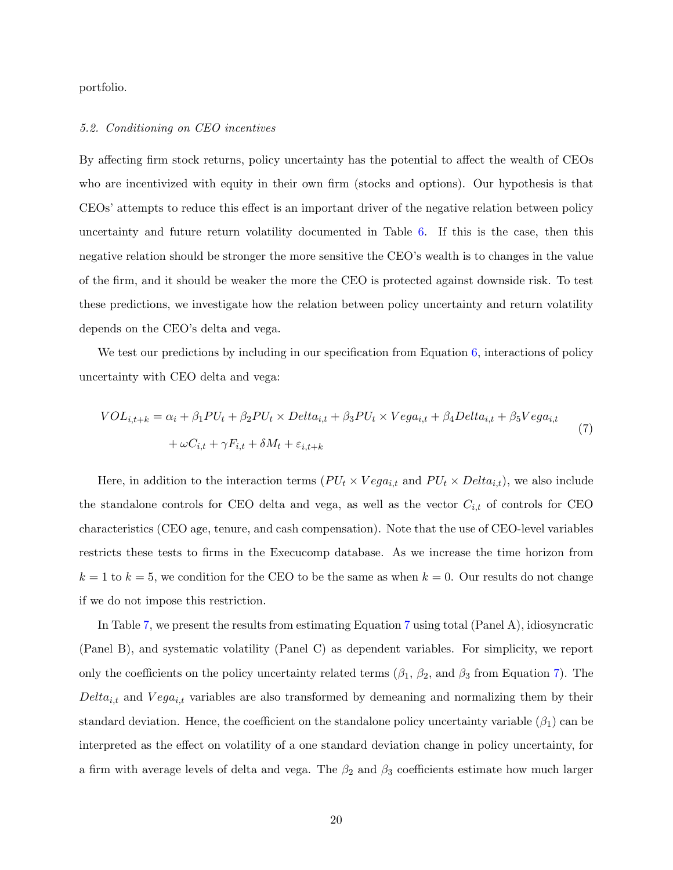<span id="page-20-1"></span>portfolio.

#### 5.2. Conditioning on CEO incentives

By affecting firm stock returns, policy uncertainty has the potential to affect the wealth of CEOs who are incentivized with equity in their own firm (stocks and options). Our hypothesis is that CEOs' attempts to reduce this effect is an important driver of the negative relation between policy uncertainty and future return volatility documented in Table [6.](#page-38-0) If this is the case, then this negative relation should be stronger the more sensitive the CEO's wealth is to changes in the value of the firm, and it should be weaker the more the CEO is protected against downside risk. To test these predictions, we investigate how the relation between policy uncertainty and return volatility depends on the CEO's delta and vega.

We test our predictions by including in our specification from Equation [6,](#page-18-0) interactions of policy uncertainty with CEO delta and vega:

<span id="page-20-0"></span>
$$
VOL_{i,t+k} = \alpha_i + \beta_1 PU_t + \beta_2 PU_t \times Delta_{i,t} + \beta_3 PU_t \times Vega_{i,t} + \beta_4 Delta_{i,t} + \beta_5 Vega_{i,t}
$$
  
+ 
$$
\omega C_{i,t} + \gamma F_{i,t} + \delta M_t + \varepsilon_{i,t+k}
$$
 (7)

Here, in addition to the interaction terms  $(PU_t \times Vega_{i,t}$  and  $PU_t \times Delta_{i,t})$ , we also include the standalone controls for CEO delta and vega, as well as the vector  $C_{i,t}$  of controls for CEO characteristics (CEO age, tenure, and cash compensation). Note that the use of CEO-level variables restricts these tests to firms in the Execucomp database. As we increase the time horizon from  $k = 1$  to  $k = 5$ , we condition for the CEO to be the same as when  $k = 0$ . Our results do not change if we do not impose this restriction.

In Table [7,](#page-39-0) we present the results from estimating Equation [7](#page-20-0) using total (Panel A), idiosyncratic (Panel B), and systematic volatility (Panel C) as dependent variables. For simplicity, we report only the coefficients on the policy uncertainty related terms  $(\beta_1, \beta_2, \text{ and } \beta_3 \text{ from Equation 7})$ . The  $Delta_{i,t}$  and  $Vega_{i,t}$  variables are also transformed by demeaning and normalizing them by their standard deviation. Hence, the coefficient on the standalone policy uncertainty variable  $(\beta_1)$  can be interpreted as the effect on volatility of a one standard deviation change in policy uncertainty, for a firm with average levels of delta and vega. The  $\beta_2$  and  $\beta_3$  coefficients estimate how much larger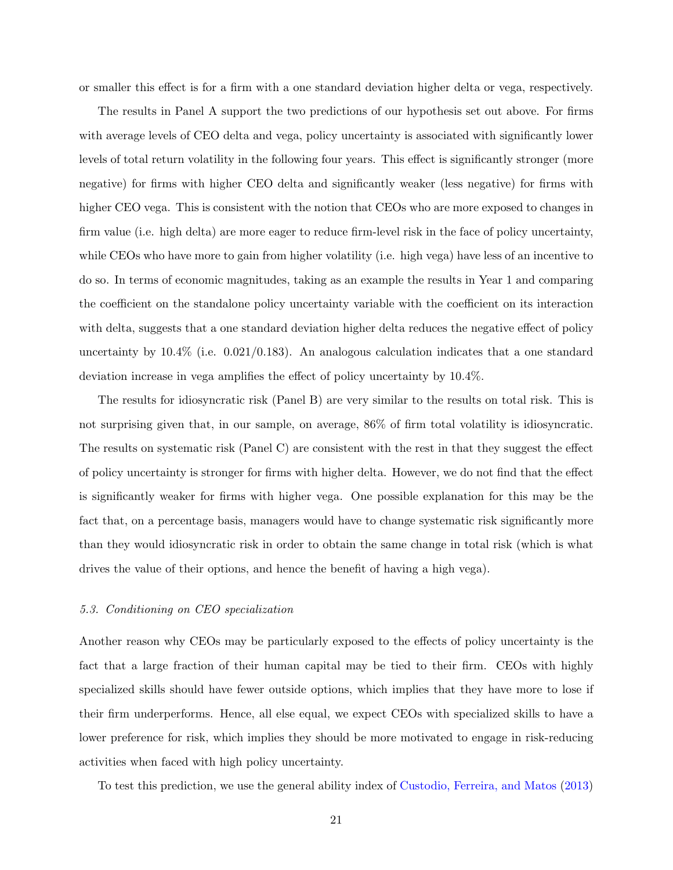or smaller this effect is for a firm with a one standard deviation higher delta or vega, respectively.

The results in Panel A support the two predictions of our hypothesis set out above. For firms with average levels of CEO delta and vega, policy uncertainty is associated with significantly lower levels of total return volatility in the following four years. This effect is significantly stronger (more negative) for firms with higher CEO delta and significantly weaker (less negative) for firms with higher CEO vega. This is consistent with the notion that CEOs who are more exposed to changes in firm value (i.e. high delta) are more eager to reduce firm-level risk in the face of policy uncertainty, while CEOs who have more to gain from higher volatility (i.e. high vega) have less of an incentive to do so. In terms of economic magnitudes, taking as an example the results in Year 1 and comparing the coefficient on the standalone policy uncertainty variable with the coefficient on its interaction with delta, suggests that a one standard deviation higher delta reduces the negative effect of policy uncertainty by 10.4% (i.e. 0.021/0.183). An analogous calculation indicates that a one standard deviation increase in vega amplifies the effect of policy uncertainty by 10.4%.

The results for idiosyncratic risk (Panel B) are very similar to the results on total risk. This is not surprising given that, in our sample, on average, 86% of firm total volatility is idiosyncratic. The results on systematic risk (Panel C) are consistent with the rest in that they suggest the effect of policy uncertainty is stronger for firms with higher delta. However, we do not find that the effect is significantly weaker for firms with higher vega. One possible explanation for this may be the fact that, on a percentage basis, managers would have to change systematic risk significantly more than they would idiosyncratic risk in order to obtain the same change in total risk (which is what drives the value of their options, and hence the benefit of having a high vega).

#### <span id="page-21-0"></span>5.3. Conditioning on CEO specialization

Another reason why CEOs may be particularly exposed to the effects of policy uncertainty is the fact that a large fraction of their human capital may be tied to their firm. CEOs with highly specialized skills should have fewer outside options, which implies that they have more to lose if their firm underperforms. Hence, all else equal, we expect CEOs with specialized skills to have a lower preference for risk, which implies they should be more motivated to engage in risk-reducing activities when faced with high policy uncertainty.

To test this prediction, we use the general ability index of [Custodio, Ferreira, and Matos](#page-30-6) [\(2013\)](#page-30-6)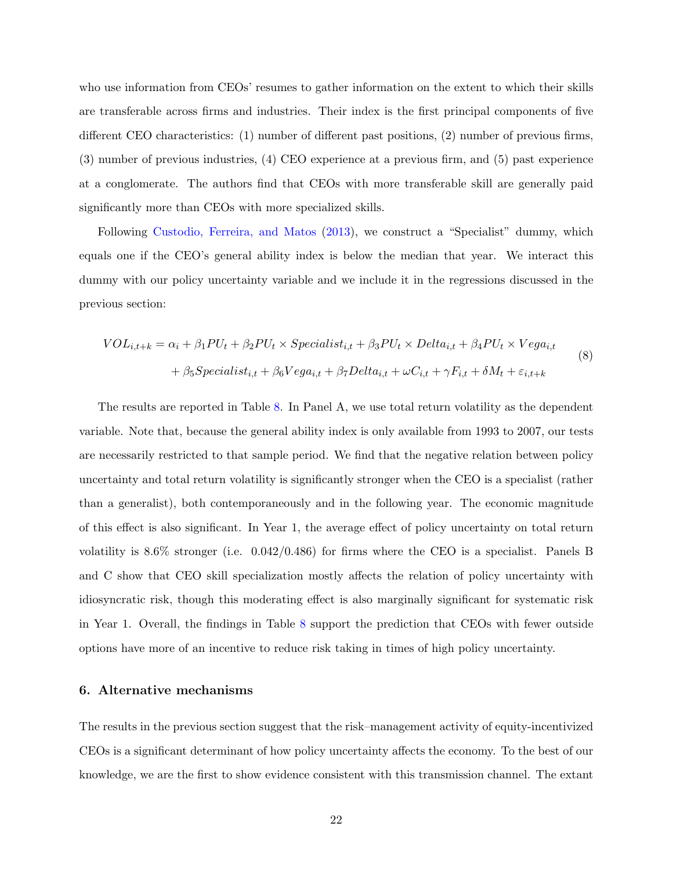who use information from CEOs' resumes to gather information on the extent to which their skills are transferable across firms and industries. Their index is the first principal components of five different CEO characteristics: (1) number of different past positions, (2) number of previous firms, (3) number of previous industries, (4) CEO experience at a previous firm, and (5) past experience at a conglomerate. The authors find that CEOs with more transferable skill are generally paid significantly more than CEOs with more specialized skills.

Following [Custodio, Ferreira, and Matos](#page-30-6) [\(2013\)](#page-30-6), we construct a "Specialist" dummy, which equals one if the CEO's general ability index is below the median that year. We interact this dummy with our policy uncertainty variable and we include it in the regressions discussed in the previous section:

<span id="page-22-0"></span>
$$
VOL_{i,t+k} = \alpha_i + \beta_1 PU_t + \beta_2 PU_t \times Specialist_{i,t} + \beta_3 PU_t \times Delta_{i,t} + \beta_4 PU_t \times Vega_{i,t}
$$
  
+ 
$$
\beta_5 Specialist_{i,t} + \beta_6 Vega_{i,t} + \beta_7 Delta_{i,t} + \omega C_{i,t} + \gamma F_{i,t} + \delta M_t + \varepsilon_{i,t+k}
$$
(8)

The results are reported in Table [8.](#page-40-0) In Panel A, we use total return volatility as the dependent variable. Note that, because the general ability index is only available from 1993 to 2007, our tests are necessarily restricted to that sample period. We find that the negative relation between policy uncertainty and total return volatility is significantly stronger when the CEO is a specialist (rather than a generalist), both contemporaneously and in the following year. The economic magnitude of this effect is also significant. In Year 1, the average effect of policy uncertainty on total return volatility is 8.6% stronger (i.e. 0.042/0.486) for firms where the CEO is a specialist. Panels B and C show that CEO skill specialization mostly affects the relation of policy uncertainty with idiosyncratic risk, though this moderating effect is also marginally significant for systematic risk in Year 1. Overall, the findings in Table [8](#page-40-0) support the prediction that CEOs with fewer outside options have more of an incentive to reduce risk taking in times of high policy uncertainty.

#### <span id="page-22-1"></span>6. Alternative mechanisms

The results in the previous section suggest that the risk–management activity of equity-incentivized CEOs is a significant determinant of how policy uncertainty affects the economy. To the best of our knowledge, we are the first to show evidence consistent with this transmission channel. The extant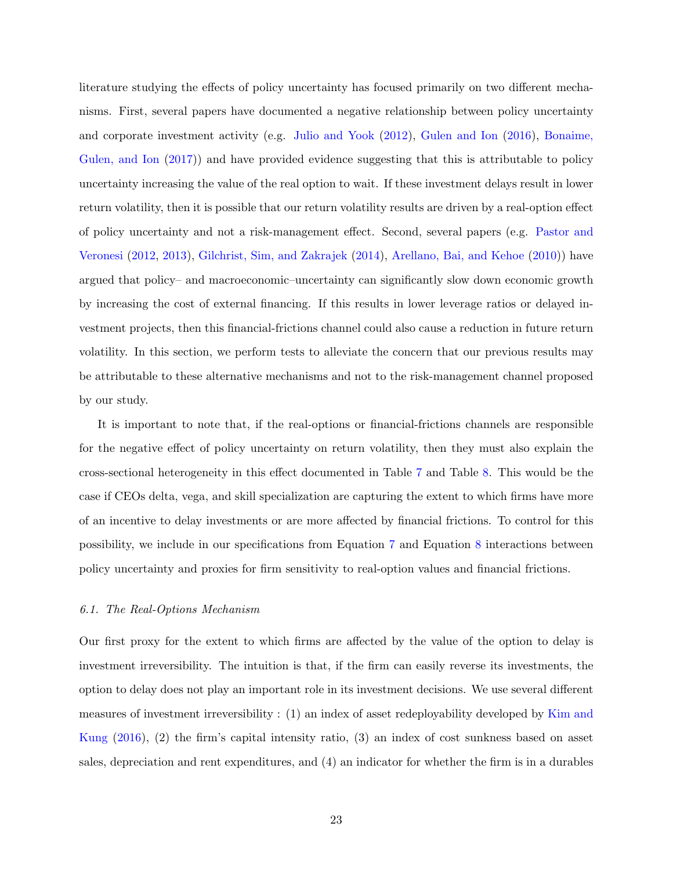literature studying the effects of policy uncertainty has focused primarily on two different mechanisms. First, several papers have documented a negative relationship between policy uncertainty and corporate investment activity (e.g. [Julio and Yook](#page-31-0) [\(2012\)](#page-31-0), [Gulen and Ion](#page-30-0) [\(2016\)](#page-30-0), [Bonaime,](#page-29-0) [Gulen, and Ion](#page-29-0) [\(2017\)](#page-29-0)) and have provided evidence suggesting that this is attributable to policy uncertainty increasing the value of the real option to wait. If these investment delays result in lower return volatility, then it is possible that our return volatility results are driven by a real-option effect of policy uncertainty and not a risk-management effect. Second, several papers (e.g. [Pastor and](#page-31-1) [Veronesi](#page-31-1) [\(2012,](#page-31-1) [2013\)](#page-31-2), [Gilchrist, Sim, and Zakrajek](#page-30-1) [\(2014\)](#page-30-1), [Arellano, Bai, and Kehoe](#page-29-1) [\(2010\)](#page-29-1)) have argued that policy– and macroeconomic–uncertainty can significantly slow down economic growth by increasing the cost of external financing. If this results in lower leverage ratios or delayed investment projects, then this financial-frictions channel could also cause a reduction in future return volatility. In this section, we perform tests to alleviate the concern that our previous results may be attributable to these alternative mechanisms and not to the risk-management channel proposed by our study.

It is important to note that, if the real-options or financial-frictions channels are responsible for the negative effect of policy uncertainty on return volatility, then they must also explain the cross-sectional heterogeneity in this effect documented in Table [7](#page-39-0) and Table [8.](#page-40-0) This would be the case if CEOs delta, vega, and skill specialization are capturing the extent to which firms have more of an incentive to delay investments or are more affected by financial frictions. To control for this possibility, we include in our specifications from Equation [7](#page-20-0) and Equation [8](#page-22-0) interactions between policy uncertainty and proxies for firm sensitivity to real-option values and financial frictions.

#### 6.1. The Real-Options Mechanism

Our first proxy for the extent to which firms are affected by the value of the option to delay is investment irreversibility. The intuition is that, if the firm can easily reverse its investments, the option to delay does not play an important role in its investment decisions. We use several different measures of investment irreversibility : (1) an index of asset redeployability developed by [Kim and](#page-31-9) [Kung](#page-31-9) [\(2016\)](#page-31-9), (2) the firm's capital intensity ratio, (3) an index of cost sunkness based on asset sales, depreciation and rent expenditures, and (4) an indicator for whether the firm is in a durables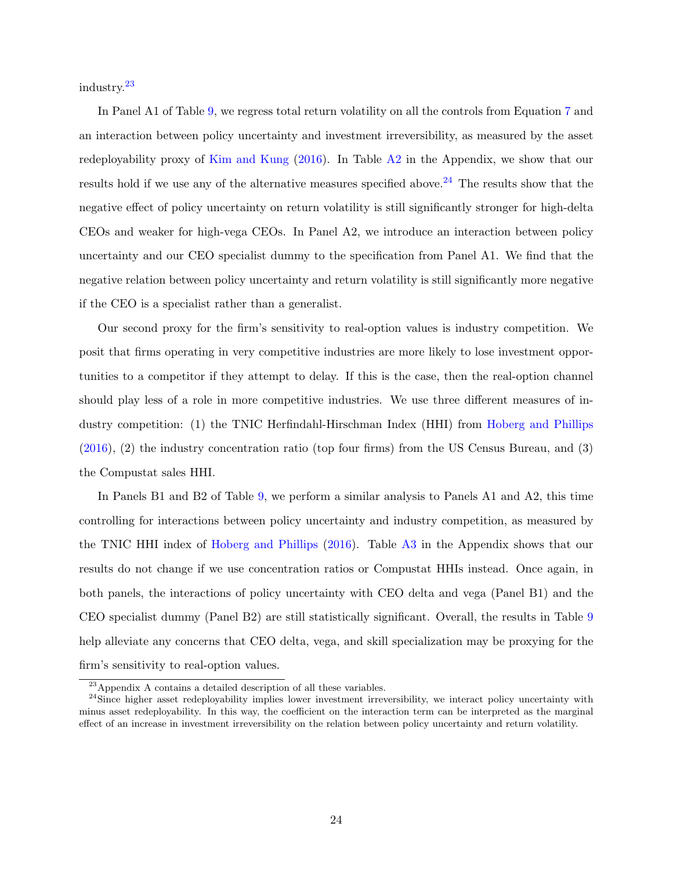industry.[23](#page-0-0)

In Panel A1 of Table [9,](#page-42-0) we regress total return volatility on all the controls from Equation [7](#page-20-0) and an interaction between policy uncertainty and investment irreversibility, as measured by the asset redeployability proxy of [Kim and Kung](#page-31-9) [\(2016\)](#page-31-9). In Table [A2](#page-51-0) in the Appendix, we show that our results hold if we use any of the alternative measures specified above.<sup>[24](#page-0-0)</sup> The results show that the negative effect of policy uncertainty on return volatility is still significantly stronger for high-delta CEOs and weaker for high-vega CEOs. In Panel A2, we introduce an interaction between policy uncertainty and our CEO specialist dummy to the specification from Panel A1. We find that the negative relation between policy uncertainty and return volatility is still significantly more negative if the CEO is a specialist rather than a generalist.

Our second proxy for the firm's sensitivity to real-option values is industry competition. We posit that firms operating in very competitive industries are more likely to lose investment opportunities to a competitor if they attempt to delay. If this is the case, then the real-option channel should play less of a role in more competitive industries. We use three different measures of industry competition: (1) the TNIC Herfindahl-Hirschman Index (HHI) from [Hoberg and Phillips](#page-30-13) [\(2016\)](#page-30-13), (2) the industry concentration ratio (top four firms) from the US Census Bureau, and (3) the Compustat sales HHI.

In Panels B1 and B2 of Table [9,](#page-42-0) we perform a similar analysis to Panels A1 and A2, this time controlling for interactions between policy uncertainty and industry competition, as measured by the TNIC HHI index of [Hoberg and Phillips](#page-30-13) [\(2016\)](#page-30-13). Table [A3](#page-53-0) in the Appendix shows that our results do not change if we use concentration ratios or Compustat HHIs instead. Once again, in both panels, the interactions of policy uncertainty with CEO delta and vega (Panel B1) and the CEO specialist dummy (Panel B2) are still statistically significant. Overall, the results in Table [9](#page-42-0) help alleviate any concerns that CEO delta, vega, and skill specialization may be proxying for the firm's sensitivity to real-option values.

<sup>23</sup>Appendix A contains a detailed description of all these variables.

 $^{24}$ Since higher asset redeployability implies lower investment irreversibility, we interact policy uncertainty with minus asset redeployability. In this way, the coefficient on the interaction term can be interpreted as the marginal effect of an increase in investment irreversibility on the relation between policy uncertainty and return volatility.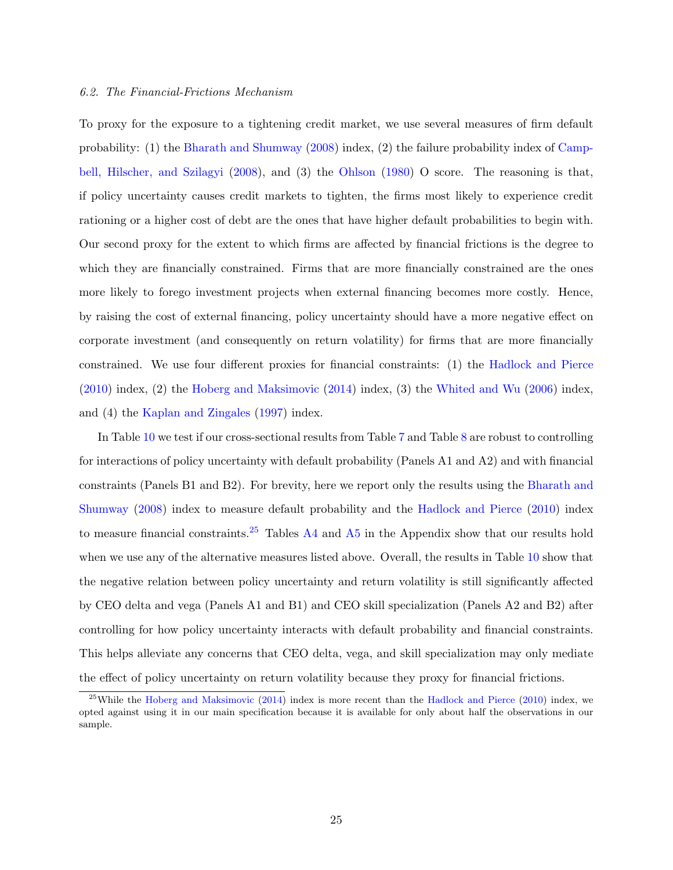#### 6.2. The Financial-Frictions Mechanism

To proxy for the exposure to a tightening credit market, we use several measures of firm default probability: (1) the [Bharath and Shumway](#page-29-8) [\(2008\)](#page-29-8) index, (2) the failure probability index of [Camp](#page-29-9)[bell, Hilscher, and Szilagyi](#page-29-9) [\(2008\)](#page-29-9), and (3) the [Ohlson](#page-31-10) [\(1980\)](#page-31-10) O score. The reasoning is that, if policy uncertainty causes credit markets to tighten, the firms most likely to experience credit rationing or a higher cost of debt are the ones that have higher default probabilities to begin with. Our second proxy for the extent to which firms are affected by financial frictions is the degree to which they are financially constrained. Firms that are more financially constrained are the ones more likely to forego investment projects when external financing becomes more costly. Hence, by raising the cost of external financing, policy uncertainty should have a more negative effect on corporate investment (and consequently on return volatility) for firms that are more financially constrained. We use four different proxies for financial constraints: (1) the [Hadlock and Pierce](#page-30-14) [\(2010\)](#page-30-14) index, (2) the [Hoberg and Maksimovic](#page-30-15) [\(2014\)](#page-30-15) index, (3) the [Whited and Wu](#page-31-11) [\(2006\)](#page-31-11) index, and (4) the [Kaplan and Zingales](#page-31-12) [\(1997\)](#page-31-12) index.

In Table [10](#page-44-0) we test if our cross-sectional results from Table [7](#page-39-0) and Table [8](#page-40-0) are robust to controlling for interactions of policy uncertainty with default probability (Panels A1 and A2) and with financial constraints (Panels B1 and B2). For brevity, here we report only the results using the [Bharath and](#page-29-8) [Shumway](#page-29-8) [\(2008\)](#page-29-8) index to measure default probability and the [Hadlock and Pierce](#page-30-14) [\(2010\)](#page-30-14) index to measure financial constraints.<sup>[25](#page-0-0)</sup> Tables  $A4$  and  $A5$  in the Appendix show that our results hold when we use any of the alternative measures listed above. Overall, the results in Table [10](#page-44-0) show that the negative relation between policy uncertainty and return volatility is still significantly affected by CEO delta and vega (Panels A1 and B1) and CEO skill specialization (Panels A2 and B2) after controlling for how policy uncertainty interacts with default probability and financial constraints. This helps alleviate any concerns that CEO delta, vega, and skill specialization may only mediate the effect of policy uncertainty on return volatility because they proxy for financial frictions.

<span id="page-25-0"></span> $^{25}$ While the [Hoberg and Maksimovic](#page-30-15) [\(2014\)](#page-30-15) index is more recent than the [Hadlock and Pierce](#page-30-14) [\(2010\)](#page-30-14) index, we opted against using it in our main specification because it is available for only about half the observations in our sample.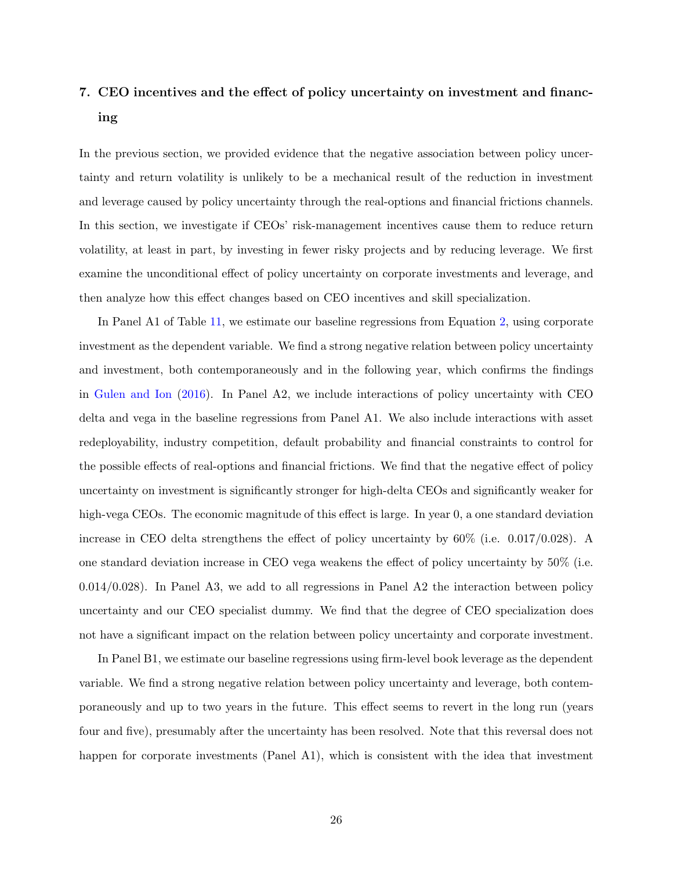## 7. CEO incentives and the effect of policy uncertainty on investment and financing

In the previous section, we provided evidence that the negative association between policy uncertainty and return volatility is unlikely to be a mechanical result of the reduction in investment and leverage caused by policy uncertainty through the real-options and financial frictions channels. In this section, we investigate if CEOs' risk-management incentives cause them to reduce return volatility, at least in part, by investing in fewer risky projects and by reducing leverage. We first examine the unconditional effect of policy uncertainty on corporate investments and leverage, and then analyze how this effect changes based on CEO incentives and skill specialization.

In Panel A1 of Table [11,](#page-46-0) we estimate our baseline regressions from Equation [2,](#page-12-0) using corporate investment as the dependent variable. We find a strong negative relation between policy uncertainty and investment, both contemporaneously and in the following year, which confirms the findings in [Gulen and Ion](#page-30-0) [\(2016\)](#page-30-0). In Panel A2, we include interactions of policy uncertainty with CEO delta and vega in the baseline regressions from Panel A1. We also include interactions with asset redeployability, industry competition, default probability and financial constraints to control for the possible effects of real-options and financial frictions. We find that the negative effect of policy uncertainty on investment is significantly stronger for high-delta CEOs and significantly weaker for high-vega CEOs. The economic magnitude of this effect is large. In year 0, a one standard deviation increase in CEO delta strengthens the effect of policy uncertainty by 60% (i.e. 0.017/0.028). A one standard deviation increase in CEO vega weakens the effect of policy uncertainty by 50% (i.e. 0.014/0.028). In Panel A3, we add to all regressions in Panel A2 the interaction between policy uncertainty and our CEO specialist dummy. We find that the degree of CEO specialization does not have a significant impact on the relation between policy uncertainty and corporate investment.

In Panel B1, we estimate our baseline regressions using firm-level book leverage as the dependent variable. We find a strong negative relation between policy uncertainty and leverage, both contemporaneously and up to two years in the future. This effect seems to revert in the long run (years four and five), presumably after the uncertainty has been resolved. Note that this reversal does not happen for corporate investments (Panel A1), which is consistent with the idea that investment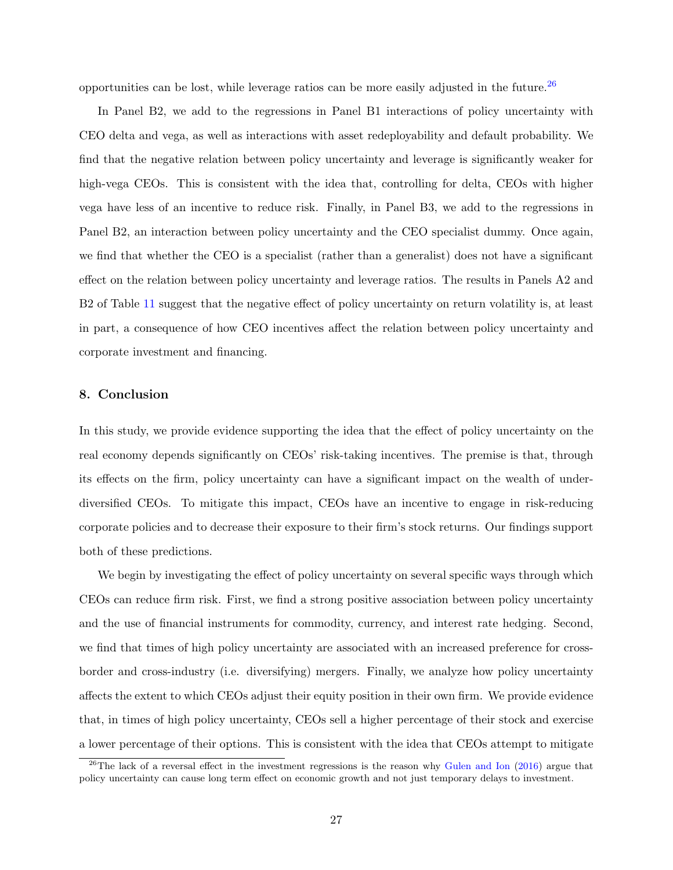opportunities can be lost, while leverage ratios can be more easily adjusted in the future.<sup>[26](#page-0-0)</sup>

In Panel B2, we add to the regressions in Panel B1 interactions of policy uncertainty with CEO delta and vega, as well as interactions with asset redeployability and default probability. We find that the negative relation between policy uncertainty and leverage is significantly weaker for high-vega CEOs. This is consistent with the idea that, controlling for delta, CEOs with higher vega have less of an incentive to reduce risk. Finally, in Panel B3, we add to the regressions in Panel B2, an interaction between policy uncertainty and the CEO specialist dummy. Once again, we find that whether the CEO is a specialist (rather than a generalist) does not have a significant effect on the relation between policy uncertainty and leverage ratios. The results in Panels A2 and B2 of Table [11](#page-46-0) suggest that the negative effect of policy uncertainty on return volatility is, at least in part, a consequence of how CEO incentives affect the relation between policy uncertainty and corporate investment and financing.

#### 8. Conclusion

In this study, we provide evidence supporting the idea that the effect of policy uncertainty on the real economy depends significantly on CEOs' risk-taking incentives. The premise is that, through its effects on the firm, policy uncertainty can have a significant impact on the wealth of underdiversified CEOs. To mitigate this impact, CEOs have an incentive to engage in risk-reducing corporate policies and to decrease their exposure to their firm's stock returns. Our findings support both of these predictions.

We begin by investigating the effect of policy uncertainty on several specific ways through which CEOs can reduce firm risk. First, we find a strong positive association between policy uncertainty and the use of financial instruments for commodity, currency, and interest rate hedging. Second, we find that times of high policy uncertainty are associated with an increased preference for crossborder and cross-industry (i.e. diversifying) mergers. Finally, we analyze how policy uncertainty affects the extent to which CEOs adjust their equity position in their own firm. We provide evidence that, in times of high policy uncertainty, CEOs sell a higher percentage of their stock and exercise a lower percentage of their options. This is consistent with the idea that CEOs attempt to mitigate

 $^{26}$ The lack of a reversal effect in the investment regressions is the reason why [Gulen and Ion](#page-30-0) [\(2016\)](#page-30-0) argue that policy uncertainty can cause long term effect on economic growth and not just temporary delays to investment.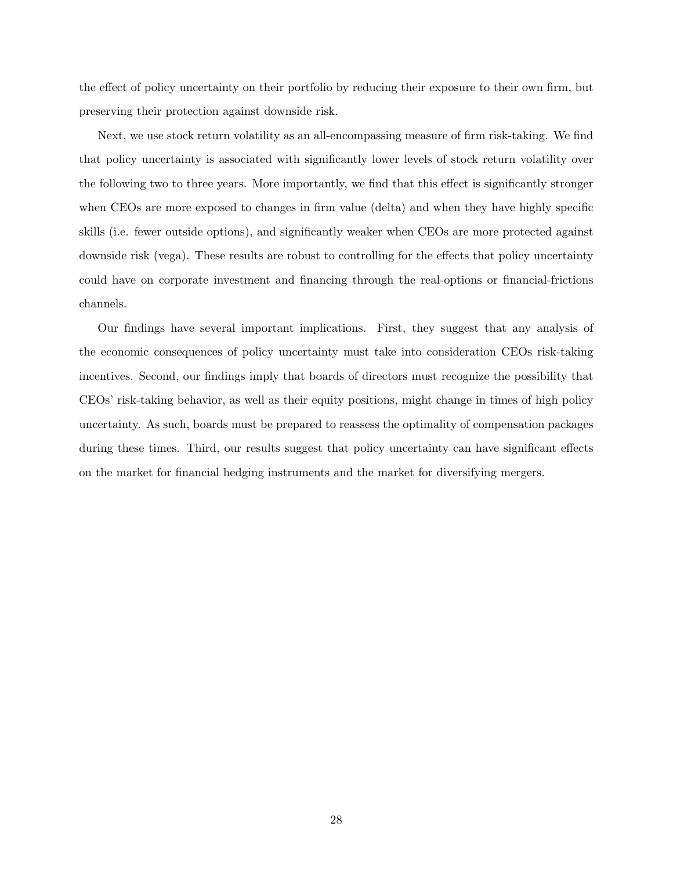the effect of policy uncertainty on their portfolio by reducing their exposure to their own firm, but preserving their protection against downside risk.

Next, we use stock return volatility as an all-encompassing measure of firm risk-taking. We find that policy uncertainty is associated with significantly lower levels of stock return volatility over the following two to three years. More importantly, we find that this effect is significantly stronger when CEOs are more exposed to changes in firm value (delta) and when they have highly specific skills (i.e. fewer outside options), and significantly weaker when CEOs are more protected against downside risk (vega). These results are robust to controlling for the effects that policy uncertainty could have on corporate investment and financing through the real-options or financial-frictions channels.

Our findings have several important implications. First, they suggest that any analysis of the economic consequences of policy uncertainty must take into consideration CEOs risk-taking incentives. Second, our findings imply that boards of directors must recognize the possibility that CEOs' risk-taking behavior, as well as their equity positions, might change in times of high policy uncertainty. As such, boards must be prepared to reassess the optimality of compensation packages during these times. Third, our results suggest that policy uncertainty can have significant effects on the market for financial hedging instruments and the market for diversifying mergers.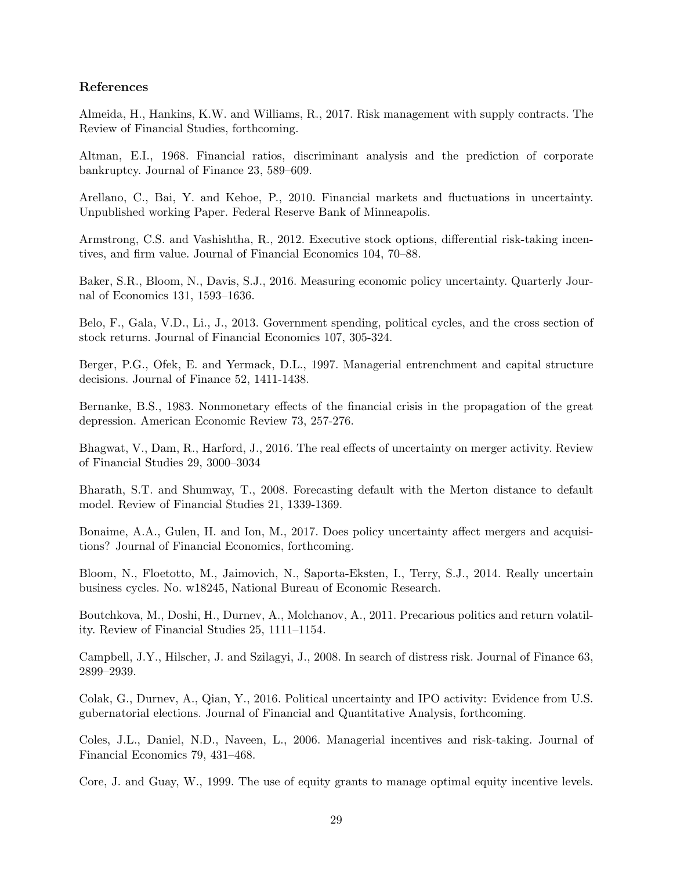### References

<span id="page-29-7"></span>Almeida, H., Hankins, K.W. and Williams, R., 2017. Risk management with supply contracts. The Review of Financial Studies, forthcoming.

Altman, E.I., 1968. Financial ratios, discriminant analysis and the prediction of corporate bankruptcy. Journal of Finance 23, 589–609.

<span id="page-29-1"></span>Arellano, C., Bai, Y. and Kehoe, P., 2010. Financial markets and fluctuations in uncertainty. Unpublished working Paper. Federal Reserve Bank of Minneapolis.

<span id="page-29-5"></span>Armstrong, C.S. and Vashishtha, R., 2012. Executive stock options, differential risk-taking incentives, and firm value. Journal of Financial Economics 104, 70–88.

<span id="page-29-6"></span>Baker, S.R., Bloom, N., Davis, S.J., 2016. Measuring economic policy uncertainty. Quarterly Journal of Economics 131, 1593–1636.

Belo, F., Gala, V.D., Li., J., 2013. Government spending, political cycles, and the cross section of stock returns. Journal of Financial Economics 107, 305-324.

<span id="page-29-3"></span>Berger, P.G., Ofek, E. and Yermack, D.L., 1997. Managerial entrenchment and capital structure decisions. Journal of Finance 52, 1411-1438.

Bernanke, B.S., 1983. Nonmonetary effects of the financial crisis in the propagation of the great depression. American Economic Review 73, 257-276.

Bhagwat, V., Dam, R., Harford, J., 2016. The real effects of uncertainty on merger activity. Review of Financial Studies 29, 3000–3034

<span id="page-29-8"></span>Bharath, S.T. and Shumway, T., 2008. Forecasting default with the Merton distance to default model. Review of Financial Studies 21, 1339-1369.

<span id="page-29-0"></span>Bonaime, A.A., Gulen, H. and Ion, M., 2017. Does policy uncertainty affect mergers and acquisitions? Journal of Financial Economics, forthcoming.

Bloom, N., Floetotto, M., Jaimovich, N., Saporta-Eksten, I., Terry, S.J., 2014. Really uncertain business cycles. No. w18245, National Bureau of Economic Research.

<span id="page-29-2"></span>Boutchkova, M., Doshi, H., Durnev, A., Molchanov, A., 2011. Precarious politics and return volatility. Review of Financial Studies 25, 1111–1154.

<span id="page-29-9"></span>Campbell, J.Y., Hilscher, J. and Szilagyi, J., 2008. In search of distress risk. Journal of Finance 63, 2899–2939.

Colak, G., Durnev, A., Qian, Y., 2016. Political uncertainty and IPO activity: Evidence from U.S. gubernatorial elections. Journal of Financial and Quantitative Analysis, forthcoming.

<span id="page-29-4"></span>Coles, J.L., Daniel, N.D., Naveen, L., 2006. Managerial incentives and risk-taking. Journal of Financial Economics 79, 431–468.

Core, J. and Guay, W., 1999. The use of equity grants to manage optimal equity incentive levels.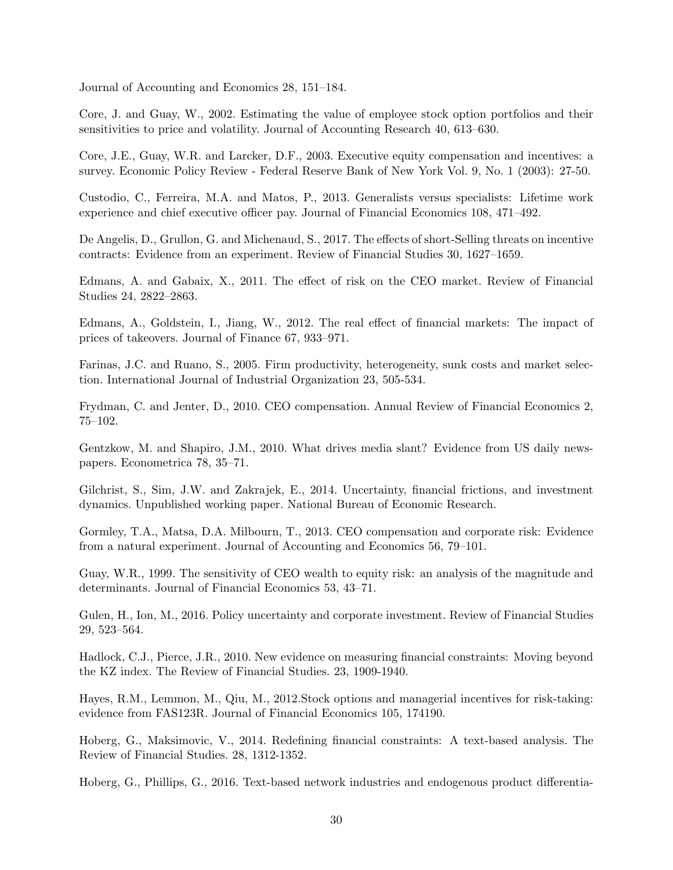Journal of Accounting and Economics 28, 151–184.

<span id="page-30-11"></span>Core, J. and Guay, W., 2002. Estimating the value of employee stock option portfolios and their sensitivities to price and volatility. Journal of Accounting Research 40, 613–630.

<span id="page-30-2"></span>Core, J.E., Guay, W.R. and Larcker, D.F., 2003. Executive equity compensation and incentives: a survey. Economic Policy Review - Federal Reserve Bank of New York Vol. 9, No. 1 (2003): 27-50.

<span id="page-30-6"></span>Custodio, C., Ferreira, M.A. and Matos, P., 2013. Generalists versus specialists: Lifetime work experience and chief executive officer pay. Journal of Financial Economics 108, 471–492.

<span id="page-30-7"></span>De Angelis, D., Grullon, G. and Michenaud, S., 2017. The effects of short-Selling threats on incentive contracts: Evidence from an experiment. Review of Financial Studies 30, 1627–1659.

<span id="page-30-4"></span>Edmans, A. and Gabaix, X., 2011. The effect of risk on the CEO market. Review of Financial Studies 24, 2822–2863.

<span id="page-30-12"></span>Edmans, A., Goldstein, I., Jiang, W., 2012. The real effect of financial markets: The impact of prices of takeovers. Journal of Finance 67, 933–971.

<span id="page-30-16"></span>Farinas, J.C. and Ruano, S., 2005. Firm productivity, heterogeneity, sunk costs and market selection. International Journal of Industrial Organization 23, 505-534.

<span id="page-30-3"></span>Frydman, C. and Jenter, D., 2010. CEO compensation. Annual Review of Financial Economics 2, 75–102.

<span id="page-30-10"></span>Gentzkow, M. and Shapiro, J.M., 2010. What drives media slant? Evidence from US daily newspapers. Econometrica 78, 35–71.

<span id="page-30-1"></span>Gilchrist, S., Sim, J.W. and Zakrajek, E., 2014. Uncertainty, financial frictions, and investment dynamics. Unpublished working paper. National Bureau of Economic Research.

<span id="page-30-8"></span>Gormley, T.A., Matsa, D.A. Milbourn, T., 2013. CEO compensation and corporate risk: Evidence from a natural experiment. Journal of Accounting and Economics 56, 79–101.

<span id="page-30-5"></span>Guay, W.R., 1999. The sensitivity of CEO wealth to equity risk: an analysis of the magnitude and determinants. Journal of Financial Economics 53, 43–71.

<span id="page-30-0"></span>Gulen, H., Ion, M., 2016. Policy uncertainty and corporate investment. Review of Financial Studies 29, 523–564.

<span id="page-30-14"></span>Hadlock, C.J., Pierce, J.R., 2010. New evidence on measuring financial constraints: Moving beyond the KZ index. The Review of Financial Studies. 23, 1909-1940.

<span id="page-30-9"></span>Hayes, R.M., Lemmon, M., Qiu, M., 2012.Stock options and managerial incentives for risk-taking: evidence from FAS123R. Journal of Financial Economics 105, 174190.

<span id="page-30-15"></span>Hoberg, G., Maksimovic, V., 2014. Redefining financial constraints: A text-based analysis. The Review of Financial Studies. 28, 1312-1352.

<span id="page-30-13"></span>Hoberg, G., Phillips, G., 2016. Text-based network industries and endogenous product differentia-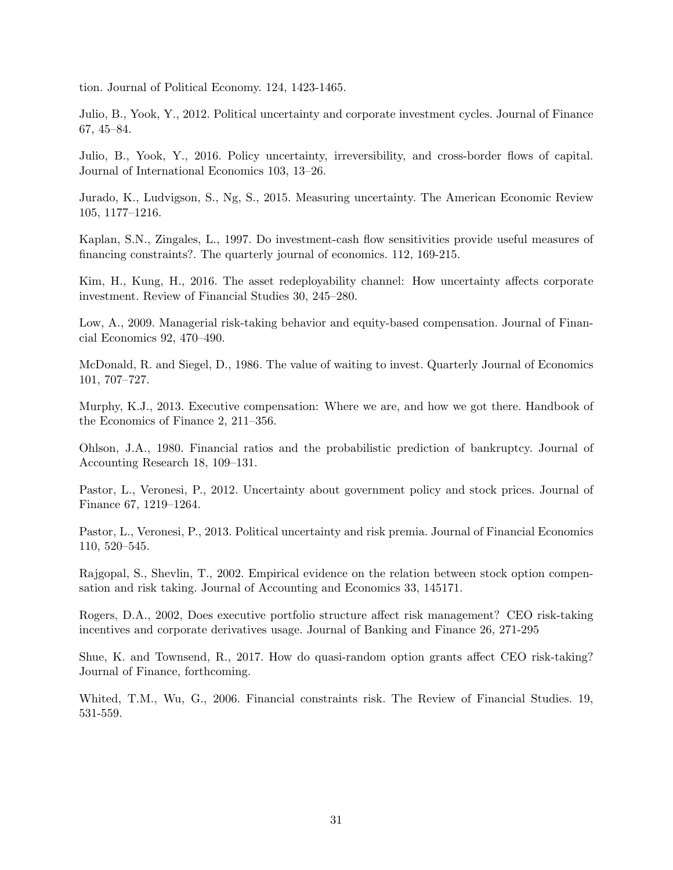tion. Journal of Political Economy. 124, 1423-1465.

<span id="page-31-0"></span>Julio, B., Yook, Y., 2012. Political uncertainty and corporate investment cycles. Journal of Finance 67, 45–84.

Julio, B., Yook, Y., 2016. Policy uncertainty, irreversibility, and cross-border flows of capital. Journal of International Economics 103, 13–26.

<span id="page-31-4"></span>Jurado, K., Ludvigson, S., Ng, S., 2015. Measuring uncertainty. The American Economic Review 105, 1177–1216.

<span id="page-31-12"></span>Kaplan, S.N., Zingales, L., 1997. Do investment-cash flow sensitivities provide useful measures of financing constraints?. The quarterly journal of economics. 112, 169-215.

<span id="page-31-9"></span>Kim, H., Kung, H., 2016. The asset redeployability channel: How uncertainty affects corporate investment. Review of Financial Studies 30, 245–280.

<span id="page-31-8"></span>Low, A., 2009. Managerial risk-taking behavior and equity-based compensation. Journal of Financial Economics 92, 470–490.

McDonald, R. and Siegel, D., 1986. The value of waiting to invest. Quarterly Journal of Economics 101, 707–727.

<span id="page-31-3"></span>Murphy, K.J., 2013. Executive compensation: Where we are, and how we got there. Handbook of the Economics of Finance 2, 211–356.

<span id="page-31-10"></span>Ohlson, J.A., 1980. Financial ratios and the probabilistic prediction of bankruptcy. Journal of Accounting Research 18, 109–131.

<span id="page-31-1"></span>Pastor, L., Veronesi, P., 2012. Uncertainty about government policy and stock prices. Journal of Finance 67, 1219–1264.

<span id="page-31-2"></span>Pastor, L., Veronesi, P., 2013. Political uncertainty and risk premia. Journal of Financial Economics 110, 520–545.

<span id="page-31-5"></span>Rajgopal, S., Shevlin, T., 2002. Empirical evidence on the relation between stock option compensation and risk taking. Journal of Accounting and Economics 33, 145171.

<span id="page-31-6"></span>Rogers, D.A., 2002, Does executive portfolio structure affect risk management? CEO risk-taking incentives and corporate derivatives usage. Journal of Banking and Finance 26, 271-295

<span id="page-31-7"></span>Shue, K. and Townsend, R., 2017. How do quasi-random option grants affect CEO risk-taking? Journal of Finance, forthcoming.

<span id="page-31-11"></span>Whited, T.M., Wu, G., 2006. Financial constraints risk. The Review of Financial Studies. 19, 531-559.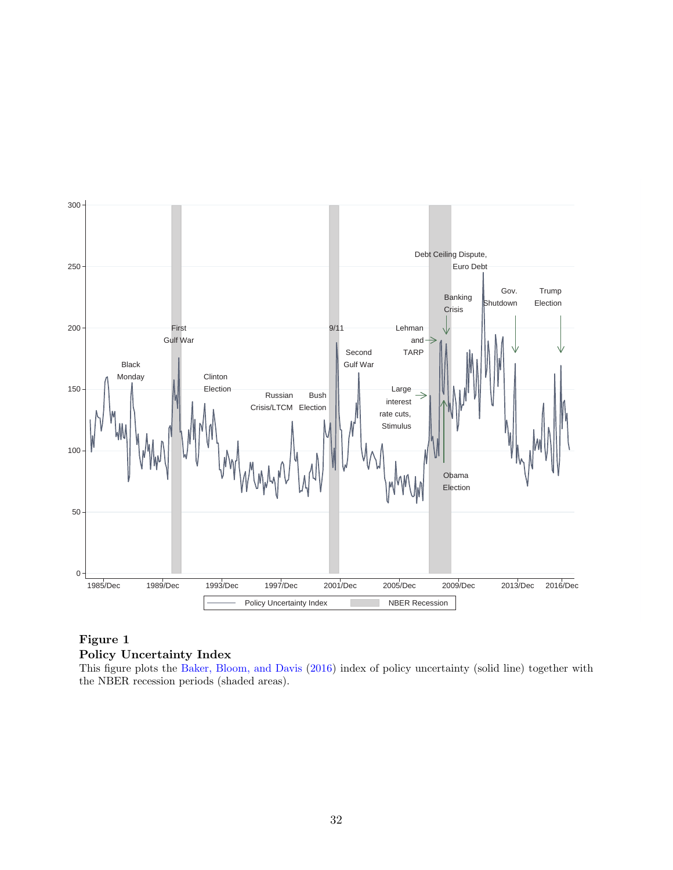<span id="page-32-0"></span>

### Figure 1

#### Policy Uncertainty Index

This figure plots the [Baker, Bloom, and Davis](#page-29-6) [\(2016\)](#page-29-6) index of policy uncertainty (solid line) together with the NBER recession periods (shaded areas).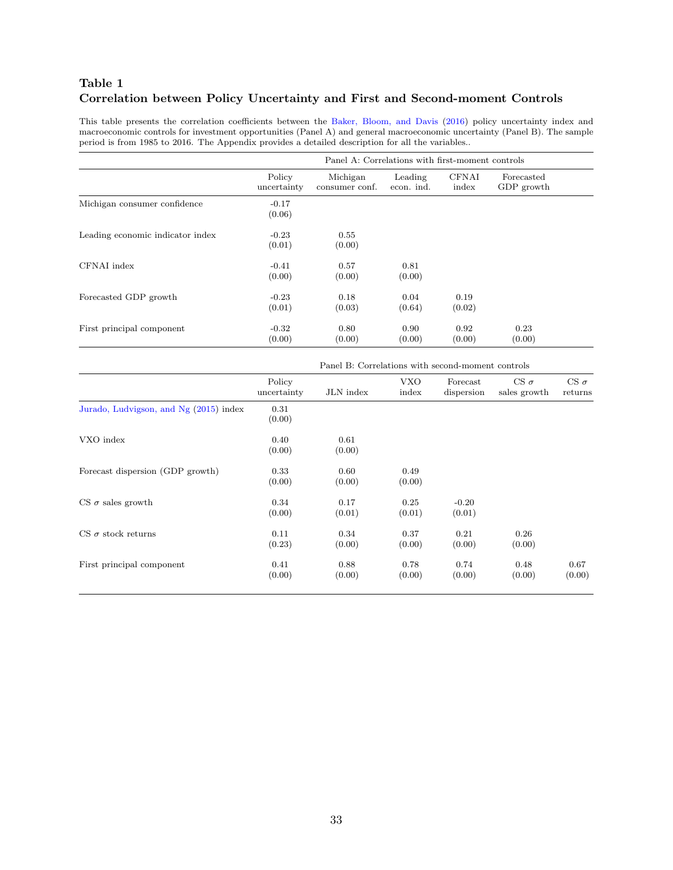### <span id="page-33-0"></span>Table 1 Correlation between Policy Uncertainty and First and Second-moment Controls

This table presents the correlation coefficients between the [Baker, Bloom, and Davis](#page-29-6) [\(2016\)](#page-29-6) policy uncertainty index and macroeconomic controls for investment opportunities (Panel A) and general macroeconomic uncertainty (Panel B). The sample period is from 1985 to 2016. The Appendix provides a detailed description for all the variables..

|                                  | Panel A: Correlations with first-moment controls |                            |                       |                       |                          |  |  |
|----------------------------------|--------------------------------------------------|----------------------------|-----------------------|-----------------------|--------------------------|--|--|
|                                  | Policy<br>uncertainty                            | Michigan<br>consumer conf. | Leading<br>econ. ind. | <b>CFNAI</b><br>index | Forecasted<br>GDP growth |  |  |
| Michigan consumer confidence     | $-0.17$<br>(0.06)                                |                            |                       |                       |                          |  |  |
| Leading economic indicator index | $-0.23$<br>(0.01)                                | 0.55<br>(0.00)             |                       |                       |                          |  |  |
| CFNAI index                      | $-0.41$<br>(0.00)                                | 0.57<br>(0.00)             | 0.81<br>(0.00)        |                       |                          |  |  |
| Forecasted GDP growth            | $-0.23$<br>(0.01)                                | 0.18<br>(0.03)             | 0.04<br>(0.64)        | 0.19<br>(0.02)        |                          |  |  |
| First principal component        | $-0.32$<br>(0.00)                                | 0.80<br>(0.00)             | 0.90<br>(0.00)        | 0.92<br>(0.00)        | 0.23<br>(0.00)           |  |  |

|                                        | Panel B: Correlations with second-moment controls |                |                     |                        |                             |                        |  |  |
|----------------------------------------|---------------------------------------------------|----------------|---------------------|------------------------|-----------------------------|------------------------|--|--|
|                                        | Policy<br>uncertainty                             | JLN index      | <b>VXO</b><br>index | Forecast<br>dispersion | $CS \sigma$<br>sales growth | $CS \sigma$<br>returns |  |  |
| Jurado, Ludvigson, and Ng (2015) index | 0.31<br>(0.00)                                    |                |                     |                        |                             |                        |  |  |
| VXO index                              | 0.40<br>(0.00)                                    | 0.61<br>(0.00) |                     |                        |                             |                        |  |  |
| Forecast dispersion (GDP growth)       | 0.33<br>(0.00)                                    | 0.60<br>(0.00) | 0.49<br>(0.00)      |                        |                             |                        |  |  |
| CS $\sigma$ sales growth               | 0.34<br>(0.00)                                    | 0.17<br>(0.01) | 0.25<br>(0.01)      | $-0.20$<br>(0.01)      |                             |                        |  |  |
| CS $\sigma$ stock returns              | 0.11<br>(0.23)                                    | 0.34<br>(0.00) | 0.37<br>(0.00)      | 0.21<br>(0.00)         | 0.26<br>(0.00)              |                        |  |  |
| First principal component              | 0.41<br>(0.00)                                    | 0.88<br>(0.00) | 0.78<br>(0.00)      | 0.74<br>(0.00)         | 0.48<br>(0.00)              | 0.67<br>(0.00)         |  |  |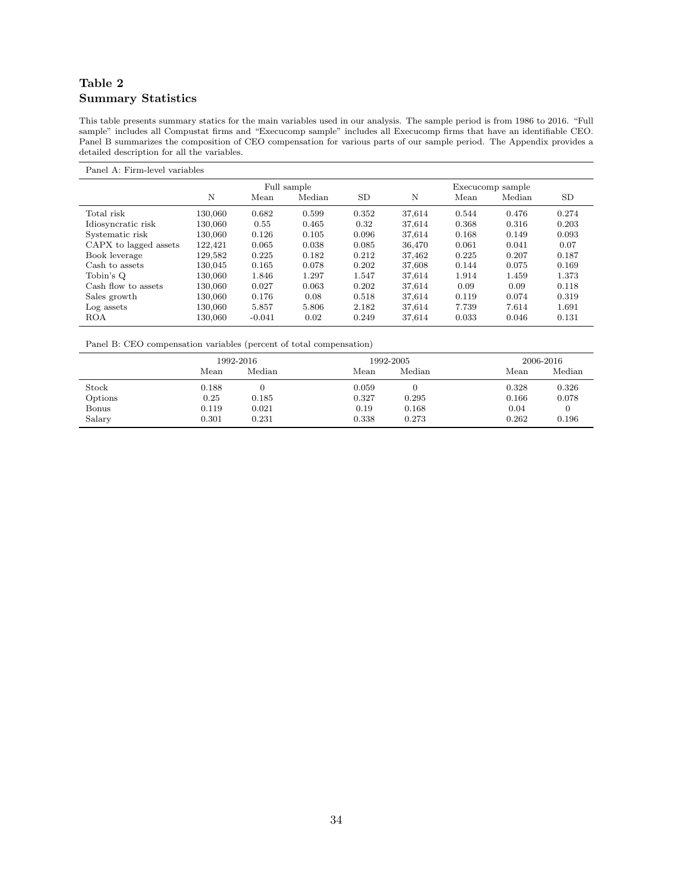### <span id="page-34-0"></span>Table 2 Summary Statistics

This table presents summary statics for the main variables used in our analysis. The sample period is from 1986 to 2016. "Full sample" includes all Compustat firms and "Execucomp sample" includes all Execucomp firms that have an identifiable CEO. Panel B summarizes the composition of CEO compensation for various parts of our sample period. The Appendix provides a detailed description for all the variables.

#### Panel A: Firm-level variables

|                       |         |          | Full sample |       | Execucomp sample |       |        |       |
|-----------------------|---------|----------|-------------|-------|------------------|-------|--------|-------|
|                       | N       | Mean     | Median      | SD.   | Ν                | Mean  | Median | SD    |
| Total risk            | 130,060 | 0.682    | 0.599       | 0.352 | 37,614           | 0.544 | 0.476  | 0.274 |
| Idiosyncratic risk    | 130,060 | 0.55     | 0.465       | 0.32  | 37.614           | 0.368 | 0.316  | 0.203 |
| Systematic risk       | 130,060 | 0.126    | 0.105       | 0.096 | 37.614           | 0.168 | 0.149  | 0.093 |
| CAPX to lagged assets | 122.421 | 0.065    | 0.038       | 0.085 | 36,470           | 0.061 | 0.041  | 0.07  |
| Book leverage         | 129,582 | 0.225    | 0.182       | 0.212 | 37.462           | 0.225 | 0.207  | 0.187 |
| Cash to assets        | 130,045 | 0.165    | 0.078       | 0.202 | 37,608           | 0.144 | 0.075  | 0.169 |
| Tobin's Q             | 130,060 | 1.846    | 1.297       | 1.547 | 37.614           | 1.914 | 1.459  | 1.373 |
| Cash flow to assets   | 130,060 | 0.027    | 0.063       | 0.202 | 37,614           | 0.09  | 0.09   | 0.118 |
| Sales growth          | 130,060 | 0.176    | 0.08        | 0.518 | 37.614           | 0.119 | 0.074  | 0.319 |
| Log assets            | 130,060 | 5.857    | 5.806       | 2.182 | 37.614           | 7.739 | 7.614  | 1.691 |
| <b>ROA</b>            | 130.060 | $-0.041$ | 0.02        | 0.249 | 37,614           | 0.033 | 0.046  | 0.131 |

Panel B: CEO compensation variables (percent of total compensation)

|         |       | 1992-2016 |       | 1992-2005 | 2006-2016 |        |  |
|---------|-------|-----------|-------|-----------|-----------|--------|--|
|         | Mean  | Median    | Mean  | Median    | Mean      | Median |  |
| Stock   | 0.188 |           | 0.059 |           | 0.328     | 0.326  |  |
| Options | 0.25  | 0.185     | 0.327 | 0.295     | 0.166     | 0.078  |  |
| Bonus   | 0.119 | 0.021     | 0.19  | 0.168     | 0.04      |        |  |
| Salary  | 0.301 | 0.231     | 0.338 | 0.273     | 0.262     | 0.196  |  |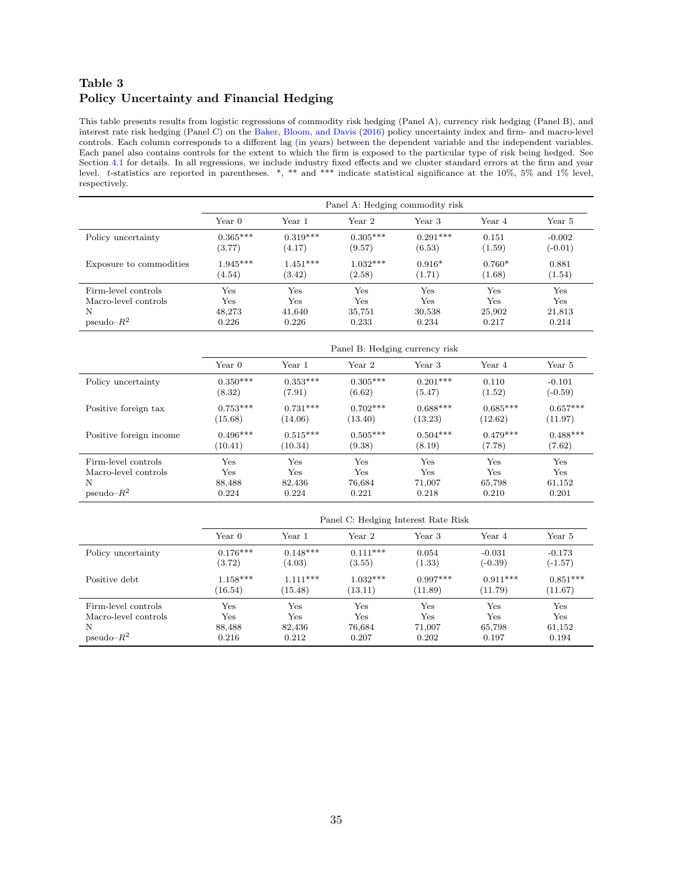### <span id="page-35-0"></span>Table 3 Policy Uncertainty and Financial Hedging

This table presents results from logistic regressions of commodity risk hedging (Panel A), currency risk hedging (Panel B), and interest rate risk hedging (Panel C) on the [Baker, Bloom, and Davis](#page-29-6) [\(2016\)](#page-29-6) policy uncertainty index and firm- and macro-level controls. Each column corresponds to a different lag (in years) between the dependent variable and the independent variables. Each panel also contains controls for the extent to which the firm is exposed to the particular type of risk being hedged. See Section [4.1](#page-13-1) for details. In all regressions, we include industry fixed effects and we cluster standard errors at the firm and year level. t-statistics are reported in parentheses. \*, \*\* and \*\*\* indicate statistical significance at the 10%, 5% and 1% level, respectively.

|                         | Panel A: Hedging commodity risk |            |            |              |              |           |  |
|-------------------------|---------------------------------|------------|------------|--------------|--------------|-----------|--|
|                         | Year 0                          | Year 1     | Year 2     | Year 3       | Year 4       | Year 5    |  |
| Policy uncertainty      | $0.365***$                      | $0.319***$ | $0.305***$ | $0.291***$   | 0.151        | $-0.002$  |  |
|                         | (3.77)                          | (4.17)     | (9.57)     | (6.53)       | (1.59)       | $(-0.01)$ |  |
| Exposure to commodities | $1.945***$                      | $1.451***$ | $1.032***$ | $0.916*$     | $0.760*$     | 0.881     |  |
|                         | (4.54)                          | (3.42)     | (2.58)     | (1.71)       | (1.68)       | (1.54)    |  |
| Firm-level controls     | Yes                             | Yes        | Yes        | Yes          | $_{\rm Yes}$ | Yes       |  |
| Macro-level controls    | Yes                             | Yes        | Yes        | $_{\rm Yes}$ | Yes          | Yes       |  |
| N                       | 48,273                          | 41,640     | 35,751     | 30,538       | 25,902       | 21,813    |  |
| $pseudo-R^2$            | 0.226                           | 0.226      | 0.233      | 0.234        | 0.217        | 0.214     |  |

|                         | Panel B: Hedging currency risk |            |            |              |            |            |  |
|-------------------------|--------------------------------|------------|------------|--------------|------------|------------|--|
|                         | Year $0$                       | Year 1     | Year 2     | Year 3       | Year 4     | Year 5     |  |
| Policy uncertainty      | $0.350***$                     | $0.353***$ | $0.305***$ | $0.201***$   | 0.110      | $-0.101$   |  |
|                         | (8.32)                         | (7.91)     | (6.62)     | (5.47)       | (1.52)     | $(-0.59)$  |  |
| Positive foreign tax    | $0.753***$                     | $0.731***$ | $0.702***$ | $0.688***$   | $0.685***$ | $0.657***$ |  |
|                         | (15.68)                        | (14.06)    | (13.40)    | (13.23)      | (12.62)    | (11.97)    |  |
| Positive foreign income | $0.496***$                     | $0.515***$ | $0.505***$ | $0.504***$   | $0.479***$ | $0.488***$ |  |
|                         | (10.41)                        | (10.34)    | (9.38)     | (8.19)       | (7.78)     | (7.62)     |  |
| Firm-level controls     | Yes                            | Yes        | Yes        | Yes          | <b>Yes</b> | Yes        |  |
| Macro-level controls    | $_{\rm Yes}$                   | Yes        | Yes        | $_{\rm Yes}$ | Yes        | Yes        |  |
| N                       | 88,488                         | 82.436     | 76,684     | 71,007       | 65,798     | 61,152     |  |
| $pseudo-R^2$            | 0.224                          | 0.224      | 0.221      | 0.218        | 0.210      | 0.201      |  |

|                      | Panel C: Hedging Interest Rate Risk |            |            |            |            |              |  |
|----------------------|-------------------------------------|------------|------------|------------|------------|--------------|--|
|                      | Year 0                              | Year 1     | Year 2     | Year 3     | Year 4     | Year 5       |  |
| Policy uncertainty   | $0.176***$                          | $0.148***$ | $0.111***$ | 0.054      | $-0.031$   | $-0.173$     |  |
|                      | (3.72)                              | (4.03)     | (3.55)     | (1.33)     | $(-0.39)$  | $(-1.57)$    |  |
| Positive debt        | $1.158***$                          | $1.111***$ | $1.032***$ | $0.997***$ | $0.911***$ | $0.851***$   |  |
|                      | (16.54)                             | (15.48)    | (13.11)    | (11.89)    | (11.79)    | (11.67)      |  |
| Firm-level controls  | Yes                                 | Yes        | Yes        | Yes        | Yes        | $_{\rm Yes}$ |  |
| Macro-level controls | Yes                                 | Yes        | Yes        | Yes        | Yes        | Yes          |  |
| N                    | 88,488                              | 82.436     | 76.684     | 71,007     | 65,798     | 61,152       |  |
| $pseudo-R^2$         | 0.216                               | 0.212      | 0.207      | 0.202      | 0.197      | 0.194        |  |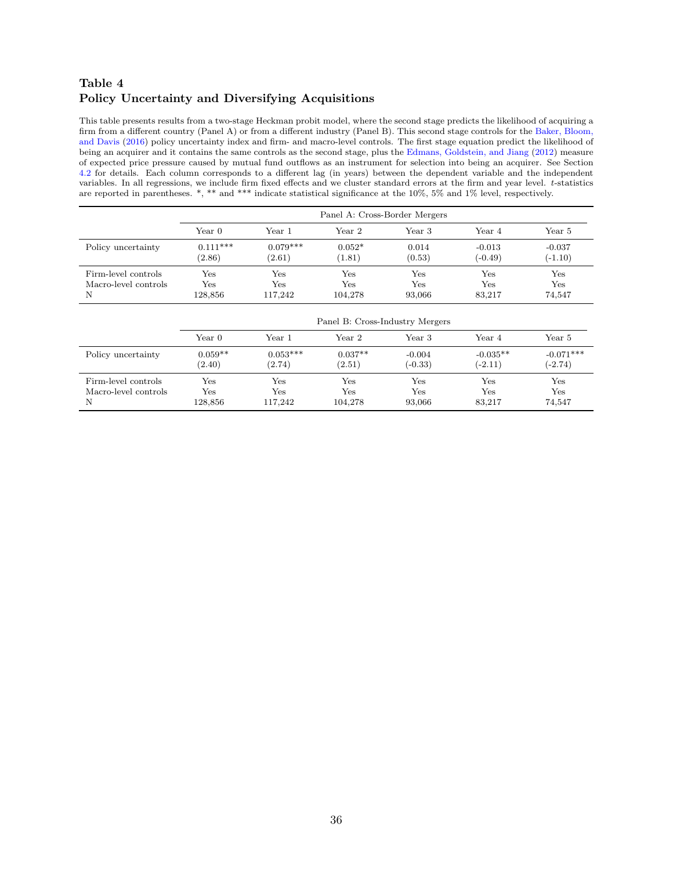### <span id="page-36-0"></span>Table 4 Policy Uncertainty and Diversifying Acquisitions

This table presents results from a two-stage Heckman probit model, where the second stage predicts the likelihood of acquiring a firm from a different country (Panel A) or from a different industry (Panel B). This second stage controls for the [Baker, Bloom,](#page-29-6) [and Davis](#page-29-6) [\(2016\)](#page-29-6) policy uncertainty index and firm- and macro-level controls. The first stage equation predict the likelihood of being an acquirer and it contains the same controls as the second stage, plus the [Edmans, Goldstein, and Jiang](#page-30-12) [\(2012\)](#page-30-12) measure of expected price pressure caused by mutual fund outflows as an instrument for selection into being an acquirer. See Section [4.2](#page-14-1) for details. Each column corresponds to a different lag (in years) between the dependent variable and the independent variables. In all regressions, we include firm fixed effects and we cluster standard errors at the firm and year level. t-statistics are reported in parentheses. \*, \*\* and \*\*\* indicate statistical significance at the 10%, 5% and 1% level, respectively.

|                      | Panel A: Cross-Border Mergers |            |              |        |           |              |  |  |
|----------------------|-------------------------------|------------|--------------|--------|-----------|--------------|--|--|
|                      | Year 0                        | Year 1     | Year 2       | Year 3 | Year 4    | Year 5       |  |  |
| Policy uncertainty   | $0.111***$                    | $0.079***$ | $0.052*$     | 0.014  | $-0.013$  | $-0.037$     |  |  |
|                      | (2.86)                        | (2.61)     | (1.81)       | (0.53) | $(-0.49)$ | $(-1.10)$    |  |  |
| Firm-level controls  | $_{\rm Yes}$                  | Yes        | $_{\rm Yes}$ | Yes    | Yes       | $_{\rm Yes}$ |  |  |
| Macro-level controls | $_{\rm Yes}$                  | Yes        | Yes          | Yes    | Yes       | $_{\rm Yes}$ |  |  |
| N                    | 128,856                       | 117.242    | 104,278      | 93,066 | 83,217    | 74,547       |  |  |

|                      | Panel B: Cross-Industry Mergers |              |              |              |              |              |  |  |
|----------------------|---------------------------------|--------------|--------------|--------------|--------------|--------------|--|--|
|                      | Year 0                          | Year 1       | Year 2       | Year 3       | Year 4       | Year 5       |  |  |
| Policy uncertainty   | $0.059**$                       | $0.053***$   | $0.037**$    | $-0.004$     | $-0.035**$   | $-0.071***$  |  |  |
|                      | (2.40)                          | (2.74)       | (2.51)       | $(-0.33)$    | $(-2.11)$    | $(-2.74)$    |  |  |
| Firm-level controls  | $_{\rm Yes}$                    | $_{\rm Yes}$ | $_{\rm Yes}$ | $_{\rm Yes}$ | $_{\rm Yes}$ | $_{\rm Yes}$ |  |  |
| Macro-level controls | Yes                             | Yes          | Yes          | Yes          | $_{\rm Yes}$ | Yes          |  |  |
| N                    | 128.856                         | 117.242      | 104.278      | 93,066       | 83.217       | 74,547       |  |  |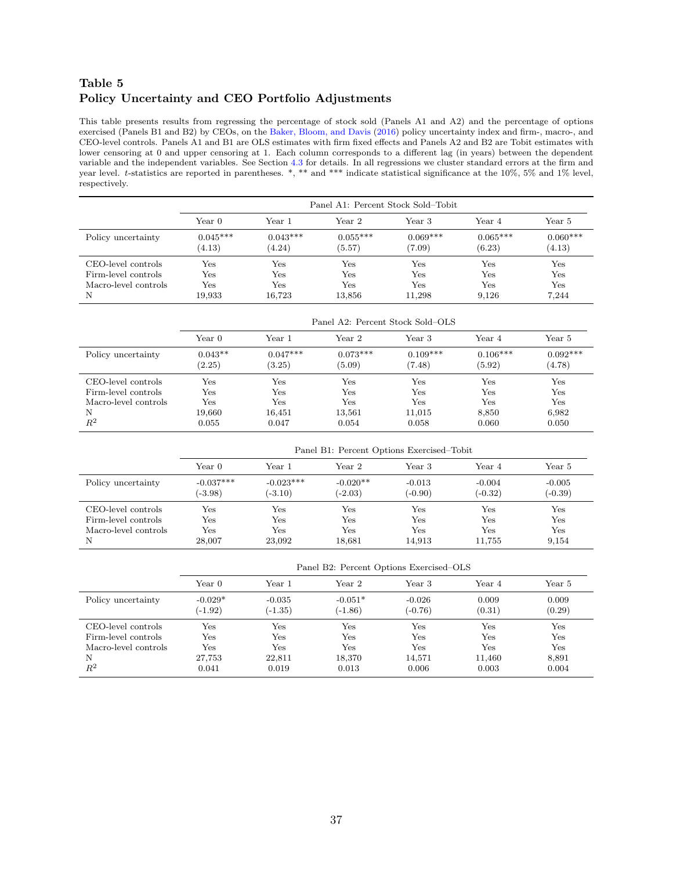### <span id="page-37-0"></span>Table 5 Policy Uncertainty and CEO Portfolio Adjustments

This table presents results from regressing the percentage of stock sold (Panels A1 and A2) and the percentage of options exercised (Panels B1 and B2) by CEOs, on the [Baker, Bloom, and Davis](#page-29-6) [\(2016\)](#page-29-6) policy uncertainty index and firm-, macro-, and CEO-level controls. Panels A1 and B1 are OLS estimates with firm fixed effects and Panels A2 and B2 are Tobit estimates with lower censoring at 0 and upper censoring at 1. Each column corresponds to a different lag (in years) between the dependent variable and the independent variables. See Section [4.3](#page-15-0) for details. In all regressions we cluster standard errors at the firm and year level. t-statistics are reported in parentheses. \*, \*\* and \*\*\* indicate statistical significance at the 10%, 5% and 1% level, respectively.

|                      | Panel A1: Percent Stock Sold-Tobit |            |              |              |            |              |  |  |
|----------------------|------------------------------------|------------|--------------|--------------|------------|--------------|--|--|
|                      | Year 0                             | Year 1     | Year 2       | Year 3       | Year 4     | Year 5       |  |  |
| Policy uncertainty   | $0.045***$                         | $0.043***$ | $0.055***$   | $0.069***$   | $0.065***$ | $0.060***$   |  |  |
|                      | (4.13)                             | (4.24)     | (5.57)       | (7.09)       | (6.23)     | (4.13)       |  |  |
| CEO-level controls   | $_{\rm Yes}$                       | Yes        | Yes          | $_{\rm Yes}$ | Yes        | $_{\rm Yes}$ |  |  |
| Firm-level controls  | $_{\rm Yes}$                       | Yes        | $_{\rm Yes}$ | Yes          | Yes        | $_{\rm Yes}$ |  |  |
| Macro-level controls | $_{\rm Yes}$                       | Yes        | Yes          | Yes          | Yes        | $_{\rm Yes}$ |  |  |
| N                    | 19.933                             | 16,723     | 13,856       | 11.298       | 9,126      | 7,244        |  |  |

|                      | Panel A2: Percent Stock Sold-OLS |            |              |            |              |              |  |  |
|----------------------|----------------------------------|------------|--------------|------------|--------------|--------------|--|--|
|                      | Year 0                           | Year 1     | Year 2       | Year 3     | Year 4       | Year 5       |  |  |
| Policy uncertainty   | $0.043**$                        | $0.047***$ | $0.073***$   | $0.109***$ | $0.106***$   | $0.092***$   |  |  |
|                      | (2.25)                           | (3.25)     | (5.09)       | (7.48)     | (5.92)       | (4.78)       |  |  |
| CEO-level controls   | $_{\rm Yes}$                     | Yes        | $_{\rm Yes}$ | Yes        | $_{\rm Yes}$ | Yes          |  |  |
| Firm-level controls  | $_{\rm Yes}$                     | Yes        | $_{\rm Yes}$ | Yes        | $_{\rm Yes}$ | $_{\rm Yes}$ |  |  |
| Macro-level controls | $_{\rm Yes}$                     | Yes        | $_{\rm Yes}$ | Yes        | $_{\rm Yes}$ | Yes          |  |  |
| N                    | 19,660                           | 16,451     | 13,561       | 11.015     | 8,850        | 6,982        |  |  |
| $\,R^2$              | 0.055                            | 0.047      | 0.054        | 0.058      | 0.060        | 0.050        |  |  |

|                      | Panel B1: Percent Options Exercised-Tobit |             |              |              |              |              |  |
|----------------------|-------------------------------------------|-------------|--------------|--------------|--------------|--------------|--|
|                      | Year 0                                    | Year 1      | Year 2       | Year 3       | Year 4       | Year 5       |  |
| Policy uncertainty   | $-0.037***$                               | $-0.023***$ | $-0.020**$   | $-0.013$     | $-0.004$     | $-0.005$     |  |
|                      | $(-3.98)$                                 | $(-3.10)$   | $(-2.03)$    | $(-0.90)$    | $(-0.32)$    | $(-0.39)$    |  |
| CEO-level controls   | $_{\rm Yes}$                              | Yes         | $_{\rm Yes}$ | $_{\rm Yes}$ | Yes          | $_{\rm Yes}$ |  |
| Firm-level controls  | Yes                                       | Yes         | $_{\rm Yes}$ | $_{\rm Yes}$ | Yes          | Yes          |  |
| Macro-level controls | $_{\rm Yes}$                              | Yes         | $_{\rm Yes}$ | Yes          | $_{\rm Yes}$ | $_{\rm Yes}$ |  |
| N                    | 28,007                                    | 23,092      | 18.681       | 14.913       | 11.755       | 9,154        |  |

|                                                                        | Panel B2: Percent Options Exercised–OLS                |                                                        |                                      |                             |                                               |                                                       |  |  |  |
|------------------------------------------------------------------------|--------------------------------------------------------|--------------------------------------------------------|--------------------------------------|-----------------------------|-----------------------------------------------|-------------------------------------------------------|--|--|--|
|                                                                        | Year 0                                                 | Year 1                                                 | Year 2                               | Year 3                      | Year 4                                        | Year 5                                                |  |  |  |
| Policy uncertainty                                                     | $-0.029*$<br>$(-1.92)$                                 | $-0.035$<br>$(-1.35)$                                  | $-0.051*$<br>$(-1.86)$               | $-0.026$<br>$(-0.76)$       | 0.009<br>(0.31)                               | 0.009<br>(0.29)                                       |  |  |  |
| CEO-level controls<br>Firm-level controls<br>Macro-level controls<br>N | $_{\rm Yes}$<br>$_{\rm Yes}$<br>$_{\rm Yes}$<br>27,753 | $_{\rm Yes}$<br>$_{\rm Yes}$<br>$_{\rm Yes}$<br>22,811 | Yes<br>$_{\rm Yes}$<br>Yes<br>18,370 | Yes<br>Yes<br>Yes<br>14,571 | $_{\rm Yes}$<br>$_{\rm Yes}$<br>Yes<br>11.460 | $_{\rm Yes}$<br>$_{\rm Yes}$<br>$_{\rm Yes}$<br>8,891 |  |  |  |
| $R^2$                                                                  | 0.041                                                  | 0.019                                                  | 0.013                                | 0.006                       | 0.003                                         | 0.004                                                 |  |  |  |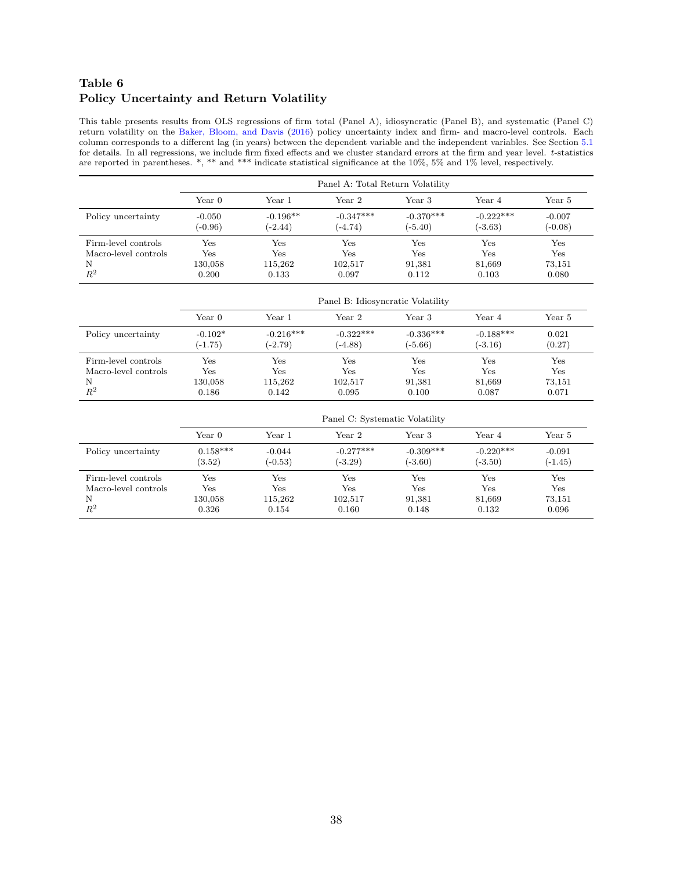### <span id="page-38-0"></span>Table 6 Policy Uncertainty and Return Volatility

This table presents results from OLS regressions of firm total (Panel A), idiosyncratic (Panel B), and systematic (Panel C) return volatility on the [Baker, Bloom, and Davis](#page-29-6) [\(2016\)](#page-29-6) policy uncertainty index and firm- and macro-level controls. Each column corresponds to a different lag (in years) between the dependent variable and the independent variables. See Section [5.1](#page-17-0) for details. In all regressions, we include firm fixed effects and we cluster standard errors at the firm and year level. t-statistics are reported in parentheses. \*, \*\* and \*\*\* indicate statistical significance at the 10%, 5% and 1% level, respectively.

|                      | Panel A: Total Return Volatility |                         |                          |                          |                          |                       |  |  |  |
|----------------------|----------------------------------|-------------------------|--------------------------|--------------------------|--------------------------|-----------------------|--|--|--|
|                      | Year 0                           | Year 1                  | Year 2                   | Year 3                   | Year 4                   | Year 5                |  |  |  |
| Policy uncertainty   | $-0.050$<br>$(-0.96)$            | $-0.196**$<br>$(-2.44)$ | $-0.347***$<br>$(-4.74)$ | $-0.370***$<br>$(-5.40)$ | $-0.222***$<br>$(-3.63)$ | $-0.007$<br>$(-0.08)$ |  |  |  |
| Firm-level controls  | $_{\rm Yes}$                     | $_{\rm Yes}$            | $_{\rm Yes}$             | $_{\rm Yes}$             | $_{\rm Yes}$             | $_{\rm Yes}$          |  |  |  |
| Macro-level controls | $_{\rm Yes}$                     | Yes                     | $_{\rm Yes}$             | Yes                      | $_{\rm Yes}$             | $_{\rm Yes}$          |  |  |  |
| N                    | 130.058                          | 115,262                 | 102.517                  | 91,381                   | 81,669                   | 73,151                |  |  |  |
| $R^2$                | 0.200                            | 0.133                   | 0.097                    | 0.112                    | 0.103                    | 0.080                 |  |  |  |

|                      | Panel B: Idiosyncratic Volatility |             |              |             |              |              |  |  |  |
|----------------------|-----------------------------------|-------------|--------------|-------------|--------------|--------------|--|--|--|
|                      | Year 0                            | Year 1      | Year 2       | Year 3      | Year 4       | Year 5       |  |  |  |
| Policy uncertainty   | $-0.102*$                         | $-0.216***$ | $-0.322***$  | $-0.336***$ | $-0.188***$  | 0.021        |  |  |  |
|                      | $(-1.75)$                         | $(-2.79)$   | $(-4.88)$    | $(-5.66)$   | $(-3.16)$    | (0.27)       |  |  |  |
| Firm-level controls  | $_{\rm Yes}$                      | Yes         | $_{\rm Yes}$ | Yes         | $_{\rm Yes}$ | $_{\rm Yes}$ |  |  |  |
| Macro-level controls | Yes                               | Yes         | Yes          | Yes         | Yes          | $_{\rm Yes}$ |  |  |  |
| N                    | 130,058                           | 115,262     | 102.517      | 91,381      | 81.669       | 73,151       |  |  |  |
| $\,R^2$              | 0.186                             | 0.142       | 0.095        | 0.100       | 0.087        | 0.071        |  |  |  |

|                      | Panel C: Systematic Volatility |           |             |             |              |              |  |  |
|----------------------|--------------------------------|-----------|-------------|-------------|--------------|--------------|--|--|
|                      | Year 0                         | Year 1    | Year 2      | Year 3      | Year 4       | Year 5       |  |  |
| Policy uncertainty   | $0.158***$                     | $-0.044$  | $-0.277***$ | $-0.309***$ | $-0.220***$  | $-0.091$     |  |  |
|                      | (3.52)                         | $(-0.53)$ | $(-3.29)$   | $(-3.60)$   | $(-3.50)$    | $(-1.45)$    |  |  |
| Firm-level controls  | $_{\rm Yes}$                   | Yes       | Yes         | Yes         | $_{\rm Yes}$ | Yes          |  |  |
| Macro-level controls | $_{\rm Yes}$                   | Yes       | Yes         | Yes         | $_{\rm Yes}$ | $_{\rm Yes}$ |  |  |
| N                    | 130,058                        | 115,262   | 102.517     | 91,381      | 81,669       | 73,151       |  |  |
| $\mathbb{R}^2$       | 0.326                          | 0.154     | 0.160       | 0.148       | 0.132        | 0.096        |  |  |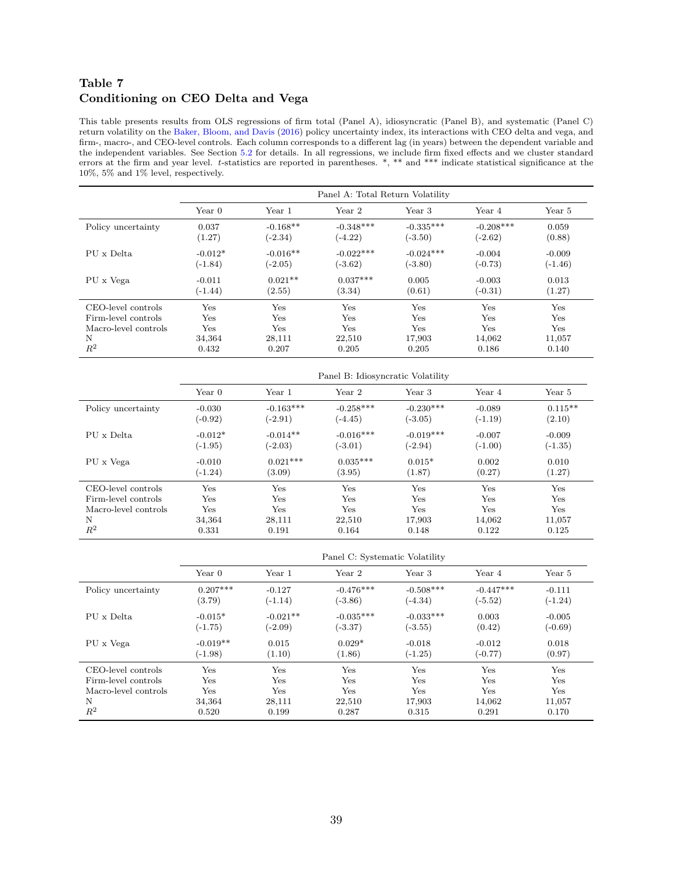### <span id="page-39-0"></span>Table 7 Conditioning on CEO Delta and Vega

This table presents results from OLS regressions of firm total (Panel A), idiosyncratic (Panel B), and systematic (Panel C) return volatility on the [Baker, Bloom, and Davis](#page-29-6) [\(2016\)](#page-29-6) policy uncertainty index, its interactions with CEO delta and vega, and firm-, macro-, and CEO-level controls. Each column corresponds to a different lag (in years) between the dependent variable and the independent variables. See Section [5.2](#page-20-1) for details. In all regressions, we include firm fixed effects and we cluster standard errors at the firm and year level. t-statistics are reported in parentheses. \*, \*\* and \*\*\* indicate statistical significance at the 10%, 5% and 1% level, respectively.

|                      | Panel A: Total Return Volatility |            |             |             |             |              |  |  |
|----------------------|----------------------------------|------------|-------------|-------------|-------------|--------------|--|--|
|                      | Year $0$                         | Year 1     | Year 2      | Year 3      | Year 4      | Year 5       |  |  |
| Policy uncertainty   | 0.037                            | $-0.168**$ | $-0.348***$ | $-0.335***$ | $-0.208***$ | 0.059        |  |  |
|                      | (1.27)                           | $(-2.34)$  | $(-4.22)$   | $(-3.50)$   | $(-2.62)$   | (0.88)       |  |  |
| PU x Delta           | $-0.012*$                        | $-0.016**$ | $-0.022***$ | $-0.024***$ | $-0.004$    | $-0.009$     |  |  |
|                      | $(-1.84)$                        | $(-2.05)$  | $(-3.62)$   | $(-3.80)$   | $(-0.73)$   | $(-1.46)$    |  |  |
| PU x Vega            | $-0.011$                         | $0.021**$  | $0.037***$  | 0.005       | $-0.003$    | 0.013        |  |  |
|                      | $(-1.44)$                        | (2.55)     | (3.34)      | (0.61)      | $(-0.31)$   | (1.27)       |  |  |
| CEO-level controls   | Yes                              | Yes        | Yes         | Yes         | Yes         | Yes          |  |  |
| Firm-level controls  | <b>Yes</b>                       | Yes        | Yes         | Yes         | Yes         | Yes          |  |  |
| Macro-level controls | Yes                              | Yes        | Yes         | Yes         | <b>Yes</b>  | $_{\rm Yes}$ |  |  |
| N                    | 34,364                           | 28,111     | 22,510      | 17,903      | 14,062      | 11,057       |  |  |
| $R^2$                | 0.432                            | 0.207      | 0.205       | 0.205       | 0.186       | 0.140        |  |  |

|                      | Panel B: Idiosyncratic Volatility |                          |                          |                          |                       |                       |  |  |  |
|----------------------|-----------------------------------|--------------------------|--------------------------|--------------------------|-----------------------|-----------------------|--|--|--|
|                      | Year $0$                          | Year 1                   | Year 2                   | Year 3                   | Year 4                | Year 5                |  |  |  |
| Policy uncertainty   | $-0.030$<br>$(-0.92)$             | $-0.163***$<br>$(-2.91)$ | $-0.258***$<br>$(-4.45)$ | $-0.230***$<br>$(-3.05)$ | $-0.089$<br>$(-1.19)$ | $0.115**$<br>(2.10)   |  |  |  |
| PU x Delta           | $-0.012*$<br>$(-1.95)$            | $-0.014**$<br>$(-2.03)$  | $-0.016***$<br>$(-3.01)$ | $-0.019***$<br>$(-2.94)$ | $-0.007$<br>$(-1.00)$ | $-0.009$<br>$(-1.35)$ |  |  |  |
| PU x Vega            | $-0.010$<br>$(-1.24)$             | $0.021***$<br>(3.09)     | $0.035***$<br>(3.95)     | $0.015*$<br>(1.87)       | 0.002<br>(0.27)       | 0.010<br>(1.27)       |  |  |  |
| CEO-level controls   | Yes                               | Yes                      | Yes                      | Yes                      | $\operatorname{Yes}$  | Yes                   |  |  |  |
| Firm-level controls  | $_{\rm Yes}$                      | Yes                      | $_{\rm Yes}$             | Yes                      | Yes                   | Yes                   |  |  |  |
| Macro-level controls | $_{\rm Yes}$                      | Yes                      | Yes                      | Yes                      | $\operatorname{Yes}$  | Yes                   |  |  |  |
| N                    | 34.364                            | 28,111                   | 22,510                   | 17.903                   | 14,062                | 11,057                |  |  |  |
| $\,R^2$              | 0.331                             | 0.191                    | 0.164                    | 0.148                    | 0.122                 | 0.125                 |  |  |  |

| Year $0$<br>$0.207***$<br>(3.79)     | Year 1<br>$-0.127$<br>$(-1.14)$    | Year 2<br>$-0.476***$<br>$(-3.86)$ | Year 3<br>$-0.508***$       | Year 4<br>$-0.447***$       | Year 5                               |
|--------------------------------------|------------------------------------|------------------------------------|-----------------------------|-----------------------------|--------------------------------------|
|                                      |                                    |                                    |                             |                             |                                      |
|                                      |                                    |                                    | $(-4.34)$                   | $(-5.52)$                   | $-0.111$<br>$(-1.24)$                |
| $-0.015*$<br>$(-1.75)$               | $-0.021**$<br>$(-2.09)$            | $-0.035***$<br>$(-3.37)$           | $-0.033***$<br>$(-3.55)$    | 0.003<br>(0.42)             | $-0.005$<br>$(-0.69)$                |
| $-0.019**$<br>$(-1.98)$              | 0.015<br>(1.10)                    | $0.029*$<br>(1.86)                 | $-0.018$<br>$(-1.25)$       | $-0.012$<br>$(-0.77)$       | 0.018<br>(0.97)                      |
| Yes<br>$_{\rm Yes}$<br>Yes<br>34,364 | Yes<br>Yes<br><b>Yes</b><br>28,111 | Yes<br>Yes<br>Yes<br>22,510        | Yes<br>Yes<br>Yes<br>17,903 | Yes<br>Yes<br>Yes<br>14,062 | Yes<br>Yes<br>Yes<br>11,057<br>0.170 |
|                                      | 0.520                              | 0.199                              | 0.287                       | 0.315                       | 0.291                                |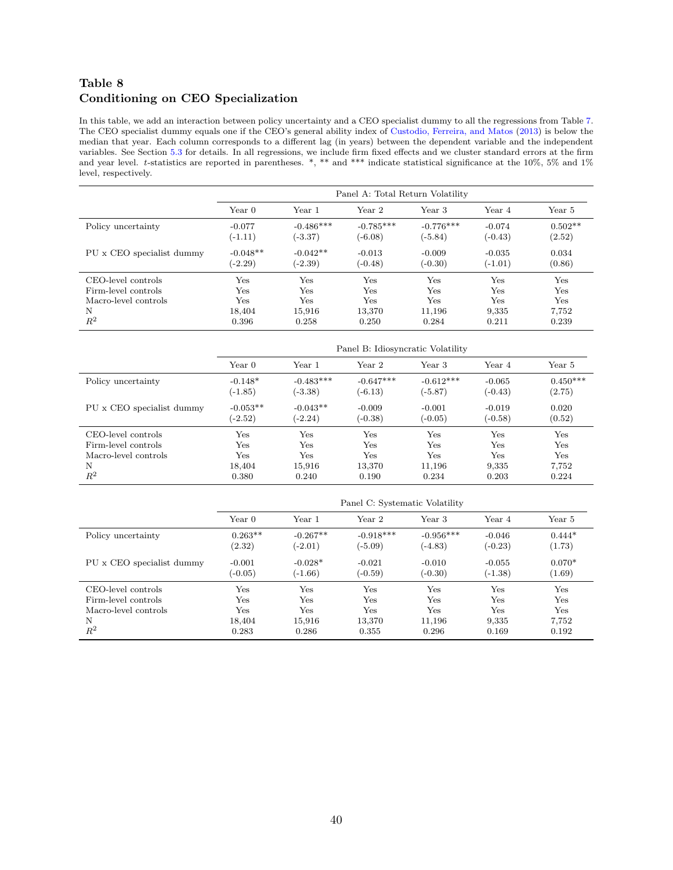### <span id="page-40-0"></span>Table 8 Conditioning on CEO Specialization

In this table, we add an interaction between policy uncertainty and a CEO specialist dummy to all the regressions from Table [7.](#page-39-0) The CEO specialist dummy equals one if the CEO's general ability index of [Custodio, Ferreira, and Matos](#page-30-6) [\(2013\)](#page-30-6) is below the median that year. Each column corresponds to a different lag (in years) between the dependent variable and the independent variables. See Section [5.3](#page-21-0) for details. In all regressions, we include firm fixed effects and we cluster standard errors at the firm and year level. *t*-statistics are reported in parentheses. \*, \*\* and \*\*\* indicate statistical significance at the 10%, 5% and 1% level, respectively.

|                           | Panel A: Total Return Volatility |                          |                          |                          |                       |                     |  |
|---------------------------|----------------------------------|--------------------------|--------------------------|--------------------------|-----------------------|---------------------|--|
|                           | Year 0                           | Year 1                   | Year 2                   | Year 3                   | Year 4                | Year 5              |  |
| Policy uncertainty        | $-0.077$<br>$(-1.11)$            | $-0.486***$<br>$(-3.37)$ | $-0.785***$<br>$(-6.08)$ | $-0.776***$<br>$(-5.84)$ | $-0.074$<br>$(-0.43)$ | $0.502**$<br>(2.52) |  |
| PU x CEO specialist dummy | $-0.048**$<br>$(-2.29)$          | $-0.042**$<br>$(-2.39)$  | $-0.013$<br>$(-0.48)$    | $-0.009$<br>$(-0.30)$    | $-0.035$<br>$(-1.01)$ | 0.034<br>(0.86)     |  |
| CEO-level controls        | $_{\rm Yes}$                     | Yes                      | $_{\rm Yes}$             | Yes                      | $_{\rm Yes}$          | $_{\rm Yes}$        |  |
| Firm-level controls       | Yes                              | Yes                      | Yes                      | Yes                      | Yes                   | Yes                 |  |
| Macro-level controls      | Yes                              | Yes                      | Yes                      | Yes                      | Yes                   | Yes                 |  |
| N                         | 18,404                           | 15.916                   | 13,370                   | 11.196                   | 9.335                 | 7,752               |  |
| $R^2$                     | 0.396                            | 0.258                    | 0.250                    | 0.284                    | 0.211                 | 0.239               |  |

|                           | Panel B: Idiosyncratic Volatility |                          |                          |                          |                       |                      |  |
|---------------------------|-----------------------------------|--------------------------|--------------------------|--------------------------|-----------------------|----------------------|--|
|                           | Year $0$                          | Year 1                   | Year 2                   | Year 3                   | Year 4                | Year 5               |  |
| Policy uncertainty        | $-0.148*$<br>$(-1.85)$            | $-0.483***$<br>$(-3.38)$ | $-0.647***$<br>$(-6.13)$ | $-0.612***$<br>$(-5.87)$ | $-0.065$<br>$(-0.43)$ | $0.450***$<br>(2.75) |  |
| PU x CEO specialist dummy | $-0.053**$<br>$(-2.52)$           | $-0.043**$<br>$(-2.24)$  | $-0.009$<br>$(-0.38)$    | $-0.001$<br>$(-0.05)$    | $-0.019$<br>$(-0.58)$ | 0.020<br>(0.52)      |  |
| CEO-level controls        | Yes                               | Yes                      | Yes                      | Yes                      | Yes                   | Yes                  |  |
| Firm-level controls       | Yes                               | Yes                      | Yes                      | Yes                      | Yes                   | Yes                  |  |
| Macro-level controls      | Yes                               | Yes                      | $_{\rm Yes}$             | Yes                      | Yes                   | Yes                  |  |
| N                         | 18,404                            | 15,916                   | 13,370                   | 11,196                   | 9.335                 | 7,752                |  |
| $R^2$                     | 0.380                             | 0.240                    | 0.190                    | 0.234                    | 0.203                 | 0.224                |  |

|                           | Panel C: Systematic Volatility |              |             |             |              |          |  |
|---------------------------|--------------------------------|--------------|-------------|-------------|--------------|----------|--|
|                           | Year 0                         | Year 1       | Year 2      | Year 3      | Year 4       | Year 5   |  |
| Policy uncertainty        | $0.263**$                      | $-0.267**$   | $-0.918***$ | $-0.956***$ | $-0.046$     | $0.444*$ |  |
|                           | (2.32)                         | $(-2.01)$    | $(-5.09)$   | $(-4.83)$   | $(-0.23)$    | (1.73)   |  |
| PU x CEO specialist dummy | $-0.001$                       | $-0.028*$    | $-0.021$    | $-0.010$    | $-0.055$     | $0.070*$ |  |
|                           | $(-0.05)$                      | $(-1.66)$    | $(-0.59)$   | $(-0.30)$   | $(-1.38)$    | (1.69)   |  |
| CEO-level controls        | Yes                            | Yes          | Yes         | Yes         | Yes          | Yes      |  |
| Firm-level controls       | Yes                            | Yes          | Yes         | Yes         | Yes          | Yes      |  |
| Macro-level controls      | Yes                            | $_{\rm Yes}$ | Yes         | Yes         | $_{\rm Yes}$ | Yes      |  |
| N                         | 18,404                         | 15,916       | 13,370      | 11,196      | 9,335        | 7,752    |  |
| $\mathbb{R}^2$            | 0.283                          | 0.286        | 0.355       | 0.296       | 0.169        | 0.192    |  |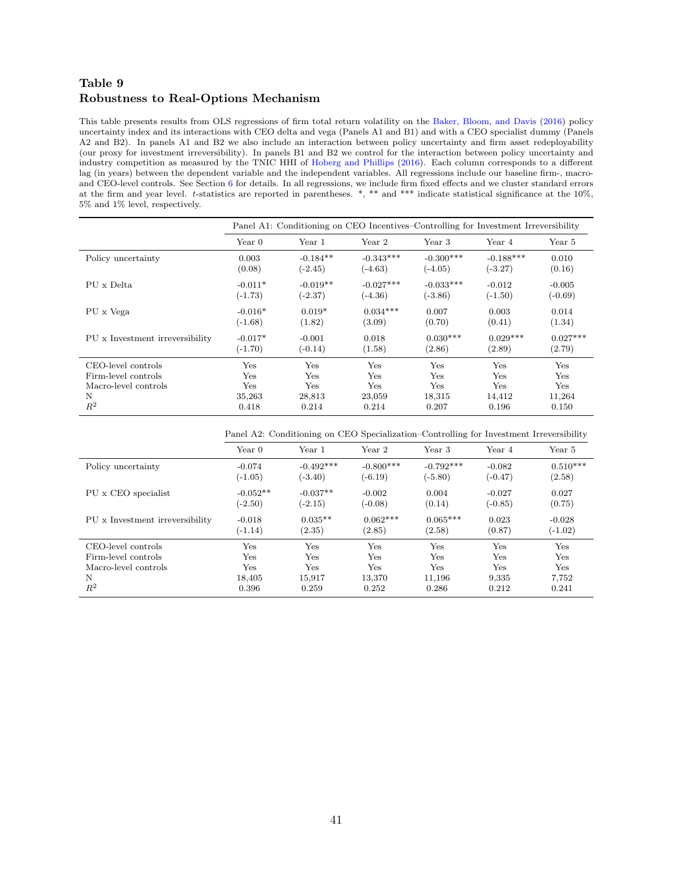### Table 9 Robustness to Real-Options Mechanism

This table presents results from OLS regressions of firm total return volatility on the [Baker, Bloom, and Davis](#page-29-6) [\(2016\)](#page-29-6) policy uncertainty index and its interactions with CEO delta and vega (Panels A1 and B1) and with a CEO specialist dummy (Panels A2 and B2). In panels A1 and B2 we also include an interaction between policy uncertainty and firm asset redeployability (our proxy for investment irreversibility). In panels B1 and B2 we control for the interaction between policy uncertainty and industry competition as measured by the TNIC HHI of [Hoberg and Phillips](#page-30-13) [\(2016\)](#page-30-13). Each column corresponds to a different lag (in years) between the dependent variable and the independent variables. All regressions include our baseline firm-, macroand CEO-level controls. See Section [6](#page-22-1) for details. In all regressions, we include firm fixed effects and we cluster standard errors at the firm and year level. t-statistics are reported in parentheses. \*, \*\* and \*\*\* indicate statistical significance at the 10%, 5% and 1% level, respectively.

|                                 | Panel A1: Conditioning on CEO Incentives–Controlling for Investment Irreversibility |                         |                          |                          |                          |                       |  |  |
|---------------------------------|-------------------------------------------------------------------------------------|-------------------------|--------------------------|--------------------------|--------------------------|-----------------------|--|--|
|                                 | Year $0$                                                                            | Year 1                  | Year 2                   | Year 3                   | Year 4                   | Year 5                |  |  |
| Policy uncertainty              | 0.003<br>(0.08)                                                                     | $-0.184**$<br>$(-2.45)$ | $-0.343***$<br>$(-4.63)$ | $-0.300***$<br>$(-4.05)$ | $-0.188***$<br>$(-3.27)$ | 0.010<br>(0.16)       |  |  |
| PU x Delta                      | $-0.011*$<br>$(-1.73)$                                                              | $-0.019**$<br>$(-2.37)$ | $-0.027***$<br>$(-4.36)$ | $-0.033***$<br>$(-3.86)$ | $-0.012$<br>$(-1.50)$    | $-0.005$<br>$(-0.69)$ |  |  |
| PU x Vega                       | $-0.016*$<br>$(-1.68)$                                                              | $0.019*$<br>(1.82)      | $0.034***$<br>(3.09)     | 0.007<br>(0.70)          | 0.003<br>(0.41)          | 0.014<br>(1.34)       |  |  |
| PU x Investment irreversibility | $-0.017*$<br>$(-1.70)$                                                              | $-0.001$<br>$(-0.14)$   | 0.018<br>(1.58)          | $0.030***$<br>(2.86)     | $0.029***$<br>(2.89)     | $0.027***$<br>(2.79)  |  |  |
| CEO-level controls              | Yes                                                                                 | Yes                     | Yes                      | Yes                      | Yes                      | Yes                   |  |  |
| Firm-level controls             | Yes                                                                                 | Yes                     | Yes                      | Yes                      | Yes                      | Yes                   |  |  |
| Macro-level controls            | Yes                                                                                 | Yes                     | Yes                      | Yes                      | Yes                      | Yes                   |  |  |
| N                               | 35,263                                                                              | 28,813                  | 23,059                   | 18,315                   | 14,412                   | 11,264                |  |  |
| $\mathbb{R}^2$                  | 0.418                                                                               | 0.214                   | 0.214                    | 0.207                    | 0.196                    | 0.150                 |  |  |

Panel A2: Conditioning on CEO Specialization–Controlling for Investment Irreversibility

|                                 | Year 0                  | Year 1                   | Year 2                   | Year 3                   | Year 4                | Year 5                |
|---------------------------------|-------------------------|--------------------------|--------------------------|--------------------------|-----------------------|-----------------------|
| Policy uncertainty              | $-0.074$<br>$(-1.05)$   | $-0.492***$<br>$(-3.40)$ | $-0.800***$<br>$(-6.19)$ | $-0.792***$<br>$(-5.80)$ | $-0.082$<br>$(-0.47)$ | $0.510***$<br>(2.58)  |
| PU x CEO specialist             | $-0.052**$<br>$(-2.50)$ | $-0.037**$<br>$(-2.15)$  | $-0.002$<br>$(-0.08)$    | 0.004<br>(0.14)          | $-0.027$<br>$(-0.85)$ | 0.027<br>(0.75)       |
| PU x Investment irreversibility | $-0.018$<br>$(-1.14)$   | $0.035**$<br>(2.35)      | $0.062***$<br>(2.85)     | $0.065***$<br>(2.58)     | 0.023<br>(0.87)       | $-0.028$<br>$(-1.02)$ |
| CEO-level controls              | Yes                     | Yes                      | Yes                      | $_{\rm Yes}$             | Yes                   | Yes                   |
| Firm-level controls             | Yes                     | Yes                      | Yes                      | Yes                      | Yes                   | Yes                   |
| Macro-level controls            | Yes                     | Yes                      | Yes                      | $_{\rm Yes}$             | Yes                   | $_{\rm Yes}$          |
| N                               | 18.405                  | 15.917                   | 13,370                   | 11,196                   | 9,335                 | 7,752                 |
| $R^2$                           | 0.396                   | 0.259                    | 0.252                    | 0.286                    | 0.212                 | 0.241                 |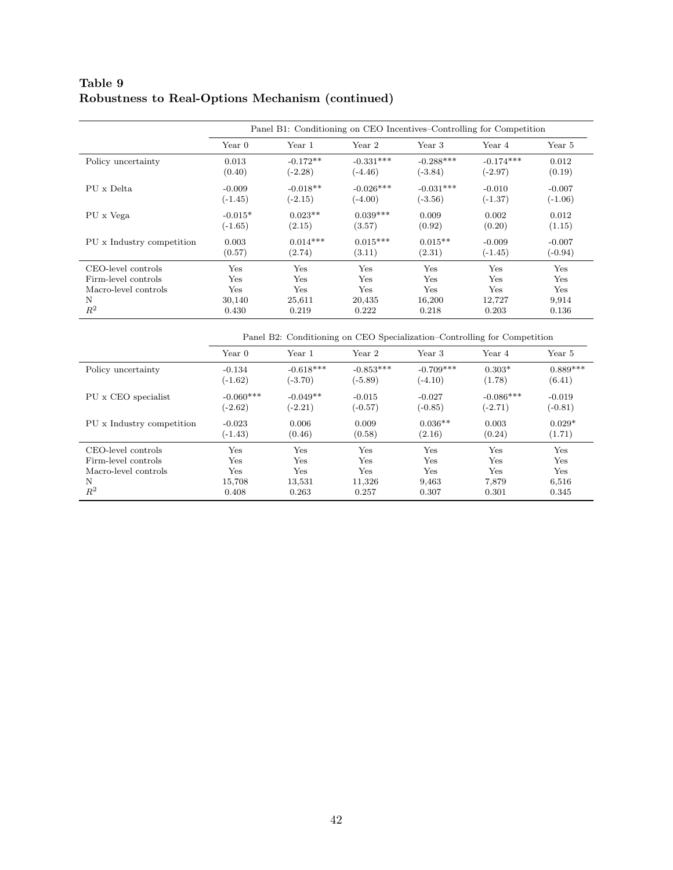### <span id="page-42-0"></span>Table 9 Robustness to Real-Options Mechanism (continued)

|                           | Panel B1: Conditioning on CEO Incentives–Controlling for Competition |            |              |             |             |           |  |  |
|---------------------------|----------------------------------------------------------------------|------------|--------------|-------------|-------------|-----------|--|--|
|                           | Year 0                                                               | Year 1     | Year 2       | Year 3      | Year 4      | Year 5    |  |  |
| Policy uncertainty        | 0.013                                                                | $-0.172**$ | $-0.331***$  | $-0.288***$ | $-0.174***$ | 0.012     |  |  |
|                           | (0.40)                                                               | $(-2.28)$  | $(-4.46)$    | $(-3.84)$   | $(-2.97)$   | (0.19)    |  |  |
| PU x Delta                | $-0.009$                                                             | $-0.018**$ | $-0.026***$  | $-0.031***$ | $-0.010$    | $-0.007$  |  |  |
|                           | $(-1.45)$                                                            | $(-2.15)$  | $(-4.00)$    | $(-3.56)$   | $(-1.37)$   | $(-1.06)$ |  |  |
| PU x Vega                 | $-0.015*$                                                            | $0.023**$  | $0.039***$   | 0.009       | 0.002       | 0.012     |  |  |
|                           | $(-1.65)$                                                            | (2.15)     | (3.57)       | (0.92)      | (0.20)      | (1.15)    |  |  |
| PU x Industry competition | 0.003                                                                | $0.014***$ | $0.015***$   | $0.015**$   | $-0.009$    | $-0.007$  |  |  |
|                           | (0.57)                                                               | (2.74)     | (3.11)       | (2.31)      | $(-1.45)$   | $(-0.94)$ |  |  |
| CEO-level controls        | Yes                                                                  | Yes        | Yes          | <b>Yes</b>  | Yes         | Yes       |  |  |
| Firm-level controls       | Yes                                                                  | Yes        | $_{\rm Yes}$ | Yes         | Yes         | Yes       |  |  |
| Macro-level controls      | Yes                                                                  | Yes        | Yes          | Yes         | Yes         | Yes       |  |  |
| N                         | 30,140                                                               | 25,611     | 20,435       | 16,200      | 12,727      | 9,914     |  |  |
| $R^2$                     | 0.430                                                                | 0.219      | 0.222        | 0.218       | 0.203       | 0.136     |  |  |

Panel B2: Conditioning on CEO Specialization–Controlling for Competition

|                           | Year 0                   | Year 1                   | Year 2                   | Year 3                   | Year 4                   | Year 5                |
|---------------------------|--------------------------|--------------------------|--------------------------|--------------------------|--------------------------|-----------------------|
| Policy uncertainty        | $-0.134$<br>$(-1.62)$    | $-0.618***$<br>$(-3.70)$ | $-0.853***$<br>$(-5.89)$ | $-0.709***$<br>$(-4.10)$ | $0.303*$<br>(1.78)       | $0.889***$<br>(6.41)  |
| PU x CEO specialist       | $-0.060***$<br>$(-2.62)$ | $-0.049**$<br>$(-2.21)$  | $-0.015$<br>$(-0.57)$    | $-0.027$<br>$(-0.85)$    | $-0.086***$<br>$(-2.71)$ | $-0.019$<br>$(-0.81)$ |
| PU x Industry competition | $-0.023$<br>$(-1.43)$    | 0.006<br>(0.46)          | 0.009<br>(0.58)          | $0.036**$<br>(2.16)      | 0.003<br>(0.24)          | $0.029*$<br>(1.71)    |
| CEO-level controls        | Yes                      | $_{\rm Yes}$             | Yes                      | Yes                      | Yes                      | Yes                   |
| Firm-level controls       | Yes                      | $_{\rm Yes}$             | Yes                      | Yes                      | Yes                      | Yes                   |
| Macro-level controls      | Yes                      | $_{\rm Yes}$             | Yes                      | Yes                      | Yes                      | Yes                   |
| Ν                         | 15.708                   | 13,531                   | 11.326                   | 9,463                    | 7.879                    | 6,516                 |
| $R^2$                     | 0.408                    | 0.263                    | 0.257                    | 0.307                    | 0.301                    | 0.345                 |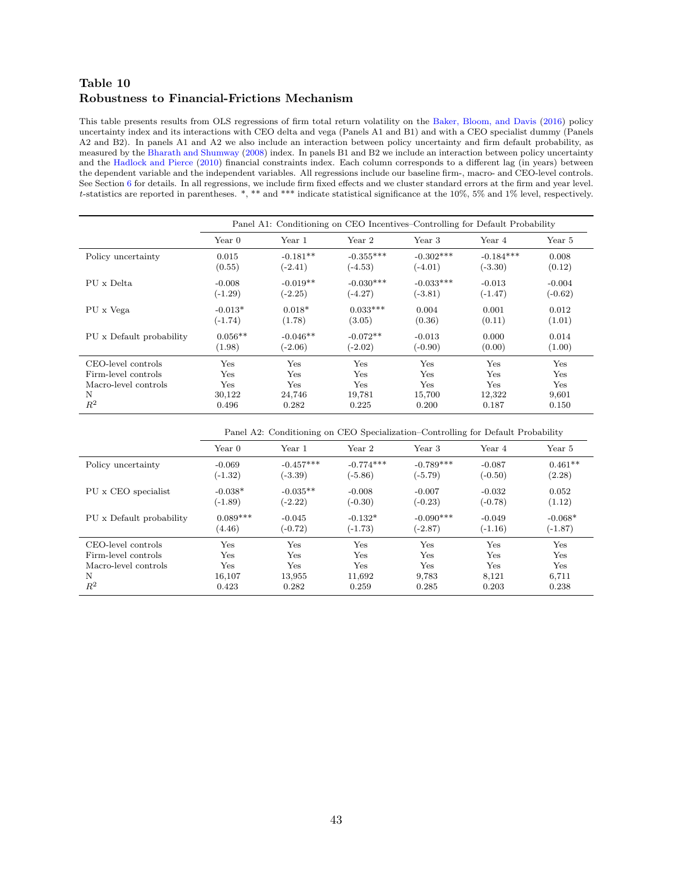### Table 10 Robustness to Financial-Frictions Mechanism

This table presents results from OLS regressions of firm total return volatility on the [Baker, Bloom, and Davis](#page-29-6) [\(2016\)](#page-29-6) policy uncertainty index and its interactions with CEO delta and vega (Panels A1 and B1) and with a CEO specialist dummy (Panels A2 and B2). In panels A1 and A2 we also include an interaction between policy uncertainty and firm default probability, as measured by the [Bharath and Shumway](#page-29-8) [\(2008\)](#page-29-8) index. In panels B1 and B2 we include an interaction between policy uncertainty and the [Hadlock and Pierce](#page-30-14) [\(2010\)](#page-30-14) financial constraints index. Each column corresponds to a different lag (in years) between the dependent variable and the independent variables. All regressions include our baseline firm-, macro- and CEO-level controls. See Section [6](#page-22-1) for details. In all regressions, we include firm fixed effects and we cluster standard errors at the firm and year level. t-statistics are reported in parentheses. \*, \*\* and \*\*\* indicate statistical significance at the 10%, 5% and 1% level, respectively.

|                          | Panel A1: Conditioning on CEO Incentives–Controlling for Default Probability |              |             |             |             |           |  |
|--------------------------|------------------------------------------------------------------------------|--------------|-------------|-------------|-------------|-----------|--|
|                          | Year $0$                                                                     | Year 1       | Year 2      | Year 3      | Year 4      | Year 5    |  |
| Policy uncertainty       | 0.015                                                                        | $-0.181**$   | $-0.355***$ | $-0.302***$ | $-0.184***$ | 0.008     |  |
|                          | (0.55)                                                                       | $(-2.41)$    | $(-4.53)$   | $(-4.01)$   | $(-3.30)$   | (0.12)    |  |
| PU x Delta               | $-0.008$                                                                     | $-0.019**$   | $-0.030***$ | $-0.033***$ | $-0.013$    | $-0.004$  |  |
|                          | $(-1.29)$                                                                    | $(-2.25)$    | $(-4.27)$   | $(-3.81)$   | $(-1.47)$   | $(-0.62)$ |  |
| PU x Vega                | $-0.013*$                                                                    | $0.018*$     | $0.033***$  | 0.004       | 0.001       | 0.012     |  |
|                          | $(-1.74)$                                                                    | (1.78)       | (3.05)      | (0.36)      | (0.11)      | (1.01)    |  |
| PU x Default probability | $0.056**$                                                                    | $-0.046**$   | $-0.072**$  | $-0.013$    | 0.000       | 0.014     |  |
|                          | (1.98)                                                                       | $(-2.06)$    | $(-2.02)$   | $(-0.90)$   | (0.00)      | (1.00)    |  |
| CEO-level controls       | Yes                                                                          | Yes          | Yes         | Yes         | Yes         | Yes       |  |
| Firm-level controls      | Yes                                                                          | $_{\rm Yes}$ | Yes         | Yes         | Yes         | Yes       |  |
| Macro-level controls     | Yes                                                                          | $_{\rm Yes}$ | Yes         | Yes         | Yes         | Yes       |  |
| N                        | 30,122                                                                       | 24,746       | 19,781      | 15,700      | 12,322      | 9,601     |  |
| $R^2$                    | 0.496                                                                        | 0.282        | 0.225       | 0.200       | 0.187       | 0.150     |  |

Panel A2: Conditioning on CEO Specialization–Controlling for Default Probability

|                          | Year $0$               | Year 1                   | Year 2                   | Year 3                   | Year 4                | Year 5                 |
|--------------------------|------------------------|--------------------------|--------------------------|--------------------------|-----------------------|------------------------|
| Policy uncertainty       | $-0.069$<br>$(-1.32)$  | $-0.457***$<br>$(-3.39)$ | $-0.774***$<br>$(-5.86)$ | $-0.789***$<br>$(-5.79)$ | $-0.087$<br>$(-0.50)$ | $0.461**$<br>(2.28)    |
| PU x CEO specialist      | $-0.038*$<br>$(-1.89)$ | $-0.035**$<br>$(-2.22)$  | $-0.008$<br>$(-0.30)$    | $-0.007$<br>$(-0.23)$    | $-0.032$<br>$(-0.78)$ | 0.052<br>(1.12)        |
| PU x Default probability | $0.089***$<br>(4.46)   | $-0.045$<br>$(-0.72)$    | $-0.132*$<br>$(-1.73)$   | $-0.090***$<br>$(-2.87)$ | $-0.049$<br>$(-1.16)$ | $-0.068*$<br>$(-1.87)$ |
| CEO-level controls       | Yes                    | Yes                      | <b>Yes</b>               | Yes                      | Yes                   | Yes                    |
| Firm-level controls      | Yes                    | Yes                      | Yes                      | $_{\rm Yes}$             | Yes                   | Yes                    |
| Macro-level controls     | Yes                    | <b>Yes</b>               | Yes                      | Yes                      | Yes                   | Yes                    |
| N                        | 16,107                 | 13,955                   | 11,692                   | 9.783                    | 8,121                 | 6,711                  |
| $R^2$                    | 0.423                  | 0.282                    | 0.259                    | 0.285                    | 0.203                 | 0.238                  |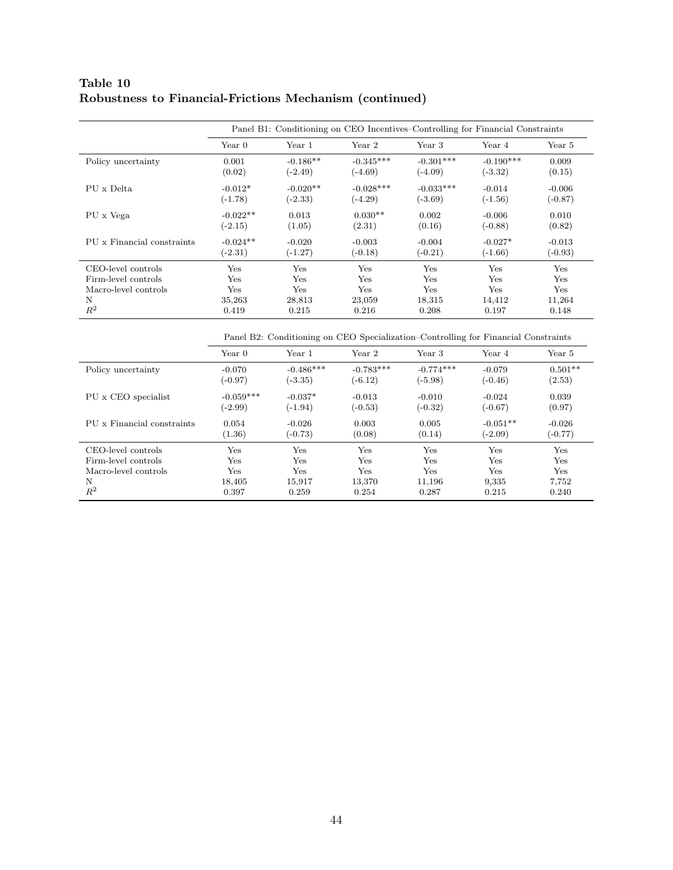### <span id="page-44-0"></span>Table 10 Robustness to Financial-Frictions Mechanism (continued)

|                            | Panel B1: Conditioning on CEO Incentives–Controlling for Financial Constraints |              |             |             |             |           |  |  |
|----------------------------|--------------------------------------------------------------------------------|--------------|-------------|-------------|-------------|-----------|--|--|
|                            | Year $0$                                                                       | Year 1       | Year 2      | Year 3      | Year 4      | Year 5    |  |  |
| Policy uncertainty         | 0.001                                                                          | $-0.186**$   | $-0.345***$ | $-0.301***$ | $-0.190***$ | 0.009     |  |  |
|                            | (0.02)                                                                         | $(-2.49)$    | $(-4.69)$   | $(-4.09)$   | (-3.32)     | (0.15)    |  |  |
| PU x Delta                 | $-0.012*$                                                                      | $-0.020**$   | $-0.028***$ | $-0.033***$ | $-0.014$    | $-0.006$  |  |  |
|                            | $(-1.78)$                                                                      | $(-2.33)$    | $(-4.29)$   | $(-3.69)$   | $(-1.56)$   | $(-0.87)$ |  |  |
| PU x Vega                  | $-0.022**$                                                                     | 0.013        | $0.030**$   | 0.002       | $-0.006$    | 0.010     |  |  |
|                            | $(-2.15)$                                                                      | (1.05)       | (2.31)      | (0.16)      | $(-0.88)$   | (0.82)    |  |  |
| PU x Financial constraints | $-0.024**$                                                                     | $-0.020$     | $-0.003$    | $-0.004$    | $-0.027*$   | $-0.013$  |  |  |
|                            | $(-2.31)$                                                                      | $(-1.27)$    | $(-0.18)$   | $(-0.21)$   | $(-1.66)$   | $(-0.93)$ |  |  |
| CEO-level controls         | Yes                                                                            | Yes          | Yes         | Yes         | Yes         | Yes       |  |  |
| Firm-level controls        | $_{\rm Yes}$                                                                   | $_{\rm Yes}$ | Yes         | Yes         | Yes         | Yes       |  |  |
| Macro-level controls       | $_{\rm Yes}$                                                                   | Yes          | Yes         | Yes         | Yes         | Yes       |  |  |
| N                          | 35,263                                                                         | 28,813       | 23,059      | 18,315      | 14,412      | 11,264    |  |  |
| $R^2$                      | 0.419                                                                          | 0.215        | 0.216       | 0.208       | 0.197       | 0.148     |  |  |

|                            | Panel B2: Conditioning on CEO Specialization–Controlling for Financial Constraints |                          |                          |                          |                         |                       |  |  |
|----------------------------|------------------------------------------------------------------------------------|--------------------------|--------------------------|--------------------------|-------------------------|-----------------------|--|--|
|                            | Year $0$                                                                           | Year 1                   | Year 2                   | Year 3                   | Year 4                  | Year 5                |  |  |
| Policy uncertainty         | $-0.070$<br>$(-0.97)$                                                              | $-0.486***$<br>$(-3.35)$ | $-0.783***$<br>$(-6.12)$ | $-0.774***$<br>$(-5.98)$ | $-0.079$<br>$(-0.46)$   | $0.501**$<br>(2.53)   |  |  |
| PU x CEO specialist        | $-0.059***$<br>$(-2.99)$                                                           | $-0.037*$<br>$(-1.94)$   | $-0.013$<br>$(-0.53)$    | $-0.010$<br>$(-0.32)$    | $-0.024$<br>$(-0.67)$   | 0.039<br>(0.97)       |  |  |
| PU x Financial constraints | 0.054<br>(1.36)                                                                    | $-0.026$<br>$(-0.73)$    | 0.003<br>(0.08)          | 0.005<br>(0.14)          | $-0.051**$<br>$(-2.09)$ | $-0.026$<br>$(-0.77)$ |  |  |
| CEO-level controls         | $_{\rm Yes}$                                                                       | $_{\rm Yes}$             | $\operatorname{Yes}$     | Yes                      | Yes                     | Yes                   |  |  |
| Firm-level controls        | $_{\rm Yes}$                                                                       | $_{\rm Yes}$             | $_{\rm Yes}$             | Yes                      | Yes                     | Yes                   |  |  |
| Macro-level controls       | $\operatorname{Yes}$                                                               | Yes                      | Yes                      | Yes                      | Yes                     | Yes                   |  |  |
| N                          | 18,405                                                                             | 15.917                   | 13,370                   | 11,196                   | 9,335                   | 7,752                 |  |  |
| $R^2$                      | 0.397                                                                              | 0.259                    | 0.254                    | 0.287                    | 0.215                   | 0.240                 |  |  |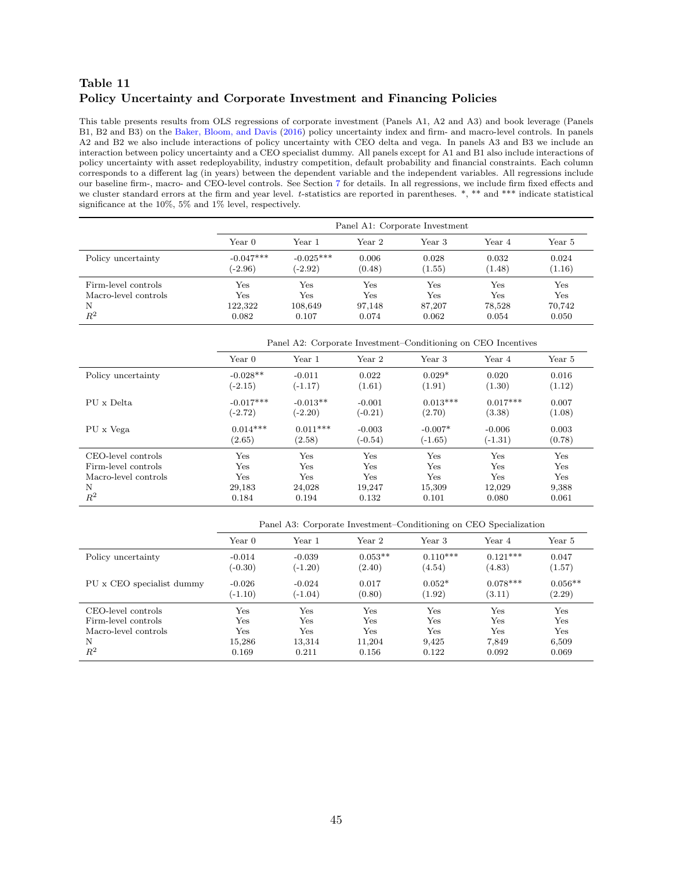### Table 11 Policy Uncertainty and Corporate Investment and Financing Policies

This table presents results from OLS regressions of corporate investment (Panels A1, A2 and A3) and book leverage (Panels B1, B2 and B3) on the [Baker, Bloom, and Davis](#page-29-6) [\(2016\)](#page-29-6) policy uncertainty index and firm- and macro-level controls. In panels A2 and B2 we also include interactions of policy uncertainty with CEO delta and vega. In panels A3 and B3 we include an interaction between policy uncertainty and a CEO specialist dummy. All panels except for A1 and B1 also include interactions of policy uncertainty with asset redeployability, industry competition, default probability and financial constraints. Each column corresponds to a different lag (in years) between the dependent variable and the independent variables. All regressions include our baseline firm-, macro- and CEO-level controls. See Section [7](#page-25-0) for details. In all regressions, we include firm fixed effects and we cluster standard errors at the firm and year level. t-statistics are reported in parentheses. \*, \*\* and \*\*\* indicate statistical significance at the 10%, 5% and 1% level, respectively.

|                      |             | Panel A1: Corporate Investment |        |              |              |              |  |  |  |
|----------------------|-------------|--------------------------------|--------|--------------|--------------|--------------|--|--|--|
|                      | Year 0      | Year 1                         | Year 2 | Year 3       | Year 4       | Year 5       |  |  |  |
| Policy uncertainty   | $-0.047***$ | $-0.025***$                    | 0.006  | 0.028        | 0.032        | 0.024        |  |  |  |
|                      | $(-2.96)$   | $(-2.92)$                      | (0.48) | (1.55)       | (1.48)       | (1.16)       |  |  |  |
| Firm-level controls  | Yes         | $_{\rm Yes}$                   | Yes    | $_{\rm Yes}$ | $_{\rm Yes}$ | $_{\rm Yes}$ |  |  |  |
| Macro-level controls | Yes         | $_{\rm Yes}$                   | Yes    | Yes          | $_{\rm Yes}$ | Yes          |  |  |  |
| N                    | 122.322     | 108.649                        | 97.148 | 87,207       | 78.528       | 70,742       |  |  |  |
| $\,R^2$              | 0.082       | 0.107                          | 0.074  | 0.062        | 0.054        | 0.050        |  |  |  |

|                      | Panel A2: Corporate Investment–Conditioning on CEO Incentives |                         |                       |                        |                       |                 |  |
|----------------------|---------------------------------------------------------------|-------------------------|-----------------------|------------------------|-----------------------|-----------------|--|
|                      | Year 0                                                        | Year 1                  | Year 2                | Year 3                 | Year 4                | Year 5          |  |
| Policy uncertainty   | $-0.028**$<br>$(-2.15)$                                       | $-0.011$<br>$(-1.17)$   | 0.022<br>(1.61)       | $0.029*$<br>(1.91)     | 0.020<br>(1.30)       | 0.016<br>(1.12) |  |
| PU x Delta           | $-0.017***$<br>$(-2.72)$                                      | $-0.013**$<br>$(-2.20)$ | $-0.001$<br>$(-0.21)$ | $0.013***$<br>(2.70)   | $0.017***$<br>(3.38)  | 0.007<br>(1.08) |  |
| PU x Vega            | $0.014***$<br>(2.65)                                          | $0.011***$<br>(2.58)    | $-0.003$<br>$(-0.54)$ | $-0.007*$<br>$(-1.65)$ | $-0.006$<br>$(-1.31)$ | 0.003<br>(0.78) |  |
| CEO-level controls   | Yes                                                           | Yes                     | Yes                   | Yes                    | Yes                   | Yes             |  |
| Firm-level controls  | Yes                                                           | Yes                     | Yes                   | Yes                    | Yes                   | Yes             |  |
| Macro-level controls | Yes                                                           | Yes                     | Yes                   | Yes                    | $_{\rm Yes}$          | $_{\rm Yes}$    |  |
| N                    | 29,183                                                        | 24,028                  | 19,247                | 15,309                 | 12,029                | 9,388           |  |
| $R^2$                | 0.184                                                         | 0.194                   | 0.132                 | 0.101                  | 0.080                 | 0.061           |  |

|                           | Panel A3: Corporate Investment–Conditioning on CEO Specialization |            |           |            |              |           |  |
|---------------------------|-------------------------------------------------------------------|------------|-----------|------------|--------------|-----------|--|
|                           | Year 0                                                            | Year 1     | Year 2    | Year 3     | Year 4       | Year 5    |  |
| Policy uncertainty        | $-0.014$                                                          | $-0.039$   | $0.053**$ | $0.110***$ | $0.121***$   | 0.047     |  |
|                           | $(-0.30)$                                                         | $(-1.20)$  | (2.40)    | (4.54)     | (4.83)       | (1.57)    |  |
| PU x CEO specialist dummy | $-0.026$                                                          | $-0.024$   | 0.017     | $0.052*$   | $0.078***$   | $0.056**$ |  |
|                           | $(-1.10)$                                                         | $(-1.04)$  | (0.80)    | (1.92)     | (3.11)       | (2.29)    |  |
| CEO-level controls        | $_{\rm Yes}$                                                      | Yes        | Yes       | Yes        | Yes          | Yes       |  |
| Firm-level controls       | Yes                                                               | <b>Yes</b> | Yes       | Yes        | Yes          | Yes       |  |
| Macro-level controls      | Yes                                                               | Yes        | Yes       | Yes        | $_{\rm Yes}$ | Yes       |  |
| N                         | 15,286                                                            | 13,314     | 11,204    | 9,425      | 7,849        | 6,509     |  |
| $R^2$                     | 0.169                                                             | 0.211      | 0.156     | 0.122      | 0.092        | 0.069     |  |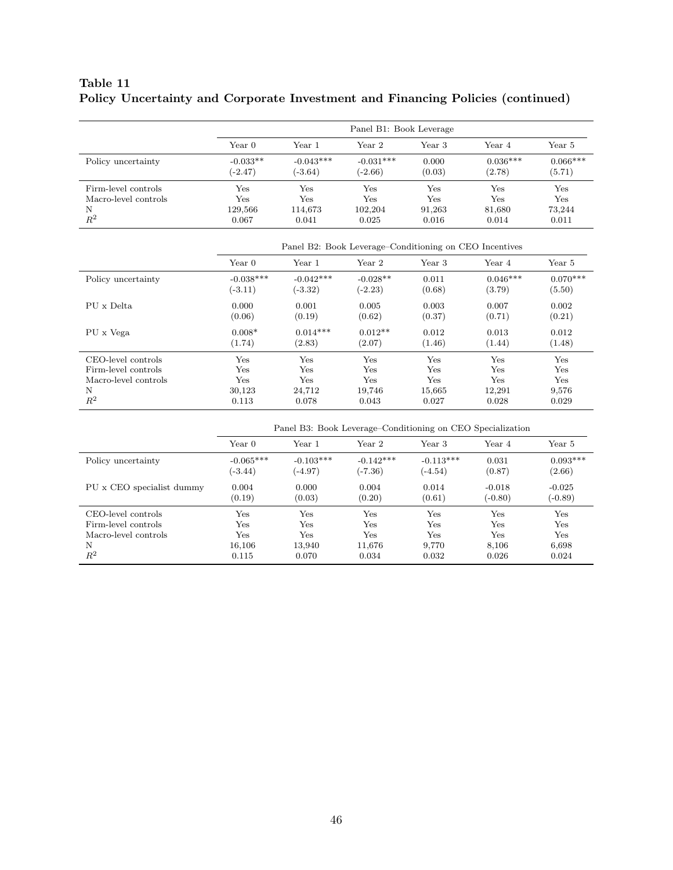### <span id="page-46-0"></span>Table 11 Policy Uncertainty and Corporate Investment and Financing Policies (continued)

|                      | Panel B1: Book Leverage |                          |                          |                 |                      |                      |  |  |
|----------------------|-------------------------|--------------------------|--------------------------|-----------------|----------------------|----------------------|--|--|
|                      | Year 0                  | Year 1                   | Year 2                   | Year 3          | Year 4               | Year 5               |  |  |
| Policy uncertainty   | $-0.033**$<br>$(-2.47)$ | $-0.043***$<br>$(-3.64)$ | $-0.031***$<br>$(-2.66)$ | 0.000<br>(0.03) | $0.036***$<br>(2.78) | $0.066***$<br>(5.71) |  |  |
| Firm-level controls  | Yes                     | Yes                      | Yes                      | $_{\rm Yes}$    | Yes                  | Yes                  |  |  |
| Macro-level controls | Yes                     | Yes                      | Yes                      | $_{\rm Yes}$    | Yes                  | $_{\rm Yes}$         |  |  |
| N                    | 129,566                 | 114,673                  | 102,204                  | 91.263          | 81,680               | 73,244               |  |  |
| $\mathbb{R}^2$       | 0.067                   | 0.041                    | 0.025                    | 0.016           | 0.014                | 0.011                |  |  |

|                      | Panel B2: Book Leverage–Conditioning on CEO Incentives |             |            |        |            |            |  |
|----------------------|--------------------------------------------------------|-------------|------------|--------|------------|------------|--|
|                      | Year $0$                                               | Year 1      | Year 2     | Year 3 | Year 4     | Year 5     |  |
| Policy uncertainty   | $-0.038***$                                            | $-0.042***$ | $-0.028**$ | 0.011  | $0.046***$ | $0.070***$ |  |
|                      | $(-3.11)$                                              | $(-3.32)$   | $(-2.23)$  | (0.68) | (3.79)     | (5.50)     |  |
| PU x Delta           | 0.000                                                  | 0.001       | 0.005      | 0.003  | 0.007      | 0.002      |  |
|                      | (0.06)                                                 | (0.19)      | (0.62)     | (0.37) | (0.71)     | (0.21)     |  |
| PU x Vega            | $0.008*$                                               | $0.014***$  | $0.012**$  | 0.012  | 0.013      | 0.012      |  |
|                      | (1.74)                                                 | (2.83)      | (2.07)     | (1.46) | (1.44)     | (1.48)     |  |
| CEO-level controls   | Yes                                                    | Yes         | Yes        | Yes    | Yes        | Yes        |  |
| Firm-level controls  | Yes                                                    | Yes         | Yes        | Yes    | Yes        | Yes        |  |
| Macro-level controls | Yes                                                    | Yes         | Yes        | Yes    | Yes        | Yes        |  |
| N                    | 30,123                                                 | 24,712      | 19,746     | 15,665 | 12,291     | 9,576      |  |
| $R^2$                | 0.113                                                  | 0.078       | 0.043      | 0.027  | 0.028      | 0.029      |  |

Panel B3: Book Leverage–Conditioning on CEO Specialization

|                           | Year 0      | Year 1       | Year 2      | Year 3      | Year 4    | Year 5     |
|---------------------------|-------------|--------------|-------------|-------------|-----------|------------|
| Policy uncertainty        | $-0.065***$ | $-0.103***$  | $-0.142***$ | $-0.113***$ | 0.031     | $0.093***$ |
|                           | $(-3.44)$   | $(-4.97)$    | $(-7.36)$   | $(-4.54)$   | (0.87)    | (2.66)     |
| PU x CEO specialist dummy | 0.004       | 0.000        | 0.004       | 0.014       | $-0.018$  | $-0.025$   |
|                           | (0.19)      | (0.03)       | (0.20)      | (0.61)      | $(-0.80)$ | $(-0.89)$  |
| CEO-level controls        | Yes         | Yes          | Yes         | Yes         | Yes       | Yes        |
| Firm-level controls       | Yes         | $_{\rm Yes}$ | Yes         | Yes         | Yes       | Yes        |
| Macro-level controls      | Yes         | Yes          | Yes         | Yes         | Yes       | Yes        |
| N                         | 16,106      | 13.940       | 11,676      | 9.770       | 8,106     | 6,698      |
| $R^2$                     | 0.115       | 0.070        | 0.034       | 0.032       | 0.026     | 0.024      |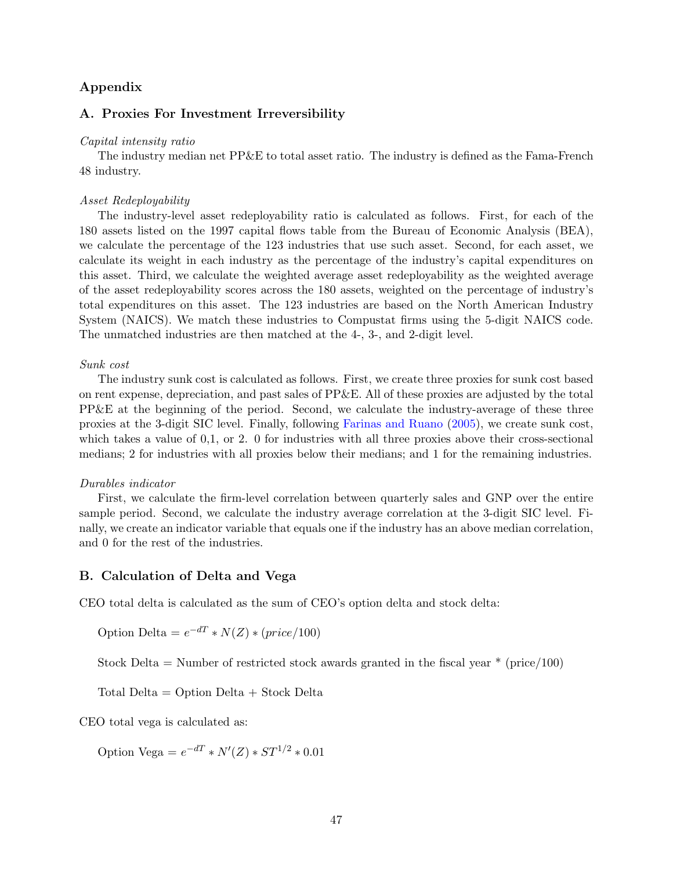### Appendix

#### A. Proxies For Investment Irreversibility

#### Capital intensity ratio

The industry median net PP&E to total asset ratio. The industry is defined as the Fama-French 48 industry.

#### Asset Redeployability

The industry-level asset redeployability ratio is calculated as follows. First, for each of the 180 assets listed on the 1997 capital flows table from the Bureau of Economic Analysis (BEA), we calculate the percentage of the 123 industries that use such asset. Second, for each asset, we calculate its weight in each industry as the percentage of the industry's capital expenditures on this asset. Third, we calculate the weighted average asset redeployability as the weighted average of the asset redeployability scores across the 180 assets, weighted on the percentage of industry's total expenditures on this asset. The 123 industries are based on the North American Industry System (NAICS). We match these industries to Compustat firms using the 5-digit NAICS code. The unmatched industries are then matched at the 4-, 3-, and 2-digit level.

#### Sunk cost

The industry sunk cost is calculated as follows. First, we create three proxies for sunk cost based on rent expense, depreciation, and past sales of PP&E. All of these proxies are adjusted by the total PP&E at the beginning of the period. Second, we calculate the industry-average of these three proxies at the 3-digit SIC level. Finally, following [Farinas and Ruano](#page-30-16) [\(2005\)](#page-30-16), we create sunk cost, which takes a value of  $0,1$ , or 2. 0 for industries with all three proxies above their cross-sectional medians; 2 for industries with all proxies below their medians; and 1 for the remaining industries.

#### Durables indicator

First, we calculate the firm-level correlation between quarterly sales and GNP over the entire sample period. Second, we calculate the industry average correlation at the 3-digit SIC level. Finally, we create an indicator variable that equals one if the industry has an above median correlation, and 0 for the rest of the industries.

#### B. Calculation of Delta and Vega

CEO total delta is calculated as the sum of CEO's option delta and stock delta:

Option Delta =  $e^{-dT} * N(Z) * (price/100)$ 

Stock Delta = Number of restricted stock awards granted in the fiscal year  $*$  (price/100)

Total Delta = Option Delta + Stock Delta

CEO total vega is calculated as:

Option Vega =  $e^{-dT} * N'(Z) * ST^{1/2} * 0.01$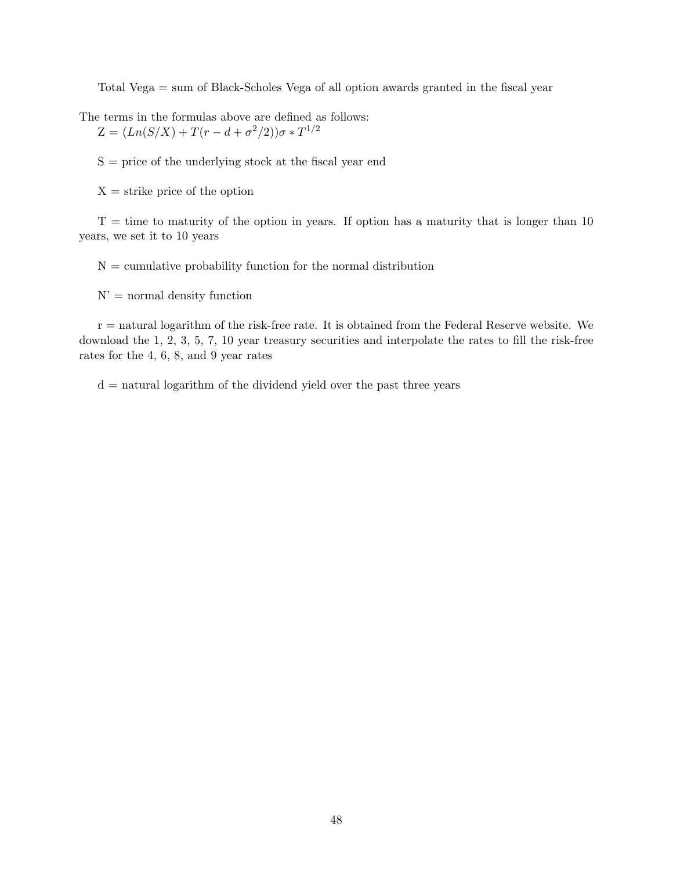Total Vega = sum of Black-Scholes Vega of all option awards granted in the fiscal year

The terms in the formulas above are defined as follows:  $Z = (Ln(S/X) + T(r - d + \sigma^2/2))\sigma * T^{1/2}$ 

 $S =$  price of the underlying stock at the fiscal year end

 $X =$ strike price of the option

 $T =$  time to maturity of the option in years. If option has a maturity that is longer than 10 years, we set it to 10 years

 $N =$  cumulative probability function for the normal distribution

 $N' =$  normal density function

 $r =$  natural logarithm of the risk-free rate. It is obtained from the Federal Reserve website. We download the 1, 2, 3, 5, 7, 10 year treasury securities and interpolate the rates to fill the risk-free rates for the 4, 6, 8, and 9 year rates

 $d =$  natural logarithm of the dividend yield over the past three years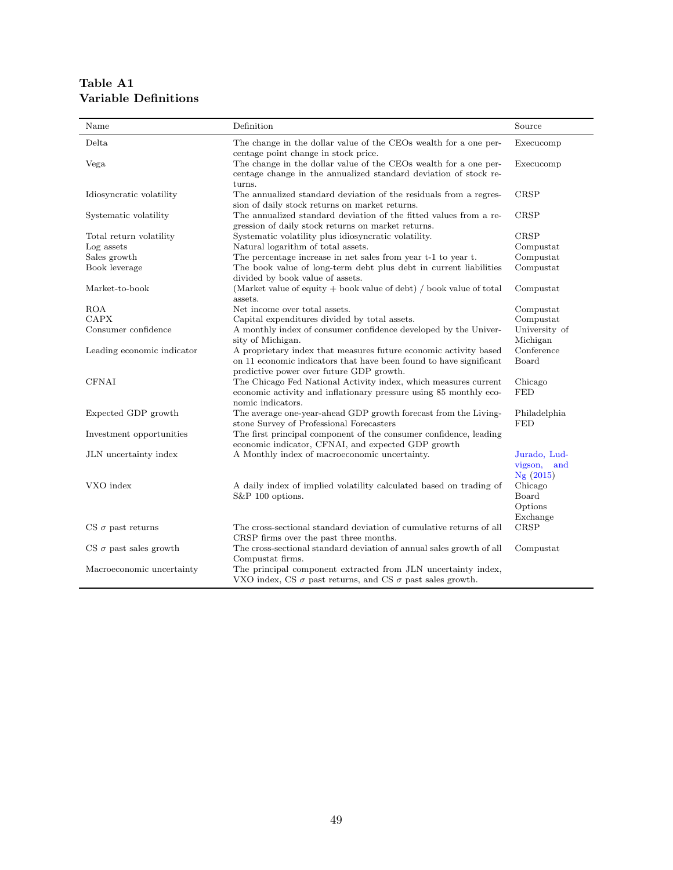### <span id="page-49-0"></span>Table A1 Variable Definitions

| Name                         | Definition                                                                                                                                                                         | Source                                     |
|------------------------------|------------------------------------------------------------------------------------------------------------------------------------------------------------------------------------|--------------------------------------------|
| Delta                        | The change in the dollar value of the CEOs wealth for a one per-<br>centage point change in stock price.                                                                           | Execucomp                                  |
| Vega                         | The change in the dollar value of the CEOs wealth for a one per-<br>centage change in the annualized standard deviation of stock re-<br>turns.                                     | Execucomp                                  |
| Idiosyncratic volatility     | The annualized standard deviation of the residuals from a regres-<br>sion of daily stock returns on market returns.                                                                | <b>CRSP</b>                                |
| Systematic volatility        | The annualized standard deviation of the fitted values from a re-<br>gression of daily stock returns on market returns.                                                            | CRSP                                       |
| Total return volatility      | Systematic volatility plus idiosyncratic volatility.                                                                                                                               | <b>CRSP</b>                                |
| Log assets                   | Natural logarithm of total assets.                                                                                                                                                 | Compustat                                  |
| Sales growth                 | The percentage increase in net sales from year t-1 to year t.                                                                                                                      | Compustat                                  |
| Book leverage                | The book value of long-term debt plus debt in current liabilities<br>divided by book value of assets.                                                                              | Compustat                                  |
| Market-to-book               | (Market value of equity $+$ book value of debt) / book value of total<br>assets.                                                                                                   | Compustat                                  |
| <b>ROA</b>                   | Net income over total assets.                                                                                                                                                      | Compustat                                  |
| CAPX                         | Capital expenditures divided by total assets.                                                                                                                                      | Compustat                                  |
| Consumer confidence          | A monthly index of consumer confidence developed by the Univer-                                                                                                                    | University of                              |
|                              | sity of Michigan.                                                                                                                                                                  | Michigan                                   |
| Leading economic indicator   | A proprietary index that measures future economic activity based<br>on 11 economic indicators that have been found to have significant<br>predictive power over future GDP growth. | Conference<br>Board                        |
| <b>CFNAI</b>                 | The Chicago Fed National Activity index, which measures current<br>economic activity and inflationary pressure using 85 monthly eco-<br>nomic indicators.                          | Chicago<br><b>FED</b>                      |
| Expected GDP growth          | The average one-year-ahead GDP growth forecast from the Living-<br>stone Survey of Professional Forecasters                                                                        | Philadelphia<br>FED                        |
| Investment opportunities     | The first principal component of the consumer confidence, leading<br>economic indicator, CFNAI, and expected GDP growth                                                            |                                            |
| JLN uncertainty index        | A Monthly index of macroeconomic uncertainty.                                                                                                                                      | Jurado, Lud-<br>vigson,<br>and<br>Ng(2015) |
| VXO index                    | A daily index of implied volatility calculated based on trading of<br>S&P 100 options.                                                                                             | Chicago<br>Board<br>Options<br>Exchange    |
| $CS\sigma$ past returns      | The cross-sectional standard deviation of cumulative returns of all<br>CRSP firms over the past three months.                                                                      | CRSP                                       |
| $CS\sigma$ past sales growth | The cross-sectional standard deviation of annual sales growth of all<br>Compustat firms.                                                                                           | Compustat                                  |
| Macroeconomic uncertainty    | The principal component extracted from JLN uncertainty index,<br>VXO index, CS $\sigma$ past returns, and CS $\sigma$ past sales growth.                                           |                                            |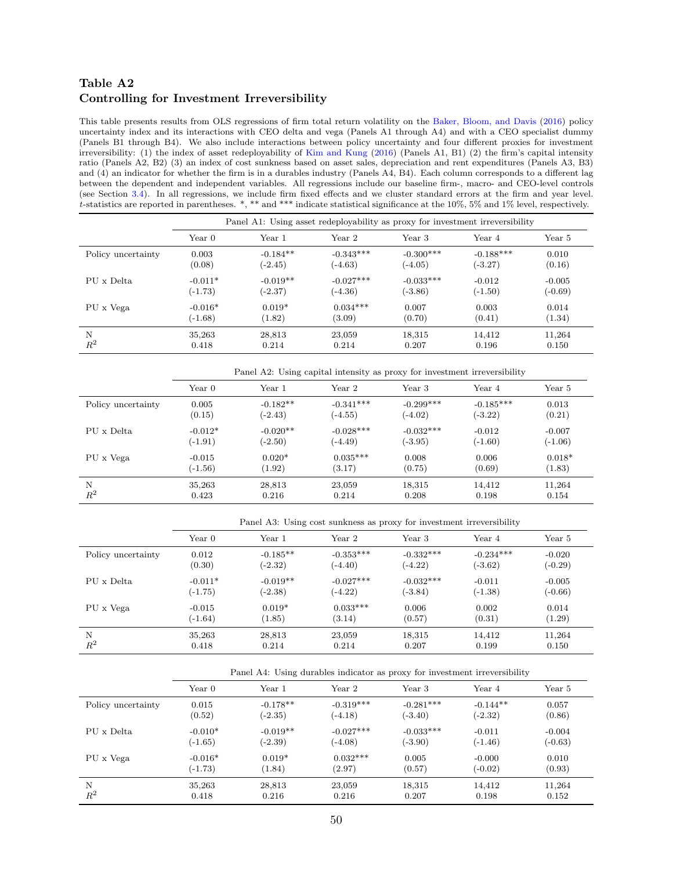### Table A2 Controlling for Investment Irreversibility

This table presents results from OLS regressions of firm total return volatility on the [Baker, Bloom, and Davis](#page-29-6) [\(2016\)](#page-29-6) policy uncertainty index and its interactions with CEO delta and vega (Panels A1 through A4) and with a CEO specialist dummy (Panels B1 through B4). We also include interactions between policy uncertainty and four different proxies for investment irreversibility: (1) the index of asset redeployability of [Kim and Kung](#page-31-9) [\(2016\)](#page-31-9) (Panels A1, B1) (2) the firm's capital intensity ratio (Panels A2, B2) (3) an index of cost sunkness based on asset sales, depreciation and rent expenditures (Panels A3, B3) and (4) an indicator for whether the firm is in a durables industry (Panels A4, B4). Each column corresponds to a different lag between the dependent and independent variables. All regressions include our baseline firm-, macro- and CEO-level controls (see Section [3.4\)](#page-11-0). In all regressions, we include firm fixed effects and we cluster standard errors at the firm and year level. t-statistics are reported in parentheses. \*, \*\* and \*\*\* indicate statistical significance at the 10%, 5% and 1% level, respectively.

|                    | Panel A1: Using asset redeployability as proxy for investment irreversibility |            |             |             |             |           |
|--------------------|-------------------------------------------------------------------------------|------------|-------------|-------------|-------------|-----------|
|                    | Year 0                                                                        | Year 1     | Year 2      | Year 3      | Year 4      | Year 5    |
| Policy uncertainty | 0.003                                                                         | $-0.184**$ | $-0.343***$ | $-0.300***$ | $-0.188***$ | 0.010     |
|                    | (0.08)                                                                        | $(-2.45)$  | $(-4.63)$   | $(-4.05)$   | $(-3.27)$   | (0.16)    |
| PU x Delta         | $-0.011*$                                                                     | $-0.019**$ | $-0.027***$ | $-0.033***$ | $-0.012$    | $-0.005$  |
|                    | $(-1.73)$                                                                     | $(-2.37)$  | $(-4.36)$   | $(-3.86)$   | $(-1.50)$   | $(-0.69)$ |
| PU x Vega          | $-0.016*$                                                                     | $0.019*$   | $0.034***$  | 0.007       | 0.003       | 0.014     |
|                    | $(-1.68)$                                                                     | (1.82)     | (3.09)      | (0.70)      | (0.41)      | (1.34)    |
| N                  | 35,263                                                                        | 28,813     | 23,059      | 18,315      | 14,412      | 11,264    |
| $R^2$              | 0.418                                                                         | 0.214      | 0.214       | 0.207       | 0.196       | 0.150     |

Panel A2: Using capital intensity as proxy for investment irreversibility

|                    | Year $0$  | Year 1     | Year 2      | Year 3      | Year 4      | Year 5    |
|--------------------|-----------|------------|-------------|-------------|-------------|-----------|
| Policy uncertainty | 0.005     | $-0.182**$ | $-0.341***$ | $-0.299***$ | $-0.185***$ | 0.013     |
|                    | (0.15)    | $(-2.43)$  | $(-4.55)$   | $(-4.02)$   | $(-3.22)$   | (0.21)    |
| PU x Delta         | $-0.012*$ | $-0.020**$ | $-0.028***$ | $-0.032***$ | $-0.012$    | $-0.007$  |
|                    | $(-1.91)$ | $(-2.50)$  | $(-4.49)$   | $(-3.95)$   | $(-1.60)$   | $(-1.06)$ |
| PU x Vega          | $-0.015$  | $0.020*$   | $0.035***$  | 0.008       | 0.006       | $0.018*$  |
|                    | $(-1.56)$ | (1.92)     | (3.17)      | (0.75)      | (0.69)      | (1.83)    |
| N                  | 35,263    | 28,813     | 23,059      | 18.315      | 14.412      | 11.264    |
| $R^2$              | 0.423     | 0.216      | 0.214       | 0.208       | 0.198       | 0.154     |

Panel A3: Using cost sunkness as proxy for investment irreversibility

|                    | Year $0$  | Year 1     | Year 2      | Year 3      | Year 4      | Year 5    |
|--------------------|-----------|------------|-------------|-------------|-------------|-----------|
| Policy uncertainty | 0.012     | $-0.185**$ | $-0.353***$ | $-0.332***$ | $-0.234***$ | $-0.020$  |
|                    | (0.30)    | $(-2.32)$  | $(-4.40)$   | $(-4.22)$   | $(-3.62)$   | $(-0.29)$ |
| PU x Delta         | $-0.011*$ | $-0.019**$ | $-0.027***$ | $-0.032***$ | $-0.011$    | $-0.005$  |
|                    | $(-1.75)$ | $(-2.38)$  | $(-4.22)$   | $(-3.84)$   | $(-1.38)$   | $(-0.66)$ |
| PU x Vega          | $-0.015$  | $0.019*$   | $0.033***$  | 0.006       | 0.002       | 0.014     |
|                    | $(-1.64)$ | (1.85)     | (3.14)      | (0.57)      | (0.31)      | (1.29)    |
| N                  | 35,263    | 28,813     | 23,059      | 18,315      | 14,412      | 11.264    |
| $R^2$              | 0.418     | 0.214      | 0.214       | 0.207       | 0.199       | 0.150     |

Panel A4: Using durables indicator as proxy for investment irreversibility

|                    | Year 0    | Year 1     | Year 2      | Year 3      | Year 4     | Year 5    |
|--------------------|-----------|------------|-------------|-------------|------------|-----------|
| Policy uncertainty | 0.015     | $-0.178**$ | $-0.319***$ | $-0.281***$ | $-0.144**$ | 0.057     |
|                    | (0.52)    | $(-2.35)$  | $(-4.18)$   | $(-3.40)$   | $(-2.32)$  | (0.86)    |
| PU x Delta         | $-0.010*$ | $-0.019**$ | $-0.027***$ | $-0.033***$ | $-0.011$   | $-0.004$  |
|                    | $(-1.65)$ | $(-2.39)$  | $(-4.08)$   | $(-3.90)$   | $(-1.46)$  | $(-0.63)$ |
| PU x Vega          | $-0.016*$ | $0.019*$   | $0.032***$  | 0.005       | $-0.000$   | 0.010     |
|                    | $(-1.73)$ | (1.84)     | (2.97)      | (0.57)      | $(-0.02)$  | (0.93)    |
| N                  | 35,263    | 28,813     | 23,059      | 18,315      | 14.412     | 11,264    |
| $R^2$              | 0.418     | 0.216      | 0.216       | 0.207       | 0.198      | 0.152     |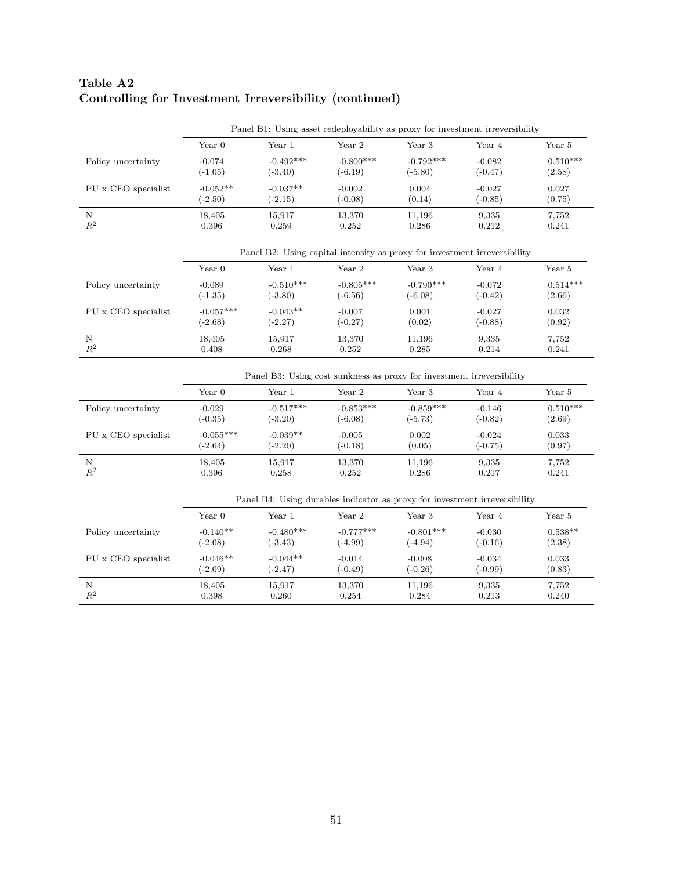### <span id="page-51-0"></span>Table A2 Controlling for Investment Irreversibility (continued)

|                     | Panel B1: Using asset redeployability as proxy for investment irreversibility |             |             |             |           |            |  |
|---------------------|-------------------------------------------------------------------------------|-------------|-------------|-------------|-----------|------------|--|
|                     | Year 0                                                                        | Year 1      | Year 2      | Year 3      | Year 4    | Year 5     |  |
| Policy uncertainty  | $-0.074$                                                                      | $-0.492***$ | $-0.800***$ | $-0.792***$ | $-0.082$  | $0.510***$ |  |
|                     | $(-1.05)$                                                                     | $(-3.40)$   | $(-6.19)$   | $(-5.80)$   | $(-0.47)$ | (2.58)     |  |
| PU x CEO specialist | $-0.052**$                                                                    | $-0.037**$  | $-0.002$    | 0.004       | $-0.027$  | 0.027      |  |
|                     | $(-2.50)$                                                                     | $(-2.15)$   | $(-0.08)$   | (0.14)      | $(-0.85)$ | (0.75)     |  |
| N                   | 18,405                                                                        | 15.917      | 13,370      | 11.196      | 9,335     | 7,752      |  |
| $R^2$               | 0.396                                                                         | 0.259       | 0.252       | 0.286       | 0.212     | 0.241      |  |

Panel B2: Using capital intensity as proxy for investment irreversibility

|                     | Year 0      | Year 1      | Year 2      | Year 3      | Year 4    | Year 5     |
|---------------------|-------------|-------------|-------------|-------------|-----------|------------|
| Policy uncertainty  | $-0.089$    | $-0.510***$ | $-0.805***$ | $-0.790***$ | $-0.072$  | $0.514***$ |
|                     | $(-1.35)$   | $(-3.80)$   | $(-6.56)$   | $(-6.08)$   | $(-0.42)$ | (2.66)     |
| PU x CEO specialist | $-0.057***$ | $-0.043**$  | $-0.007$    | 0.001       | $-0.027$  | 0.032      |
|                     | $(-2.68)$   | $(-2.27)$   | $(-0.27)$   | (0.02)      | $(-0.88)$ | (0.92)     |
| N                   | 18.405      | 15.917      | 13,370      | 11,196      | 9,335     | 7,752      |
| $\mathbb{R}^2$      | 0.408       | 0.268       | 0.252       | 0.285       | 0.214     | 0.241      |

Panel B3: Using cost sunkness as proxy for investment irreversibility

|                     | Year 0      | Year 1      | Year 2      | Year 3      | Year 4    | Year 5     |
|---------------------|-------------|-------------|-------------|-------------|-----------|------------|
| Policy uncertainty  | $-0.029$    | $-0.517***$ | $-0.853***$ | $-0.859***$ | $-0.146$  | $0.510***$ |
|                     | $(-0.35)$   | $(-3.20)$   | $(-6.08)$   | $(-5.73)$   | $(-0.82)$ | (2.69)     |
| PU x CEO specialist | $-0.055***$ | $-0.039**$  | $-0.005$    | 0.002       | $-0.024$  | 0.033      |
|                     | $(-2.64)$   | $(-2.20)$   | $(-0.18)$   | (0.05)      | $(-0.75)$ | (0.97)     |
| N                   | 18.405      | 15.917      | 13,370      | 11.196      | 9,335     | 7,752      |
| $R^2$               | 0.396       | 0.258       | 0.252       | 0.286       | 0.217     | 0.241      |

Panel B4: Using durables indicator as proxy for investment irreversibility Year 0 Year 1 Year 2 Year 3 Year 4 Year 5 Policy uncertainty  $-0.140^{**}$   $-0.480^{***}$   $-0.777^{***}$   $-0.801^{***}$   $-0.030$   $0.538^{**}$ <br>  $(-2.08)$   $(-3.43)$   $(-4.99)$   $(-4.94)$   $(-0.16)$   $(2.38)$  $(-2.08)$   $(-3.43)$   $(-4.99)$   $(-4.94)$   $(-0.16)$   $(2.38)$ PU x CEO specialist  $-0.046**$   $-0.044**$   $-0.014$   $-0.008$   $-0.034$   $-0.033$ <br> $(-2.09)$   $(-2.47)$   $(-0.49)$   $(-0.26)$   $(-0.99)$   $(0.83)$  $(-2.09)$   $(-2.47)$   $(-0.49)$   $(-0.26)$   $(-0.99)$   $(0.83)$ N 18,405 15,917 13,370 11,196 9,335 7,752  $R^2$  0.398 0.260 0.254 0.284 0.213 0.240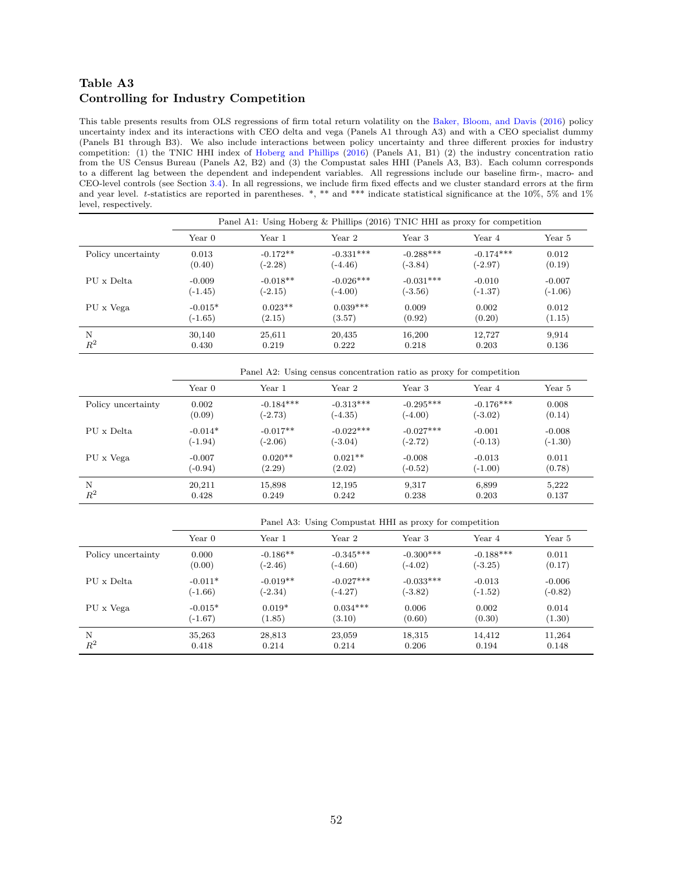### Table A3 Controlling for Industry Competition

This table presents results from OLS regressions of firm total return volatility on the [Baker, Bloom, and Davis](#page-29-6) [\(2016\)](#page-29-6) policy uncertainty index and its interactions with CEO delta and vega (Panels A1 through A3) and with a CEO specialist dummy (Panels B1 through B3). We also include interactions between policy uncertainty and three different proxies for industry competition: (1) the TNIC HHI index of [Hoberg and Phillips](#page-30-13) [\(2016\)](#page-30-13) (Panels A1, B1) (2) the industry concentration ratio from the US Census Bureau (Panels A2, B2) and (3) the Compustat sales HHI (Panels A3, B3). Each column corresponds to a different lag between the dependent and independent variables. All regressions include our baseline firm-, macro- and CEO-level controls (see Section [3.4\)](#page-11-0). In all regressions, we include firm fixed effects and we cluster standard errors at the firm and year level. t-statistics are reported in parentheses. \*, \*\* and \*\*\* indicate statistical significance at the 10%, 5% and 1% level, respectively.

|                    | Panel A1: Using Hoberg & Phillips (2016) TNIC HHI as proxy for competition |            |             |             |             |           |
|--------------------|----------------------------------------------------------------------------|------------|-------------|-------------|-------------|-----------|
|                    | Year 0                                                                     | Year 1     | Year 2      | Year 3      | Year 4      | Year 5    |
| Policy uncertainty | 0.013                                                                      | $-0.172**$ | $-0.331***$ | $-0.288***$ | $-0.174***$ | 0.012     |
|                    | (0.40)                                                                     | $(-2.28)$  | $(-4.46)$   | $(-3.84)$   | $(-2.97)$   | (0.19)    |
| PU x Delta         | $-0.009$                                                                   | $-0.018**$ | $-0.026***$ | $-0.031***$ | $-0.010$    | $-0.007$  |
|                    | $(-1.45)$                                                                  | $(-2.15)$  | $(-4.00)$   | $(-3.56)$   | $(-1.37)$   | $(-1.06)$ |
| PU x Vega          | $-0.015*$                                                                  | $0.023**$  | $0.039***$  | 0.009       | 0.002       | 0.012     |
|                    | $(-1.65)$                                                                  | (2.15)     | (3.57)      | (0.92)      | (0.20)      | (1.15)    |
| N                  | 30,140                                                                     | 25,611     | 20,435      | 16,200      | 12.727      | 9,914     |
| $R^2$              | 0.430                                                                      | 0.219      | 0.222       | 0.218       | 0.203       | 0.136     |

Panel A2: Using census concentration ratio as proxy for competition

|                    | Year 0    | Year 1      | Year 2      | Year 3      | Year 4      | Year 5    |
|--------------------|-----------|-------------|-------------|-------------|-------------|-----------|
| Policy uncertainty | 0.002     | $-0.184***$ | $-0.313***$ | $-0.295***$ | $-0.176***$ | 0.008     |
|                    | (0.09)    | $(-2.73)$   | $(-4.35)$   | $(-4.00)$   | $(-3.02)$   | (0.14)    |
| PU x Delta         | $-0.014*$ | $-0.017**$  | $-0.022***$ | $-0.027***$ | $-0.001$    | $-0.008$  |
|                    | $(-1.94)$ | $(-2.06)$   | $(-3.04)$   | $(-2.72)$   | $(-0.13)$   | $(-1.30)$ |
| PU x Vega          | $-0.007$  | $0.020**$   | $0.021**$   | $-0.008$    | $-0.013$    | 0.011     |
|                    | $(-0.94)$ | (2.29)      | (2.02)      | $(-0.52)$   | $(-1.00)$   | (0.78)    |
| N                  | 20,211    | 15,898      | 12.195      | 9,317       | 6,899       | 5,222     |
| $R^2$              | 0.428     | 0.249       | 0.242       | 0.238       | 0.203       | 0.137     |

Panel A3: Using Compustat HHI as proxy for competition

|                    | Year 0    | Year 1     | Year 2      | Year 3      | Year 4      | Year 5    |
|--------------------|-----------|------------|-------------|-------------|-------------|-----------|
| Policy uncertainty | 0.000     | $-0.186**$ | $-0.345***$ | $-0.300***$ | $-0.188***$ | 0.011     |
|                    | (0.00)    | $(-2.46)$  | $(-4.60)$   | $(-4.02)$   | $(-3.25)$   | (0.17)    |
| PU x Delta         | $-0.011*$ | $-0.019**$ | $-0.027***$ | $-0.033***$ | $-0.013$    | $-0.006$  |
|                    | $(-1.66)$ | $(-2.34)$  | $(-4.27)$   | $(-3.82)$   | $(-1.52)$   | $(-0.82)$ |
| PU x Vega          | $-0.015*$ | $0.019*$   | $0.034***$  | 0.006       | 0.002       | 0.014     |
|                    | $(-1.67)$ | (1.85)     | (3.10)      | (0.60)      | (0.30)      | (1.30)    |
| N                  | 35,263    | 28,813     | 23,059      | 18,315      | 14.412      | 11,264    |
| $R^2$              | 0.418     | 0.214      | 0.214       | 0.206       | 0.194       | 0.148     |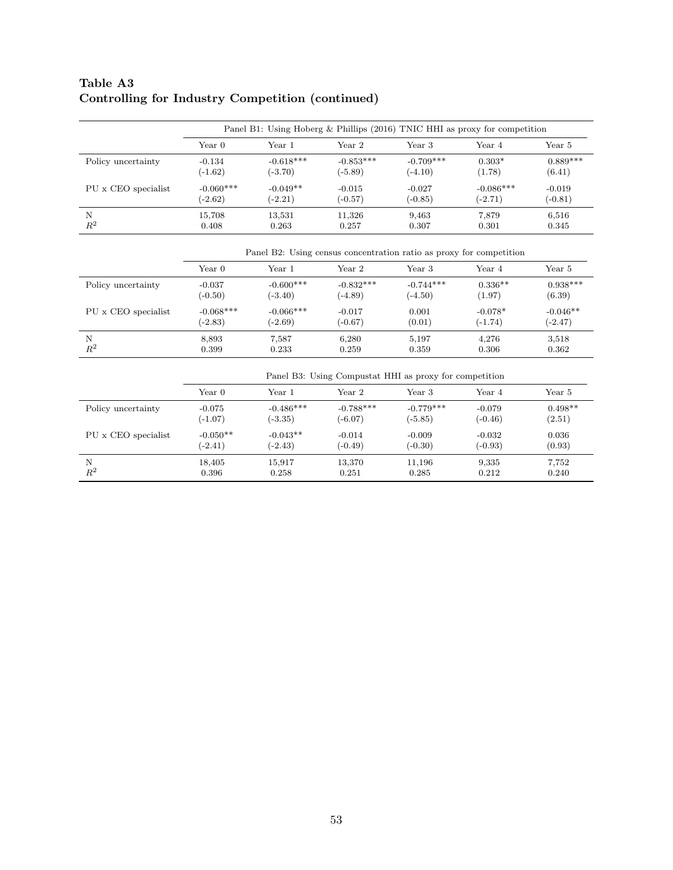### <span id="page-53-0"></span>Table A3 Controlling for Industry Competition (continued)

|                     | Panel B1: Using Hoberg & Phillips (2016) TNIC HHI as proxy for competition |             |             |             |             |            |  |
|---------------------|----------------------------------------------------------------------------|-------------|-------------|-------------|-------------|------------|--|
|                     | Year 0                                                                     | Year 1      | Year 2      | Year 3      | Year 4      | Year 5     |  |
| Policy uncertainty  | $-0.134$                                                                   | $-0.618***$ | $-0.853***$ | $-0.709***$ | $0.303*$    | $0.889***$ |  |
|                     | $(-1.62)$                                                                  | $(-3.70)$   | $(-5.89)$   | $(-4.10)$   | (1.78)      | (6.41)     |  |
| PU x CEO specialist | $-0.060***$                                                                | $-0.049**$  | $-0.015$    | $-0.027$    | $-0.086***$ | $-0.019$   |  |
|                     | $(-2.62)$                                                                  | $(-2.21)$   | $(-0.57)$   | $(-0.85)$   | $(-2.71)$   | $(-0.81)$  |  |
| N                   | 15,708                                                                     | 13,531      | 11.326      | 9.463       | 7.879       | 6,516      |  |
| $R^2$               | 0.408                                                                      | 0.263       | 0.257       | 0.307       | 0.301       | 0.345      |  |

Panel B2: Using census concentration ratio as proxy for competition

|                     | Year 0      | Year 1      | Year 2      | Year 3      | Year 4    | Year 5     |
|---------------------|-------------|-------------|-------------|-------------|-----------|------------|
| Policy uncertainty  | $-0.037$    | $-0.600***$ | $-0.832***$ | $-0.744***$ | $0.336**$ | $0.938***$ |
|                     | $(-0.50)$   | $(-3.40)$   | $(-4.89)$   | $(-4.50)$   | (1.97)    | (6.39)     |
| PU x CEO specialist | $-0.068***$ | $-0.066***$ | $-0.017$    | 0.001       | $-0.078*$ | $-0.046**$ |
|                     | $(-2.83)$   | $(-2.69)$   | $(-0.67)$   | (0.01)      | $(-1.74)$ | $(-2.47)$  |
| N                   | 8,893       | 7.587       | 6.280       | 5.197       | 4.276     | 3,518      |
| $\mathbb{R}^2$      | 0.399       | 0.233       | 0.259       | 0.359       | 0.306     | 0.362      |

|                     | Panel B3: Using Compustat HHI as proxy for competition |             |             |             |           |           |  |
|---------------------|--------------------------------------------------------|-------------|-------------|-------------|-----------|-----------|--|
|                     | Year 0                                                 | Year 1      | Year 2      | Year 3      | Year 4    | Year 5    |  |
| Policy uncertainty  | $-0.075$                                               | $-0.486***$ | $-0.788***$ | $-0.779***$ | $-0.079$  | $0.498**$ |  |
|                     | $(-1.07)$                                              | $(-3.35)$   | $(-6.07)$   | $(-5.85)$   | $(-0.46)$ | (2.51)    |  |
| PU x CEO specialist | $-0.050**$                                             | $-0.043**$  | $-0.014$    | $-0.009$    | $-0.032$  | 0.036     |  |
|                     | $(-2.41)$                                              | $(-2.43)$   | $(-0.49)$   | $(-0.30)$   | $(-0.93)$ | (0.93)    |  |
| N                   | 18.405                                                 | 15.917      | 13.370      | 11.196      | 9,335     | 7,752     |  |
| $R^2$               | 0.396                                                  | 0.258       | 0.251       | 0.285       | 0.212     | 0.240     |  |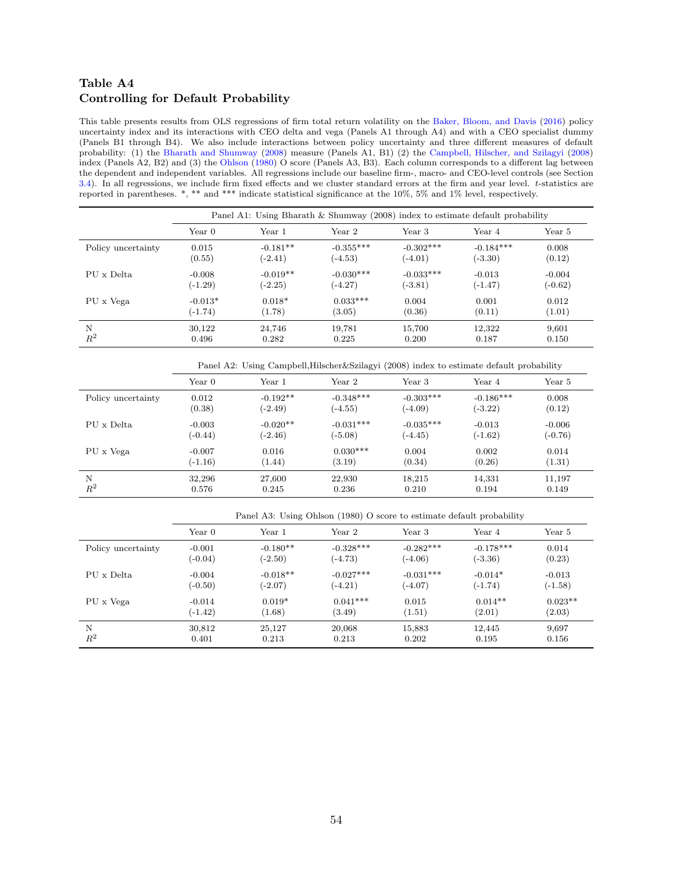### Table A4 Controlling for Default Probability

This table presents results from OLS regressions of firm total return volatility on the [Baker, Bloom, and Davis](#page-29-6) [\(2016\)](#page-29-6) policy uncertainty index and its interactions with CEO delta and vega (Panels A1 through A4) and with a CEO specialist dummy (Panels B1 through B4). We also include interactions between policy uncertainty and three different measures of default probability: (1) the [Bharath and Shumway](#page-29-8) [\(2008\)](#page-29-8) measure (Panels A1, B1) (2) the [Campbell, Hilscher, and Szilagyi](#page-29-9) [\(2008\)](#page-29-9) index (Panels A2, B2) and (3) the [Ohlson](#page-31-10) [\(1980\)](#page-31-10) O score (Panels A3, B3). Each column corresponds to a different lag between the dependent and independent variables. All regressions include our baseline firm-, macro- and CEO-level controls (see Section [3.4\)](#page-11-0). In all regressions, we include firm fixed effects and we cluster standard errors at the firm and year level. t-statistics are reported in parentheses. \*, \*\* and \*\*\* indicate statistical significance at the 10%, 5% and 1% level, respectively.

|                    | Panel A1: Using Bharath & Shumway (2008) index to estimate default probability |            |             |             |             |           |  |  |
|--------------------|--------------------------------------------------------------------------------|------------|-------------|-------------|-------------|-----------|--|--|
|                    | Year 0                                                                         | Year 1     | Year 2      | Year 3      | Year 4      | Year 5    |  |  |
| Policy uncertainty | 0.015                                                                          | $-0.181**$ | $-0.355***$ | $-0.302***$ | $-0.184***$ | 0.008     |  |  |
|                    | (0.55)                                                                         | $(-2.41)$  | $(-4.53)$   | $(-4.01)$   | $(-3.30)$   | (0.12)    |  |  |
| PU x Delta         | $-0.008$                                                                       | $-0.019**$ | $-0.030***$ | $-0.033***$ | $-0.013$    | $-0.004$  |  |  |
|                    | $(-1.29)$                                                                      | $(-2.25)$  | $(-4.27)$   | $(-3.81)$   | $(-1.47)$   | $(-0.62)$ |  |  |
| PU x Vega          | $-0.013*$                                                                      | $0.018*$   | $0.033***$  | 0.004       | 0.001       | 0.012     |  |  |
|                    | $(-1.74)$                                                                      | (1.78)     | (3.05)      | (0.36)      | (0.11)      | (1.01)    |  |  |
| N                  | 30,122                                                                         | 24,746     | 19,781      | 15,700      | 12,322      | 9,601     |  |  |
| $R^2$              | 0.496                                                                          | 0.282      | 0.225       | 0.200       | 0.187       | 0.150     |  |  |

Panel A2: Using Campbell,Hilscher&Szilagyi (2008) index to estimate default probability

|                    | Year 0    | Year 1     | Year 2      | Year 3      | Year 4      | Year 5    |
|--------------------|-----------|------------|-------------|-------------|-------------|-----------|
| Policy uncertainty | 0.012     | $-0.192**$ | $-0.348***$ | $-0.303***$ | $-0.186***$ | 0.008     |
|                    | (0.38)    | $(-2.49)$  | $(-4.55)$   | $(-4.09)$   | $(-3.22)$   | (0.12)    |
| PU x Delta         | $-0.003$  | $-0.020**$ | $-0.031***$ | $-0.035***$ | $-0.013$    | $-0.006$  |
|                    | $(-0.44)$ | $(-2.46)$  | $(-5.08)$   | $(-4.45)$   | $(-1.62)$   | $(-0.76)$ |
| PU x Vega          | $-0.007$  | 0.016      | $0.030***$  | 0.004       | 0.002       | 0.014     |
|                    | $(-1.16)$ | (1.44)     | (3.19)      | (0.34)      | (0.26)      | (1.31)    |
| N                  | 32.296    | 27,600     | 22,930      | 18,215      | 14,331      | 11.197    |
| $\,R^2$            | 0.576     | 0.245      | 0.236       | 0.210       | 0.194       | 0.149     |

Panel A3: Using Ohlson (1980) O score to estimate default probability

|                    | Year 0    | Year 1     | Year 2      | Year 3      | Year 4      | Year 5    |
|--------------------|-----------|------------|-------------|-------------|-------------|-----------|
| Policy uncertainty | $-0.001$  | $-0.180**$ | $-0.328***$ | $-0.282***$ | $-0.178***$ | 0.014     |
|                    | $(-0.04)$ | $(-2.50)$  | $(-4.73)$   | $(-4.06)$   | $(-3.36)$   | (0.23)    |
| PU x Delta         | $-0.004$  | $-0.018**$ | $-0.027***$ | $-0.031***$ | $-0.014*$   | $-0.013$  |
|                    | $(-0.50)$ | $(-2.07)$  | $(-4.21)$   | $(-4.07)$   | $(-1.74)$   | $(-1.58)$ |
| PU x Vega          | $-0.014$  | $0.019*$   | $0.041***$  | 0.015       | $0.014**$   | $0.023**$ |
|                    | $(-1.42)$ | (1.68)     | (3.49)      | (1.51)      | (2.01)      | (2.03)    |
| N                  | 30.812    | 25,127     | 20,068      | 15,883      | 12.445      | 9.697     |
| $R^2$              | 0.401     | 0.213      | 0.213       | 0.202       | 0.195       | 0.156     |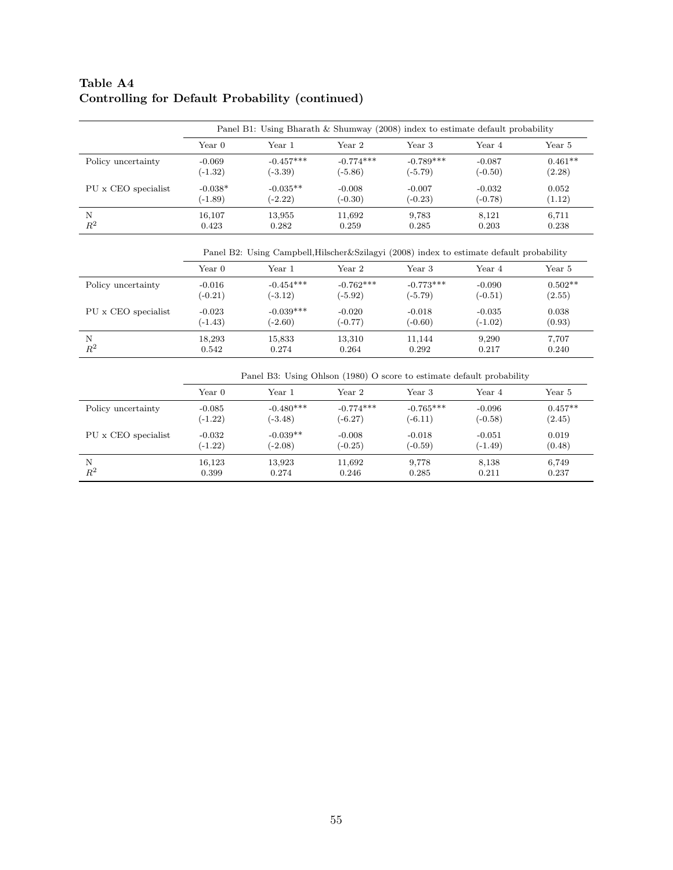### <span id="page-55-0"></span>Table A4 Controlling for Default Probability (continued)

|                     | Panel B1: Using Bharath & Shumway (2008) index to estimate default probability |             |             |             |           |           |  |  |
|---------------------|--------------------------------------------------------------------------------|-------------|-------------|-------------|-----------|-----------|--|--|
|                     | Year 0                                                                         | Year 1      | Year 2      | Year 3      | Year 4    | Year 5    |  |  |
| Policy uncertainty  | $-0.069$                                                                       | $-0.457***$ | $-0.774***$ | $-0.789***$ | $-0.087$  | $0.461**$ |  |  |
|                     | $(-1.32)$                                                                      | $(-3.39)$   | $(-5.86)$   | $(-5.79)$   | $(-0.50)$ | (2.28)    |  |  |
| PU x CEO specialist | $-0.038*$                                                                      | $-0.035**$  | $-0.008$    | $-0.007$    | $-0.032$  | 0.052     |  |  |
|                     | $(-1.89)$                                                                      | $(-2.22)$   | $(-0.30)$   | $(-0.23)$   | $(-0.78)$ | (1.12)    |  |  |
| N                   | 16.107                                                                         | 13.955      | 11.692      | 9.783       | 8.121     | 6,711     |  |  |
| $R^2$               | 0.423                                                                          | 0.282       | 0.259       | 0.285       | 0.203     | 0.238     |  |  |

Panel B2: Using Campbell,Hilscher&Szilagyi (2008) index to estimate default probability

|                     | Year 0    | Year 1      | Year 2      | Year 3      | Year 4    | Year 5    |
|---------------------|-----------|-------------|-------------|-------------|-----------|-----------|
| Policy uncertainty  | $-0.016$  | $-0.454***$ | $-0.762***$ | $-0.773***$ | $-0.090$  | $0.502**$ |
|                     | $(-0.21)$ | $(-3.12)$   | $(-5.92)$   | $(-5.79)$   | $(-0.51)$ | (2.55)    |
| PU x CEO specialist | $-0.023$  | $-0.039***$ | $-0.020$    | $-0.018$    | $-0.035$  | 0.038     |
|                     | $(-1.43)$ | $(-2.60)$   | $(-0.77)$   | $(-0.60)$   | $(-1.02)$ | (0.93)    |
| N                   | 18.293    | 15,833      | 13.310      | 11.144      | 9.290     | 7.707     |
| $\,R^2$             | 0.542     | 0.274       | 0.264       | 0.292       | 0.217     | 0.240     |

|                     | Panel B3: Using Ohlson (1980) O score to estimate default probability |             |             |             |           |           |  |
|---------------------|-----------------------------------------------------------------------|-------------|-------------|-------------|-----------|-----------|--|
|                     | Year 0                                                                | Year 1      | Year 2      | Year 3      | Year 4    | Year 5    |  |
| Policy uncertainty  | $-0.085$                                                              | $-0.480***$ | $-0.774***$ | $-0.765***$ | $-0.096$  | $0.457**$ |  |
|                     | $(-1.22)$                                                             | $(-3.48)$   | $(-6.27)$   | $(-6.11)$   | $(-0.58)$ | (2.45)    |  |
| PU x CEO specialist | $-0.032$                                                              | $-0.039**$  | $-0.008$    | $-0.018$    | $-0.051$  | 0.019     |  |
|                     | $(-1.22)$                                                             | $(-2.08)$   | $(-0.25)$   | $(-0.59)$   | $(-1.49)$ | (0.48)    |  |
| N                   | 16.123                                                                | 13.923      | 11.692      | 9,778       | 8,138     | 6,749     |  |
| $R^2$               | 0.399                                                                 | 0.274       | 0.246       | 0.285       | 0.211     | 0.237     |  |

Panel B3: Using Ohlson (1980) O score to estimate default probability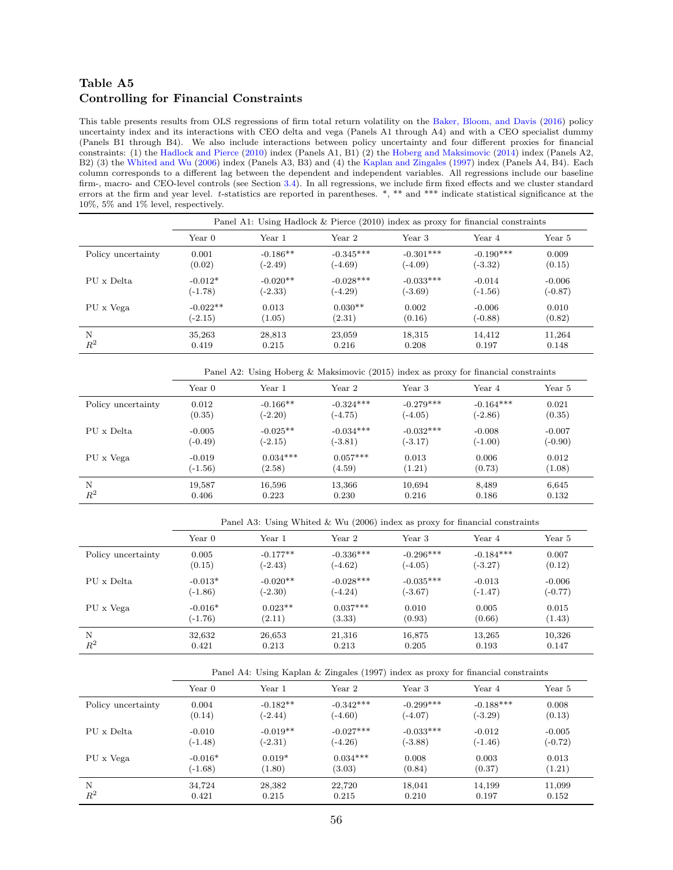### Table A5 Controlling for Financial Constraints

This table presents results from OLS regressions of firm total return volatility on the [Baker, Bloom, and Davis](#page-29-6) [\(2016\)](#page-29-6) policy uncertainty index and its interactions with CEO delta and vega (Panels A1 through A4) and with a CEO specialist dummy (Panels B1 through B4). We also include interactions between policy uncertainty and four different proxies for financial constraints: (1) the [Hadlock and Pierce](#page-30-14) [\(2010\)](#page-30-14) index (Panels A1, B1) (2) the [Hoberg and Maksimovic](#page-30-15) [\(2014\)](#page-30-15) index (Panels A2, B2) (3) the [Whited and Wu](#page-31-11) [\(2006\)](#page-31-11) index (Panels A3, B3) and (4) the [Kaplan and Zingales](#page-31-12) [\(1997\)](#page-31-12) index (Panels A4, B4). Each column corresponds to a different lag between the dependent and independent variables. All regressions include our baseline firm-, macro- and CEO-level controls (see Section [3.4\)](#page-11-0). In all regressions, we include firm fixed effects and we cluster standard errors at the firm and year level. t-statistics are reported in parentheses. \*, \*\* and \*\*\* indicate statistical significance at the 10%, 5% and 1% level, respectively.

|                    | Panel A1: Using Hadlock & Pierce $(2010)$ index as proxy for financial constraints |            |             |             |             |           |  |
|--------------------|------------------------------------------------------------------------------------|------------|-------------|-------------|-------------|-----------|--|
|                    | Year 0                                                                             | Year 1     | Year 2      | Year 3      | Year 4      | Year 5    |  |
| Policy uncertainty | 0.001                                                                              | $-0.186**$ | $-0.345***$ | $-0.301***$ | $-0.190***$ | 0.009     |  |
|                    | (0.02)                                                                             | $(-2.49)$  | $(-4.69)$   | $(-4.09)$   | $(-3.32)$   | (0.15)    |  |
| PU x Delta         | $-0.012*$                                                                          | $-0.020**$ | $-0.028***$ | $-0.033***$ | $-0.014$    | $-0.006$  |  |
|                    | $(-1.78)$                                                                          | $(-2.33)$  | $(-4.29)$   | $(-3.69)$   | $(-1.56)$   | $(-0.87)$ |  |
| PU x Vega          | $-0.022**$                                                                         | 0.013      | $0.030**$   | 0.002       | $-0.006$    | 0.010     |  |
|                    | $(-2.15)$                                                                          | (1.05)     | (2.31)      | (0.16)      | $(-0.88)$   | (0.82)    |  |
| N                  | 35,263                                                                             | 28,813     | 23,059      | 18.315      | 14.412      | 11,264    |  |
| $R^2$              | 0.419                                                                              | 0.215      | 0.216       | 0.208       | 0.197       | 0.148     |  |

Panel A2: Using Hoberg & Maksimovic (2015) index as proxy for financial constraints

|                    | Year $0$  | Year 1     | Year 2      | Year 3      | Year 4      | Year 5    |
|--------------------|-----------|------------|-------------|-------------|-------------|-----------|
| Policy uncertainty | 0.012     | $-0.166**$ | $-0.324***$ | $-0.279***$ | $-0.164***$ | 0.021     |
|                    | (0.35)    | $(-2.20)$  | $(-4.75)$   | $(-4.05)$   | $(-2.86)$   | (0.35)    |
| PU x Delta         | $-0.005$  | $-0.025**$ | $-0.034***$ | $-0.032***$ | $-0.008$    | $-0.007$  |
|                    | $(-0.49)$ | $(-2.15)$  | $(-3.81)$   | $(-3.17)$   | $(-1.00)$   | $(-0.90)$ |
| PU x Vega          | $-0.019$  | $0.034***$ | $0.057***$  | 0.013       | 0.006       | 0.012     |
|                    | $(-1.56)$ | (2.58)     | (4.59)      | (1.21)      | (0.73)      | (1.08)    |
| N                  | 19.587    | 16,596     | 13,366      | 10,694      | 8,489       | 6,645     |
| $\mathbb{R}^2$     | 0.406     | 0.223      | 0.230       | 0.216       | 0.186       | 0.132     |

Panel A3: Using Whited  $&$  Wu (2006) index as proxy for financial constraints

|                    | Year $0$  | Year 1     | Year 2      | Year 3      | Year 4      | Year 5    |  |
|--------------------|-----------|------------|-------------|-------------|-------------|-----------|--|
| Policy uncertainty | 0.005     | $-0.177**$ | $-0.336***$ | $-0.296***$ | $-0.184***$ | 0.007     |  |
|                    | (0.15)    | $(-2.43)$  | $(-4.62)$   | $(-4.05)$   | $(-3.27)$   | (0.12)    |  |
| PU x Delta         | $-0.013*$ | $-0.020**$ | $-0.028***$ | $-0.035***$ | $-0.013$    | $-0.006$  |  |
|                    | $(-1.86)$ | $(-2.30)$  | $(-4.24)$   | $(-3.67)$   | $(-1.47)$   | $(-0.77)$ |  |
| PU x Vega          | $-0.016*$ | $0.023**$  | $0.037***$  | 0.010       | 0.005       | 0.015     |  |
|                    | $(-1.76)$ | (2.11)     | (3.33)      | (0.93)      | (0.66)      | (1.43)    |  |
| N                  | 32.632    | 26,653     | 21.316      | 16,875      | 13.265      | 10.326    |  |
| $R^2$              | 0.421     | 0.213      | 0.213       | 0.205       | 0.193       | 0.147     |  |

Panel A4: Using Kaplan & Zingales (1997) index as proxy for financial constraints

|                    | Year 0    | Year 1     | Year 2      | Year 3      | Year 4      | Year 5    |
|--------------------|-----------|------------|-------------|-------------|-------------|-----------|
| Policy uncertainty | 0.004     | $-0.182**$ | $-0.342***$ | $-0.299***$ | $-0.188***$ | 0.008     |
|                    | (0.14)    | $(-2.44)$  | $(-4.60)$   | $(-4.07)$   | $(-3.29)$   | (0.13)    |
| PU x Delta         | $-0.010$  | $-0.019**$ | $-0.027***$ | $-0.033***$ | $-0.012$    | $-0.005$  |
|                    | $(-1.48)$ | $(-2.31)$  | $(-4.26)$   | $(-3.88)$   | $(-1.46)$   | $(-0.72)$ |
| PU x Vega          | $-0.016*$ | $0.019*$   | $0.034***$  | 0.008       | 0.003       | 0.013     |
|                    | $(-1.68)$ | (1.80)     | (3.03)      | (0.84)      | (0.37)      | (1.21)    |
| N                  | 34.724    | 28,382     | 22,720      | 18.041      | 14,199      | 11.099    |
| $R^2$              | 0.421     | 0.215      | 0.215       | 0.210       | 0.197       | 0.152     |